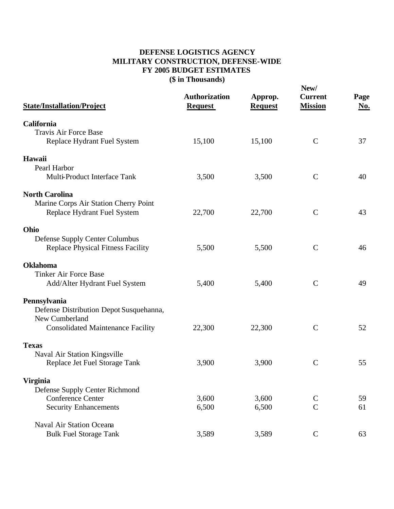## **DEFENSE LOGISTICS AGENCY MILITARY CONSTRUCTION, DEFENSE-WIDE FY 2005 BUDGET ESTIMATES (\$ in Thousands)**

| <b>State/Installation/Project</b>                                                                                     | <b>Authorization</b><br><b>Request</b> | Approp.<br><b>Request</b> | New/<br><b>Current</b><br><b>Mission</b> | Page<br>No. |
|-----------------------------------------------------------------------------------------------------------------------|----------------------------------------|---------------------------|------------------------------------------|-------------|
| California<br><b>Travis Air Force Base</b><br>Replace Hydrant Fuel System                                             | 15,100                                 | 15,100                    | $\mathbf C$                              | 37          |
| Hawaii<br>Pearl Harbor<br>Multi-Product Interface Tank                                                                | 3,500                                  | 3,500                     | $\mathbf C$                              | 40          |
| <b>North Carolina</b><br>Marine Corps Air Station Cherry Point<br>Replace Hydrant Fuel System                         | 22,700                                 | 22,700                    | $\mathbf C$                              | 43          |
| Ohio<br>Defense Supply Center Columbus<br><b>Replace Physical Fitness Facility</b>                                    | 5,500                                  | 5,500                     | $\mathbf C$                              | 46          |
| <b>Oklahoma</b><br><b>Tinker Air Force Base</b><br>Add/Alter Hydrant Fuel System                                      | 5,400                                  | 5,400                     | $\mathbf C$                              | 49          |
| Pennsylvania<br>Defense Distribution Depot Susquehanna,<br>New Cumberland<br><b>Consolidated Maintenance Facility</b> | 22,300                                 | 22,300                    | $\mathcal{C}$                            | 52          |
| <b>Texas</b><br>Naval Air Station Kingsville<br>Replace Jet Fuel Storage Tank                                         | 3,900                                  | 3,900                     | $\mathbf C$                              | 55          |
| <b>Virginia</b><br>Defense Supply Center Richmond<br><b>Conference Center</b><br><b>Security Enhancements</b>         | 3,600<br>6,500                         | 3,600<br>6,500            | $\mathbf C$<br>$\overline{C}$            | 59<br>61    |
| <b>Naval Air Station Oceana</b><br><b>Bulk Fuel Storage Tank</b>                                                      | 3,589                                  | 3,589                     | $\mathbf C$                              | 63          |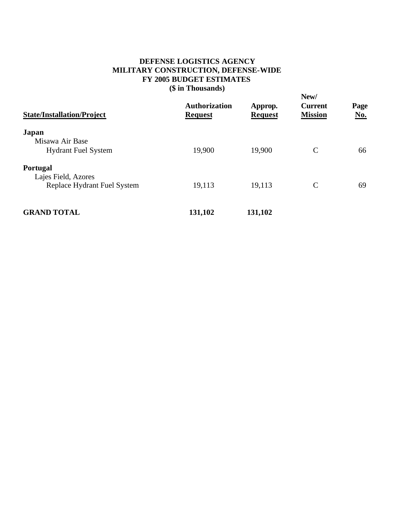## **DEFENSE LOGISTICS AGENCY MILITARY CONSTRUCTION, DEFENSE-WIDE FY 2005 BUDGET ESTIMATES (\$ in Thousands)**

**New/ Authorization Approp. Current Page State/Installation/Project Request Request Request Request Mission Japan** Misawa Air Base Hydrant Fuel System 19,900 19,900 C 66 **Portugal** Lajes Field, Azores Replace Hydrant Fuel System 19,113 19,113 C 69 **GRAND TOTAL 131,102 131,102**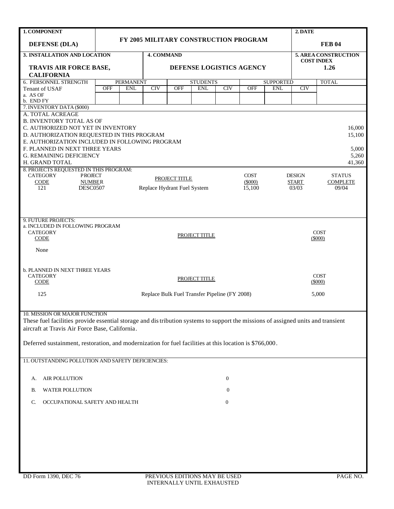| 1. COMPONENT                                                                                                                     |                                                                                                | 2. DATE                                                        |                             |              |                                               |                      |                     |                  |                           |                       |  |  |
|----------------------------------------------------------------------------------------------------------------------------------|------------------------------------------------------------------------------------------------|----------------------------------------------------------------|-----------------------------|--------------|-----------------------------------------------|----------------------|---------------------|------------------|---------------------------|-----------------------|--|--|
| <b>DEFENSE (DLA)</b>                                                                                                             |                                                                                                |                                                                |                             |              | FY 2005 MILITARY CONSTRUCTION PROGRAM         |                      |                     |                  |                           | <b>FEB 04</b>         |  |  |
| 3. INSTALLATION AND LOCATION                                                                                                     |                                                                                                |                                                                | 4. COMMAND                  |              |                                               | 5. AREA CONSTRUCTION |                     |                  |                           |                       |  |  |
| TRAVIS AIR FORCE BASE,                                                                                                           |                                                                                                |                                                                |                             |              | DEFENSE LOGISTICS AGENCY                      |                      |                     |                  | <b>COST INDEX</b><br>1.26 |                       |  |  |
| <b>CALIFORNIA</b>                                                                                                                |                                                                                                |                                                                |                             |              |                                               |                      |                     |                  |                           |                       |  |  |
| 6. PERSONNEL STRENGTH                                                                                                            |                                                                                                | <b>PERMANENT</b>                                               |                             |              | <b>STUDENTS</b>                               |                      |                     | <b>SUPPORTED</b> |                           | <b>TOTAL</b>          |  |  |
| Tenant of USAF                                                                                                                   | <b>OFF</b><br><b>ENL</b><br>CIV<br><b>OFF</b><br><b>ENL</b><br>CIV<br><b>OFF</b><br><b>ENL</b> |                                                                |                             |              |                                               |                      |                     |                  | CIV                       |                       |  |  |
| a. AS OF<br>b. END FY                                                                                                            |                                                                                                |                                                                |                             |              |                                               |                      |                     |                  |                           |                       |  |  |
| 7. INVENTORY DATA (\$000)                                                                                                        |                                                                                                |                                                                |                             |              |                                               |                      |                     |                  |                           |                       |  |  |
| A. TOTAL ACREAGE                                                                                                                 |                                                                                                |                                                                |                             |              |                                               |                      |                     |                  |                           |                       |  |  |
| <b>B. INVENTORY TOTAL AS OF</b>                                                                                                  |                                                                                                |                                                                |                             |              |                                               |                      |                     |                  |                           |                       |  |  |
| C. AUTHORIZED NOT YET IN INVENTORY                                                                                               |                                                                                                |                                                                |                             |              |                                               |                      |                     |                  |                           | 16,000                |  |  |
| D. AUTHORIZATION REQUESTED IN THIS PROGRAM<br>E. AUTHORIZATION INCLUDED IN FOLLOWING PROGRAM                                     |                                                                                                |                                                                |                             |              |                                               |                      |                     |                  |                           | 15,100                |  |  |
| F. PLANNED IN NEXT THREE YEARS                                                                                                   |                                                                                                |                                                                |                             |              |                                               |                      |                     |                  |                           | 5,000                 |  |  |
| <b>G. REMAINING DEFICIENCY</b>                                                                                                   |                                                                                                |                                                                |                             |              |                                               |                      |                     |                  |                           | 5,260                 |  |  |
| H. GRAND TOTAL                                                                                                                   |                                                                                                |                                                                |                             |              |                                               |                      |                     |                  |                           | 41,360                |  |  |
| 8. PROJECTS REQUESTED IN THIS PROGRAM:<br><b>CATEGORY</b><br><b>PROJECT</b>                                                      |                                                                                                | <b>COST</b><br><b>DESIGN</b><br><b>STATUS</b><br>PROJECT TITLE |                             |              |                                               |                      |                     |                  |                           |                       |  |  |
| <b>CODE</b><br><b>NUMBER</b>                                                                                                     |                                                                                                |                                                                |                             | <b>START</b> | <b>COMPLETE</b>                               |                      |                     |                  |                           |                       |  |  |
| 121<br><b>DESC0507</b>                                                                                                           |                                                                                                |                                                                | Replace Hydrant Fuel System |              |                                               |                      | $(\$000)$<br>15,100 |                  | 03/03                     | 09/04                 |  |  |
|                                                                                                                                  |                                                                                                |                                                                |                             |              |                                               |                      |                     |                  |                           |                       |  |  |
|                                                                                                                                  |                                                                                                |                                                                |                             |              |                                               |                      |                     |                  |                           |                       |  |  |
|                                                                                                                                  |                                                                                                |                                                                |                             |              |                                               |                      |                     |                  |                           |                       |  |  |
| 9. FUTURE PROJECTS:                                                                                                              |                                                                                                |                                                                |                             |              |                                               |                      |                     |                  |                           |                       |  |  |
| a. INCLUDED IN FOLLOWING PROGRAM<br><b>CATEGORY</b>                                                                              |                                                                                                |                                                                |                             |              |                                               |                      |                     |                  |                           | <b>COST</b>           |  |  |
| <b>CODE</b>                                                                                                                      |                                                                                                |                                                                |                             |              | PROJECT TITLE                                 |                      |                     |                  |                           | $(\$000)$             |  |  |
|                                                                                                                                  |                                                                                                |                                                                |                             |              |                                               |                      |                     |                  |                           |                       |  |  |
| None                                                                                                                             |                                                                                                |                                                                |                             |              |                                               |                      |                     |                  |                           |                       |  |  |
|                                                                                                                                  |                                                                                                |                                                                |                             |              |                                               |                      |                     |                  |                           |                       |  |  |
| <b>b. PLANNED IN NEXT THREE YEARS</b>                                                                                            |                                                                                                |                                                                |                             |              |                                               |                      |                     |                  |                           |                       |  |  |
| <b>CATEGORY</b><br>CODE                                                                                                          |                                                                                                |                                                                |                             |              | PROJECT TITLE                                 |                      |                     |                  |                           | <b>COST</b><br>(5000) |  |  |
|                                                                                                                                  |                                                                                                |                                                                |                             |              |                                               |                      |                     |                  |                           |                       |  |  |
| 125                                                                                                                              |                                                                                                |                                                                |                             |              | Replace Bulk Fuel Transfer Pipeline (FY 2008) |                      |                     |                  |                           | 5,000                 |  |  |
|                                                                                                                                  |                                                                                                |                                                                |                             |              |                                               |                      |                     |                  |                           |                       |  |  |
| 10. MISSION OR MAJOR FUNCTION                                                                                                    |                                                                                                |                                                                |                             |              |                                               |                      |                     |                  |                           |                       |  |  |
| These fuel facilities provide essential storage and distribution systems to support the missions of assigned units and transient |                                                                                                |                                                                |                             |              |                                               |                      |                     |                  |                           |                       |  |  |
| aircraft at Travis Air Force Base, California.                                                                                   |                                                                                                |                                                                |                             |              |                                               |                      |                     |                  |                           |                       |  |  |
|                                                                                                                                  |                                                                                                |                                                                |                             |              |                                               |                      |                     |                  |                           |                       |  |  |
| Deferred sustainment, restoration, and modernization for fuel facilities at this location is \$766,000.                          |                                                                                                |                                                                |                             |              |                                               |                      |                     |                  |                           |                       |  |  |
|                                                                                                                                  |                                                                                                |                                                                |                             |              |                                               |                      |                     |                  |                           |                       |  |  |
| 11. OUTSTANDING POLLUTION AND SAFETY DEFICIENCIES:                                                                               |                                                                                                |                                                                |                             |              |                                               |                      |                     |                  |                           |                       |  |  |
|                                                                                                                                  |                                                                                                |                                                                |                             |              |                                               |                      |                     |                  |                           |                       |  |  |
| <b>AIR POLLUTION</b><br>А.                                                                                                       |                                                                                                |                                                                |                             |              |                                               | $\overline{0}$       |                     |                  |                           |                       |  |  |
| WATER POLLUTION<br>В.                                                                                                            |                                                                                                |                                                                |                             |              |                                               | 0                    |                     |                  |                           |                       |  |  |
|                                                                                                                                  |                                                                                                |                                                                |                             |              |                                               |                      |                     |                  |                           |                       |  |  |
| OCCUPATIONAL SAFETY AND HEALTH<br>C.                                                                                             |                                                                                                |                                                                |                             |              |                                               | $\mathbf{0}$         |                     |                  |                           |                       |  |  |
|                                                                                                                                  |                                                                                                |                                                                |                             |              |                                               |                      |                     |                  |                           |                       |  |  |
|                                                                                                                                  |                                                                                                |                                                                |                             |              |                                               |                      |                     |                  |                           |                       |  |  |
|                                                                                                                                  |                                                                                                |                                                                |                             |              |                                               |                      |                     |                  |                           |                       |  |  |
|                                                                                                                                  |                                                                                                |                                                                |                             |              |                                               |                      |                     |                  |                           |                       |  |  |
|                                                                                                                                  |                                                                                                |                                                                |                             |              |                                               |                      |                     |                  |                           |                       |  |  |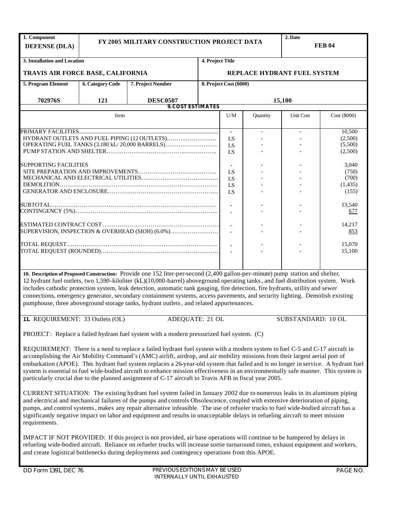| 1. Component<br><b>DEFENSE (DLA)</b> |                         |                                                                                                                                                                                                                                                                                                                                                                                                                                                                                                                                                                                                                                            | 2. Date<br>FY 2005 MILITARY CONSTRUCTION PROJECT DATA<br><b>FEB 04</b> |                             |          |                    |              |  |  |  |  |
|--------------------------------------|-------------------------|--------------------------------------------------------------------------------------------------------------------------------------------------------------------------------------------------------------------------------------------------------------------------------------------------------------------------------------------------------------------------------------------------------------------------------------------------------------------------------------------------------------------------------------------------------------------------------------------------------------------------------------------|------------------------------------------------------------------------|-----------------------------|----------|--------------------|--------------|--|--|--|--|
| 3. Installation and Location         |                         |                                                                                                                                                                                                                                                                                                                                                                                                                                                                                                                                                                                                                                            | 4. Project Title                                                       |                             |          |                    |              |  |  |  |  |
| TRAVIS AIR FORCE BASE, CALIFORNIA    |                         |                                                                                                                                                                                                                                                                                                                                                                                                                                                                                                                                                                                                                                            |                                                                        | REPLACE HYDRANT FUEL SYSTEM |          |                    |              |  |  |  |  |
| 5. Program Element                   | <b>6. Category Code</b> | 7. Project Number                                                                                                                                                                                                                                                                                                                                                                                                                                                                                                                                                                                                                          |                                                                        | 8. Project Cost (\$000)     |          |                    |              |  |  |  |  |
| 702976S                              | 121                     | <b>DESC0507</b>                                                                                                                                                                                                                                                                                                                                                                                                                                                                                                                                                                                                                            |                                                                        |                             |          | 15,100             |              |  |  |  |  |
|                                      |                         | <b>9. COST ESTIMATES</b>                                                                                                                                                                                                                                                                                                                                                                                                                                                                                                                                                                                                                   |                                                                        |                             |          |                    |              |  |  |  |  |
|                                      | Item                    |                                                                                                                                                                                                                                                                                                                                                                                                                                                                                                                                                                                                                                            |                                                                        | U/M                         | Quantity | Unit Cost          | Cost (\$000) |  |  |  |  |
|                                      |                         |                                                                                                                                                                                                                                                                                                                                                                                                                                                                                                                                                                                                                                            |                                                                        |                             |          |                    | 10,500       |  |  |  |  |
|                                      |                         |                                                                                                                                                                                                                                                                                                                                                                                                                                                                                                                                                                                                                                            |                                                                        | LS                          |          |                    | (2,500)      |  |  |  |  |
|                                      |                         | OPERATING FUEL TANKS (3,180 kL/20,000 BARRELS)                                                                                                                                                                                                                                                                                                                                                                                                                                                                                                                                                                                             |                                                                        | LS                          |          |                    | (5,500)      |  |  |  |  |
|                                      |                         |                                                                                                                                                                                                                                                                                                                                                                                                                                                                                                                                                                                                                                            |                                                                        | LS                          |          |                    | (2,500)      |  |  |  |  |
| <b>SUPPORTING FACILITIES</b>         |                         |                                                                                                                                                                                                                                                                                                                                                                                                                                                                                                                                                                                                                                            |                                                                        | $\overline{\phantom{a}}$    |          |                    | 3,040        |  |  |  |  |
|                                      |                         |                                                                                                                                                                                                                                                                                                                                                                                                                                                                                                                                                                                                                                            |                                                                        | LS                          |          |                    | (750)        |  |  |  |  |
|                                      |                         |                                                                                                                                                                                                                                                                                                                                                                                                                                                                                                                                                                                                                                            |                                                                        | LS                          |          |                    | (700)        |  |  |  |  |
|                                      |                         |                                                                                                                                                                                                                                                                                                                                                                                                                                                                                                                                                                                                                                            |                                                                        | LS                          |          |                    | (1, 435)     |  |  |  |  |
|                                      |                         |                                                                                                                                                                                                                                                                                                                                                                                                                                                                                                                                                                                                                                            |                                                                        | LS                          |          |                    | (155)        |  |  |  |  |
|                                      |                         |                                                                                                                                                                                                                                                                                                                                                                                                                                                                                                                                                                                                                                            |                                                                        |                             |          |                    |              |  |  |  |  |
|                                      |                         |                                                                                                                                                                                                                                                                                                                                                                                                                                                                                                                                                                                                                                            |                                                                        | $\overline{\phantom{a}}$    |          |                    | 13,540       |  |  |  |  |
|                                      |                         |                                                                                                                                                                                                                                                                                                                                                                                                                                                                                                                                                                                                                                            |                                                                        | $\overline{\phantom{a}}$    |          |                    | 677          |  |  |  |  |
|                                      |                         |                                                                                                                                                                                                                                                                                                                                                                                                                                                                                                                                                                                                                                            |                                                                        |                             |          |                    | 14,217       |  |  |  |  |
|                                      |                         | SUPERVISION, INSPECTION & OVERHEAD (SIOH) (6.0%)                                                                                                                                                                                                                                                                                                                                                                                                                                                                                                                                                                                           |                                                                        |                             |          |                    | 853          |  |  |  |  |
|                                      |                         |                                                                                                                                                                                                                                                                                                                                                                                                                                                                                                                                                                                                                                            |                                                                        |                             |          |                    |              |  |  |  |  |
|                                      |                         |                                                                                                                                                                                                                                                                                                                                                                                                                                                                                                                                                                                                                                            |                                                                        |                             |          |                    | 15,070       |  |  |  |  |
|                                      |                         |                                                                                                                                                                                                                                                                                                                                                                                                                                                                                                                                                                                                                                            |                                                                        |                             |          |                    | 15,100       |  |  |  |  |
|                                      |                         |                                                                                                                                                                                                                                                                                                                                                                                                                                                                                                                                                                                                                                            |                                                                        |                             |          |                    |              |  |  |  |  |
|                                      |                         | 10. Description of Proposed Construction: Provide one 152 liter-per-second (2,400 gallon-per-minute) pump station and shelter,<br>12 hydrant fuel outlets, two 1,590-kiloliter (kL)(10,000-barrel) aboveground operating tanks, and fuel distribution system. Work<br>includes cathodic protection system, leak detection, automatic tank gauging, fire detection, fire hydrants, utility and sewer<br>connections, emergency generator, secondary containment systems, access pavements, and security lighting. Demolish existing<br>pumphouse, three aboveground storage tanks, hydrant outlets, and related appurtenances.              |                                                                        |                             |          |                    |              |  |  |  |  |
| 11. REQUIREMENT: 33 Outlets (OL)     |                         | ADEQUATE: 21 OL                                                                                                                                                                                                                                                                                                                                                                                                                                                                                                                                                                                                                            |                                                                        |                             |          | SUBSTANDARD: 10 OL |              |  |  |  |  |
|                                      |                         | PROJECT: Replace a failed hydrant fuel system with a modern pressurized fuel system. (C)<br>REQUIREMENT: There is a need to replace a failed hydrant fuel system with a modern system to fuel C-5 and C-17 aircraft in<br>accomplishing the Air Mobility Command's (AMC) airlift, airdrop, and air mobility missions from their largest aerial port of<br>embarkation (APOE). This hydrant fuel system replaces a 26-year-old system that failed and is no longer in service. A hydrant fuel<br>system is essential to fuel wide-bodied aircraft to enhance mission effectiveness in an environmentally safe manner. This system is        |                                                                        |                             |          |                    |              |  |  |  |  |
| requirements.                        |                         | particularly crucial due to the planned assignment of C-17 aircraft to Travis AFB in fiscal year 2005.<br>CURRENT SITUATION: The existing hydrant fuel system failed in January 2002 due to numerous leaks in its aluminum piping<br>and electrical and mechanical failures of the pumps and controls Obsolescence, coupled with extensive deterioration of piping,<br>pumps, and control systems, makes any repair alternative infeasible. The use of refueler trucks to fuel wide-bodied aircraft has a<br>significantly negative impact on labor and equipment and results in unacceptable delays in refueling aircraft to meet mission |                                                                        |                             |          |                    |              |  |  |  |  |
|                                      |                         | IMPACT IF NOT PROVIDED: If this project is not provided, air base operations will continue to be hampered by delays in<br>refueling wide-bodied aircraft. Reliance on refueler trucks will increase sortie turnaround times, exhaust equipment and workers,<br>and create logistical bottlenecks during deployments and contingency operations from this APOE.                                                                                                                                                                                                                                                                             |                                                                        |                             |          |                    |              |  |  |  |  |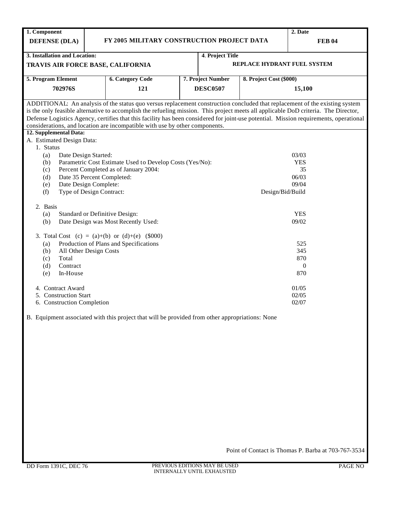| 1. Component                                  |                                                                                                                                     |                   |                             | 2. Date                                                                                                                               |
|-----------------------------------------------|-------------------------------------------------------------------------------------------------------------------------------------|-------------------|-----------------------------|---------------------------------------------------------------------------------------------------------------------------------------|
| <b>DEFENSE (DLA)</b>                          | FY 2005 MILITARY CONSTRUCTION PROJECT DATA                                                                                          |                   |                             | <b>FEB 04</b>                                                                                                                         |
|                                               |                                                                                                                                     |                   |                             |                                                                                                                                       |
| 3. Installation and Location:                 |                                                                                                                                     | 4. Project Title  |                             |                                                                                                                                       |
| TRAVIS AIR FORCE BASE, CALIFORNIA             |                                                                                                                                     |                   | REPLACE HYDRANT FUEL SYSTEM |                                                                                                                                       |
| 5. Program Element                            | <b>6. Category Code</b>                                                                                                             | 7. Project Number | 8. Project Cost (\$000)     |                                                                                                                                       |
| 702976S                                       | 121                                                                                                                                 | <b>DESC0507</b>   |                             | 15,100                                                                                                                                |
|                                               |                                                                                                                                     |                   |                             |                                                                                                                                       |
|                                               | is the only feasible alternative to accomplish the refueling mission. This project meets all applicable DoD criteria. The Director, |                   |                             | ADDITIONAL: An analysis of the status quo versus replacement construction concluded that replacement of the existing system           |
|                                               |                                                                                                                                     |                   |                             | Defense Logistics Agency, certifies that this facility has been considered for joint-use potential. Mission requirements, operational |
|                                               | considerations, and location are incompatible with use by other components.                                                         |                   |                             |                                                                                                                                       |
| 12. Supplemental Data:                        |                                                                                                                                     |                   |                             |                                                                                                                                       |
| A. Estimated Design Data:                     |                                                                                                                                     |                   |                             |                                                                                                                                       |
| 1. Status                                     |                                                                                                                                     |                   |                             |                                                                                                                                       |
| Date Design Started:<br>(a)                   |                                                                                                                                     |                   |                             | 03/03<br><b>YES</b>                                                                                                                   |
| (b)<br>(c)                                    | Parametric Cost Estimate Used to Develop Costs (Yes/No):<br>Percent Completed as of January 2004:                                   |                   |                             | 35                                                                                                                                    |
| Date 35 Percent Completed:<br>(d)             |                                                                                                                                     |                   |                             | 06/03                                                                                                                                 |
| Date Design Complete:<br>(e)                  |                                                                                                                                     |                   |                             | 09/04                                                                                                                                 |
| Type of Design Contract:<br>(f)               |                                                                                                                                     |                   | Design/Bid/Build            |                                                                                                                                       |
|                                               |                                                                                                                                     |                   |                             |                                                                                                                                       |
| 2. Basis                                      |                                                                                                                                     |                   |                             |                                                                                                                                       |
| (a)                                           | Standard or Definitive Design:                                                                                                      |                   |                             | <b>YES</b>                                                                                                                            |
| (b)                                           | Date Design was Most Recently Used:                                                                                                 |                   |                             | 09/02                                                                                                                                 |
|                                               |                                                                                                                                     |                   |                             |                                                                                                                                       |
|                                               | 3. Total Cost (c) = $(a)+(b)$ or $(d)+(e)$ (\$000)                                                                                  |                   |                             |                                                                                                                                       |
| (a)                                           | Production of Plans and Specifications                                                                                              |                   |                             | 525                                                                                                                                   |
| All Other Design Costs<br>(b)<br>Total<br>(c) |                                                                                                                                     |                   |                             | 345<br>870                                                                                                                            |
| Contract<br>(d)                               |                                                                                                                                     |                   |                             | $\theta$                                                                                                                              |
| In-House<br>(e)                               |                                                                                                                                     |                   |                             | 870                                                                                                                                   |
|                                               |                                                                                                                                     |                   |                             |                                                                                                                                       |
| 4. Contract Award                             |                                                                                                                                     |                   |                             | 01/05                                                                                                                                 |
| 5. Construction Start                         |                                                                                                                                     |                   |                             | 02/05                                                                                                                                 |
| 6. Construction Completion                    |                                                                                                                                     |                   |                             | 02/07                                                                                                                                 |
|                                               |                                                                                                                                     |                   |                             |                                                                                                                                       |
|                                               | B. Equipment associated with this project that will be provided from other appropriations: None                                     |                   |                             |                                                                                                                                       |
|                                               |                                                                                                                                     |                   |                             |                                                                                                                                       |
|                                               |                                                                                                                                     |                   |                             |                                                                                                                                       |
|                                               |                                                                                                                                     |                   |                             |                                                                                                                                       |
|                                               |                                                                                                                                     |                   |                             |                                                                                                                                       |
|                                               |                                                                                                                                     |                   |                             |                                                                                                                                       |
|                                               |                                                                                                                                     |                   |                             |                                                                                                                                       |
|                                               |                                                                                                                                     |                   |                             |                                                                                                                                       |
|                                               |                                                                                                                                     |                   |                             |                                                                                                                                       |
|                                               |                                                                                                                                     |                   |                             |                                                                                                                                       |
|                                               |                                                                                                                                     |                   |                             |                                                                                                                                       |
|                                               |                                                                                                                                     |                   |                             |                                                                                                                                       |
|                                               |                                                                                                                                     |                   |                             |                                                                                                                                       |
|                                               |                                                                                                                                     |                   |                             |                                                                                                                                       |
|                                               |                                                                                                                                     |                   |                             |                                                                                                                                       |
|                                               |                                                                                                                                     |                   |                             |                                                                                                                                       |
|                                               |                                                                                                                                     |                   |                             | Point of Contact is Thomas P. Barba at 703-767-3534                                                                                   |
|                                               |                                                                                                                                     |                   |                             |                                                                                                                                       |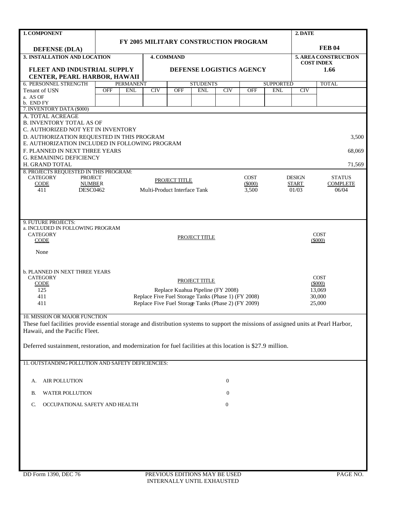| 1. COMPONENT                                                                                                                                                         |            |                                | 2. DATE                      |            |                                                     |                          |            |                                |     |                                                  |  |  |  |
|----------------------------------------------------------------------------------------------------------------------------------------------------------------------|------------|--------------------------------|------------------------------|------------|-----------------------------------------------------|--------------------------|------------|--------------------------------|-----|--------------------------------------------------|--|--|--|
|                                                                                                                                                                      |            |                                |                              |            | FY 2005 MILITARY CONSTRUCTION PROGRAM               |                          |            |                                |     |                                                  |  |  |  |
| <b>DEFENSE (DLA)</b>                                                                                                                                                 |            |                                |                              |            |                                                     |                          |            |                                |     | <b>FEB 04</b>                                    |  |  |  |
| 3. INSTALLATION AND LOCATION                                                                                                                                         |            |                                |                              | 4. COMMAND |                                                     |                          |            |                                |     | <b>5. AREA CONSTRUCTION</b><br><b>COST INDEX</b> |  |  |  |
| FLEET AND INDUSTRIAL SUPPLY                                                                                                                                          |            |                                |                              |            | DEFENSE LOGISTICS AGENCY                            |                          |            |                                |     | 1.66                                             |  |  |  |
| CENTER, PEARL HARBOR, HAWAII                                                                                                                                         |            |                                |                              |            |                                                     |                          |            |                                |     |                                                  |  |  |  |
| 6. PERSONNEL STRENGTH                                                                                                                                                | <b>OFF</b> | <b>PERMANENT</b><br><b>ENL</b> | <b>CIV</b>                   | <b>OFF</b> | <b>STUDENTS</b><br><b>ENL</b>                       | CIV                      | <b>OFF</b> | <b>SUPPORTED</b><br><b>ENL</b> | CIV | <b>TOTAL</b>                                     |  |  |  |
| Tenant of USN<br>a. AS OF                                                                                                                                            |            |                                |                              |            |                                                     |                          |            |                                |     |                                                  |  |  |  |
| b. END FY                                                                                                                                                            |            |                                |                              |            |                                                     |                          |            |                                |     |                                                  |  |  |  |
| 7. INVENTORY DATA (\$000)<br>A. TOTAL ACREAGE                                                                                                                        |            |                                |                              |            |                                                     |                          |            |                                |     |                                                  |  |  |  |
| <b>B. INVENTORY TOTAL AS OF</b>                                                                                                                                      |            |                                |                              |            |                                                     |                          |            |                                |     |                                                  |  |  |  |
| C. AUTHORIZED NOT YET IN INVENTORY                                                                                                                                   |            |                                |                              |            |                                                     |                          |            |                                |     |                                                  |  |  |  |
| D. AUTHORIZATION REQUESTED IN THIS PROGRAM                                                                                                                           |            |                                |                              |            |                                                     |                          |            |                                |     | 3,500                                            |  |  |  |
| E. AUTHORIZATION INCLUDED IN FOLLOWING PROGRAM                                                                                                                       |            |                                |                              |            |                                                     |                          |            |                                |     |                                                  |  |  |  |
| F. PLANNED IN NEXT THREE YEARS<br><b>G. REMAINING DEFICIENCY</b>                                                                                                     |            |                                |                              |            |                                                     |                          |            |                                |     | 68,069                                           |  |  |  |
| H. GRAND TOTAL                                                                                                                                                       |            |                                |                              |            |                                                     |                          |            |                                |     | 71,569                                           |  |  |  |
| 8. PROJECTS REQUESTED IN THIS PROGRAM:                                                                                                                               |            |                                |                              |            |                                                     |                          |            |                                |     |                                                  |  |  |  |
| <b>CATEGORY</b><br><b>PROJECT</b>                                                                                                                                    |            |                                | PROJECT TITLE                |            | <b>DESIGN</b>                                       | <b>STATUS</b>            |            |                                |     |                                                  |  |  |  |
| <b>CODE</b><br><b>NUMBER</b><br>411<br><b>DESC0462</b>                                                                                                               |            |                                | Multi-Product Interface Tank |            | <b>START</b><br>01/03                               | <b>COMPLETE</b><br>06/04 |            |                                |     |                                                  |  |  |  |
|                                                                                                                                                                      |            |                                |                              |            |                                                     |                          | 3,500      |                                |     |                                                  |  |  |  |
|                                                                                                                                                                      |            |                                |                              |            |                                                     |                          |            |                                |     |                                                  |  |  |  |
|                                                                                                                                                                      |            |                                |                              |            |                                                     |                          |            |                                |     |                                                  |  |  |  |
| 9. FUTURE PROJECTS:                                                                                                                                                  |            |                                |                              |            |                                                     |                          |            |                                |     |                                                  |  |  |  |
| a. INCLUDED IN FOLLOWING PROGRAM                                                                                                                                     |            |                                |                              |            |                                                     |                          |            |                                |     |                                                  |  |  |  |
| <b>CATEGORY</b><br>CODE                                                                                                                                              |            |                                |                              |            | PROJECT TITLE                                       |                          |            |                                |     | <b>COST</b><br>$(\$000)$                         |  |  |  |
|                                                                                                                                                                      |            |                                |                              |            |                                                     |                          |            |                                |     |                                                  |  |  |  |
| None                                                                                                                                                                 |            |                                |                              |            |                                                     |                          |            |                                |     |                                                  |  |  |  |
|                                                                                                                                                                      |            |                                |                              |            |                                                     |                          |            |                                |     |                                                  |  |  |  |
| <b>b. PLANNED IN NEXT THREE YEARS</b>                                                                                                                                |            |                                |                              |            |                                                     |                          |            |                                |     |                                                  |  |  |  |
| <b>CATEGORY</b>                                                                                                                                                      |            |                                |                              |            | PROJECT TITLE                                       |                          |            |                                |     | <b>COST</b>                                      |  |  |  |
| CODE<br>125                                                                                                                                                          |            |                                |                              |            | Replace Kuahua Pipeline (FY 2008)                   |                          |            |                                |     | $(\$000)$<br>13,069                              |  |  |  |
| 411                                                                                                                                                                  |            |                                |                              |            | Replace Five Fuel Storage Tanks (Phase 1) (FY 2008) |                          |            |                                |     | 30,000                                           |  |  |  |
| 411                                                                                                                                                                  |            |                                |                              |            | Replace Five Fuel Storage Tanks (Phase 2) (FY 2009) |                          |            |                                |     | 25,000                                           |  |  |  |
|                                                                                                                                                                      |            |                                |                              |            |                                                     |                          |            |                                |     |                                                  |  |  |  |
| 10. MISSION OR MAJOR FUNCTION<br>These fuel facilities provide essential storage and distribution systems to support the missions of assigned units at Pearl Harbor, |            |                                |                              |            |                                                     |                          |            |                                |     |                                                  |  |  |  |
| Hawaii, and the Pacific Fleet.                                                                                                                                       |            |                                |                              |            |                                                     |                          |            |                                |     |                                                  |  |  |  |
|                                                                                                                                                                      |            |                                |                              |            |                                                     |                          |            |                                |     |                                                  |  |  |  |
| Deferred sustainment, restoration, and modernization for fuel facilities at this location is \$27.9 million.                                                         |            |                                |                              |            |                                                     |                          |            |                                |     |                                                  |  |  |  |
|                                                                                                                                                                      |            |                                |                              |            |                                                     |                          |            |                                |     |                                                  |  |  |  |
| 11. OUTSTANDING POLLUTION AND SAFETY DEFICIENCIES:                                                                                                                   |            |                                |                              |            |                                                     |                          |            |                                |     |                                                  |  |  |  |
|                                                                                                                                                                      |            |                                |                              |            |                                                     |                          |            |                                |     |                                                  |  |  |  |
| AIR POLLUTION<br>А.                                                                                                                                                  |            |                                |                              |            |                                                     | $\boldsymbol{0}$         |            |                                |     |                                                  |  |  |  |
| <b>WATER POLLUTION</b>                                                                                                                                               |            |                                |                              |            |                                                     | $\mathbf{0}$             |            |                                |     |                                                  |  |  |  |
| В.                                                                                                                                                                   |            |                                |                              |            |                                                     |                          |            |                                |     |                                                  |  |  |  |
| OCCUPATIONAL SAFETY AND HEALTH<br>C.                                                                                                                                 |            |                                |                              |            |                                                     | $\boldsymbol{0}$         |            |                                |     |                                                  |  |  |  |
|                                                                                                                                                                      |            |                                |                              |            |                                                     |                          |            |                                |     |                                                  |  |  |  |
|                                                                                                                                                                      |            |                                |                              |            |                                                     |                          |            |                                |     |                                                  |  |  |  |
|                                                                                                                                                                      |            |                                |                              |            |                                                     |                          |            |                                |     |                                                  |  |  |  |
|                                                                                                                                                                      |            |                                |                              |            |                                                     |                          |            |                                |     |                                                  |  |  |  |
|                                                                                                                                                                      |            |                                |                              |            |                                                     |                          |            |                                |     |                                                  |  |  |  |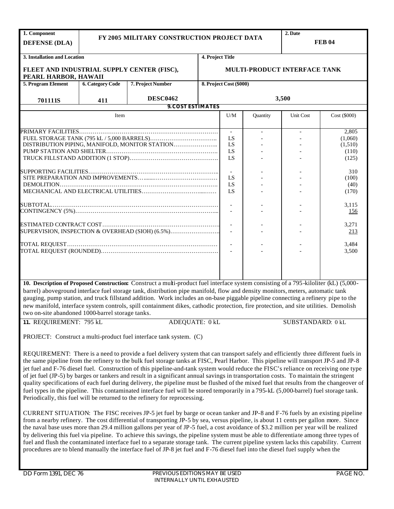| 1. Component<br><b>DEFENSE (DLA)</b>                               |                         | FY 2005 MILITARY CONSTRUCTION PROJECT DATA                                                                                                                                                                                                                                                                                                                                                                                                                                                                                                                                                                                                                                                                                                                                                                                                                                                                                  | 2. Date                  | <b>FEB 04</b>            |                          |                              |              |
|--------------------------------------------------------------------|-------------------------|-----------------------------------------------------------------------------------------------------------------------------------------------------------------------------------------------------------------------------------------------------------------------------------------------------------------------------------------------------------------------------------------------------------------------------------------------------------------------------------------------------------------------------------------------------------------------------------------------------------------------------------------------------------------------------------------------------------------------------------------------------------------------------------------------------------------------------------------------------------------------------------------------------------------------------|--------------------------|--------------------------|--------------------------|------------------------------|--------------|
| 3. Installation and Location                                       |                         |                                                                                                                                                                                                                                                                                                                                                                                                                                                                                                                                                                                                                                                                                                                                                                                                                                                                                                                             | 4. Project Title         |                          |                          |                              |              |
| FLEET AND INDUSTRIAL SUPPLY CENTER (FISC),<br>PEARL HARBOR, HAWAII |                         |                                                                                                                                                                                                                                                                                                                                                                                                                                                                                                                                                                                                                                                                                                                                                                                                                                                                                                                             |                          |                          |                          | MULTI-PRODUCT INTERFACE TANK |              |
| 5. Program Element                                                 | <b>6. Category Code</b> | 7. Project Number                                                                                                                                                                                                                                                                                                                                                                                                                                                                                                                                                                                                                                                                                                                                                                                                                                                                                                           |                          | 8. Project Cost (\$000)  |                          |                              |              |
| 701111S                                                            | 411                     | <b>DESC0462</b>                                                                                                                                                                                                                                                                                                                                                                                                                                                                                                                                                                                                                                                                                                                                                                                                                                                                                                             |                          |                          |                          | 3,500                        |              |
|                                                                    |                         |                                                                                                                                                                                                                                                                                                                                                                                                                                                                                                                                                                                                                                                                                                                                                                                                                                                                                                                             | <b>9. COST ESTIMATES</b> |                          |                          |                              |              |
|                                                                    | Item                    |                                                                                                                                                                                                                                                                                                                                                                                                                                                                                                                                                                                                                                                                                                                                                                                                                                                                                                                             |                          | U/M                      | <b>Ouantity</b>          | Unit Cost                    | Cost (\$000) |
|                                                                    |                         |                                                                                                                                                                                                                                                                                                                                                                                                                                                                                                                                                                                                                                                                                                                                                                                                                                                                                                                             |                          | $\blacksquare$           | $\overline{\phantom{a}}$ | $\overline{\phantom{a}}$     | 2,805        |
|                                                                    |                         |                                                                                                                                                                                                                                                                                                                                                                                                                                                                                                                                                                                                                                                                                                                                                                                                                                                                                                                             |                          | LS                       |                          |                              | (1,060)      |
|                                                                    |                         | DISTRIBUTION PIPING, MANIFOLD, MONITOR STATION                                                                                                                                                                                                                                                                                                                                                                                                                                                                                                                                                                                                                                                                                                                                                                                                                                                                              |                          | LS                       |                          |                              | (1,510)      |
|                                                                    |                         |                                                                                                                                                                                                                                                                                                                                                                                                                                                                                                                                                                                                                                                                                                                                                                                                                                                                                                                             |                          | LS                       |                          |                              | (110)        |
|                                                                    |                         |                                                                                                                                                                                                                                                                                                                                                                                                                                                                                                                                                                                                                                                                                                                                                                                                                                                                                                                             |                          | LS                       |                          |                              | (125)        |
|                                                                    |                         |                                                                                                                                                                                                                                                                                                                                                                                                                                                                                                                                                                                                                                                                                                                                                                                                                                                                                                                             |                          | $\blacksquare$           |                          |                              | 310          |
|                                                                    |                         |                                                                                                                                                                                                                                                                                                                                                                                                                                                                                                                                                                                                                                                                                                                                                                                                                                                                                                                             |                          | LS                       |                          |                              | (100)        |
|                                                                    |                         |                                                                                                                                                                                                                                                                                                                                                                                                                                                                                                                                                                                                                                                                                                                                                                                                                                                                                                                             |                          | LS                       |                          |                              | (40)         |
|                                                                    |                         |                                                                                                                                                                                                                                                                                                                                                                                                                                                                                                                                                                                                                                                                                                                                                                                                                                                                                                                             |                          | LS                       |                          |                              | (170)        |
|                                                                    |                         |                                                                                                                                                                                                                                                                                                                                                                                                                                                                                                                                                                                                                                                                                                                                                                                                                                                                                                                             |                          |                          |                          |                              |              |
| <b>SUBTOTAL.</b>                                                   |                         |                                                                                                                                                                                                                                                                                                                                                                                                                                                                                                                                                                                                                                                                                                                                                                                                                                                                                                                             |                          | $\overline{\phantom{a}}$ |                          |                              | 3,115        |
|                                                                    |                         |                                                                                                                                                                                                                                                                                                                                                                                                                                                                                                                                                                                                                                                                                                                                                                                                                                                                                                                             |                          |                          |                          |                              | 156          |
|                                                                    |                         |                                                                                                                                                                                                                                                                                                                                                                                                                                                                                                                                                                                                                                                                                                                                                                                                                                                                                                                             |                          |                          |                          |                              | 3,271        |
|                                                                    |                         | SUPERVISION, INSPECTION & OVERHEAD (SIOH) (6.5%)                                                                                                                                                                                                                                                                                                                                                                                                                                                                                                                                                                                                                                                                                                                                                                                                                                                                            |                          |                          |                          |                              | 213          |
|                                                                    |                         |                                                                                                                                                                                                                                                                                                                                                                                                                                                                                                                                                                                                                                                                                                                                                                                                                                                                                                                             |                          |                          |                          |                              |              |
|                                                                    |                         |                                                                                                                                                                                                                                                                                                                                                                                                                                                                                                                                                                                                                                                                                                                                                                                                                                                                                                                             |                          | $\overline{\phantom{a}}$ |                          |                              | 3,484        |
|                                                                    |                         |                                                                                                                                                                                                                                                                                                                                                                                                                                                                                                                                                                                                                                                                                                                                                                                                                                                                                                                             |                          |                          |                          |                              | 3,500        |
|                                                                    |                         |                                                                                                                                                                                                                                                                                                                                                                                                                                                                                                                                                                                                                                                                                                                                                                                                                                                                                                                             |                          |                          |                          |                              |              |
|                                                                    |                         |                                                                                                                                                                                                                                                                                                                                                                                                                                                                                                                                                                                                                                                                                                                                                                                                                                                                                                                             |                          |                          |                          |                              |              |
|                                                                    |                         |                                                                                                                                                                                                                                                                                                                                                                                                                                                                                                                                                                                                                                                                                                                                                                                                                                                                                                                             |                          |                          |                          |                              |              |
| two on-site abandoned 1000-barrel storage tanks.                   |                         | 10. Description of Proposed Construction: Construct a multi-product fuel interface system consisting of a 795-kiloliter (kL) (5,000-<br>barrel) aboveground interface fuel storage tank, distribution pipe manifold, flow and density monitors, meters, automatic tank<br>gauging, pump station, and truck fillstand addition. Work includes an on-base piggable pipeline connecting a refinery pipe to the<br>new manifold, interface system controls, spill containment dikes, cathodic protection, fire protection, and site utilities. Demolish                                                                                                                                                                                                                                                                                                                                                                         |                          |                          |                          |                              |              |
| 11. REQUIREMENT: 795 kL                                            |                         |                                                                                                                                                                                                                                                                                                                                                                                                                                                                                                                                                                                                                                                                                                                                                                                                                                                                                                                             | ADEQUATE: 0 kL           |                          |                          | SUBSTANDARD: 0 kL            |              |
|                                                                    |                         | PROJECT: Construct a multi-product fuel interface tank system. (C)                                                                                                                                                                                                                                                                                                                                                                                                                                                                                                                                                                                                                                                                                                                                                                                                                                                          |                          |                          |                          |                              |              |
|                                                                    |                         | REQUIREMENT: There is a need to provide a fuel delivery system that can transport safely and efficiently three different fuels in<br>the same pipeline from the refinery to the bulk fuel storage tanks at FISC, Pearl Harbor. This pipeline will transport JP-5 and JP-8<br>jet fuel and F-76 diesel fuel. Construction of this pipeline-and-tank system would reduce the FISC's reliance on receiving one type<br>of jet fuel (JP-5) by barges or tankers and result in a significant annual savings in transportation costs. To maintain the stringent<br>quality specifications of each fuel during delivery, the pipeline must be flushed of the mixed fuel that results from the changeover of<br>fuel types in the pipeline. This contaminated interface fuel will be stored temporarily in a 795-kL (5,000-barrel) fuel storage tank.<br>Periodically, this fuel will be returned to the refinery for reprocessing. |                          |                          |                          |                              |              |
|                                                                    |                         | CURRENT SITUATION: The FISC receives JP-5 jet fuel by barge or ocean tanker and JP-8 and F-76 fuels by an existing pipeline<br>$\mathbf{F}$ The cost differential of transporting ID 5 by see yearns pineling is about 11 sents non collare                                                                                                                                                                                                                                                                                                                                                                                                                                                                                                                                                                                                                                                                                 |                          |                          |                          |                              |              |

from a nearby refinery. The cost differential of transporting JP-5 by sea, versus pipeline, is about 11 cents per gallon more. Since the naval base uses more than 29.4 million gallons per year of JP-5 fuel, a cost avoidance of \$3.2 million per year will be realized by delivering this fuel via pipeline. To achieve this savings, the pipeline system must be able to differentiate among three types of fuel and flush the contaminated interface fuel to a separate storage tank. The current pipeline system lacks this capability. Current procedures are to blend manually the interface fuel of JP-8 jet fuel and F-76 diesel fuel into the diesel fuel supply when the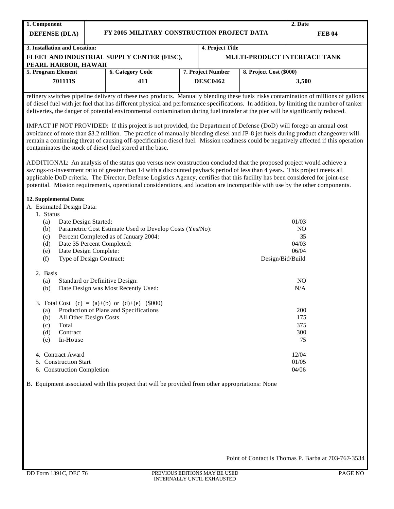| 1. Component<br><b>DEFENSE (DLA)</b>                | FY 2005 MILITARY CONSTRUCTION PROJECT DATA                                                                                                                                                                                                                                                                                                                                                                                                                                                                                              |                   |                         | 2. Date<br><b>FEB 04</b>     |
|-----------------------------------------------------|-----------------------------------------------------------------------------------------------------------------------------------------------------------------------------------------------------------------------------------------------------------------------------------------------------------------------------------------------------------------------------------------------------------------------------------------------------------------------------------------------------------------------------------------|-------------------|-------------------------|------------------------------|
| 3. Installation and Location:                       |                                                                                                                                                                                                                                                                                                                                                                                                                                                                                                                                         | 4. Project Title  |                         |                              |
|                                                     | FLEET AND INDUSTRIAL SUPPLY CENTER (FISC),                                                                                                                                                                                                                                                                                                                                                                                                                                                                                              |                   |                         | MULTI-PRODUCT INTERFACE TANK |
| PEARL HARBOR, HAWAII                                |                                                                                                                                                                                                                                                                                                                                                                                                                                                                                                                                         |                   |                         |                              |
| 5. Program Element                                  | <b>6. Category Code</b>                                                                                                                                                                                                                                                                                                                                                                                                                                                                                                                 | 7. Project Number | 8. Project Cost (\$000) |                              |
| 701111S                                             | 411                                                                                                                                                                                                                                                                                                                                                                                                                                                                                                                                     | <b>DESC0462</b>   |                         | 3,500                        |
|                                                     | refinery switches pipeline delivery of these two products. Manually blending these fuels risks contamination of millions of gallons<br>of diesel fuel with jet fuel that has different physical and performance specifications. In addition, by limiting the number of tanker<br>deliveries, the danger of potential environmental contamination during fuel transfer at the pier will be significantly reduced.<br>IMPACT IF NOT PROVIDED: If this project is not provided, the Department of Defense (DoD) will forego an annual cost |                   |                         |                              |
|                                                     | avoidance of more than \$3.2 million. The practice of manually blending diesel and JP-8 jet fuels during product changeover will<br>remain a continuing threat of causing off-specification diesel fuel. Mission readiness could be negatively affected if this operation<br>contaminates the stock of diesel fuel stored at the base.                                                                                                                                                                                                  |                   |                         |                              |
|                                                     | ADDITIONAL: An analysis of the status quo versus new construction concluded that the proposed project would achieve a<br>savings-to-investment ratio of greater than 14 with a discounted payback period of less than 4 years. This project meets all<br>applicable DoD criteria. The Director, Defense Logistics Agency, certifies that this facility has been considered for joint-use<br>potential. Mission requirements, operational considerations, and location are incompatible with use by the other components.                |                   |                         |                              |
|                                                     |                                                                                                                                                                                                                                                                                                                                                                                                                                                                                                                                         |                   |                         |                              |
| 12. Supplemental Data:<br>A. Estimated Design Data: |                                                                                                                                                                                                                                                                                                                                                                                                                                                                                                                                         |                   |                         |                              |
| 1. Status                                           |                                                                                                                                                                                                                                                                                                                                                                                                                                                                                                                                         |                   |                         |                              |
| Date Design Started:<br>(a)                         |                                                                                                                                                                                                                                                                                                                                                                                                                                                                                                                                         |                   |                         | 01/03                        |
| (b)                                                 | Parametric Cost Estimate Used to Develop Costs (Yes/No):                                                                                                                                                                                                                                                                                                                                                                                                                                                                                |                   |                         | N <sub>O</sub>               |
| (c)                                                 | Percent Completed as of January 2004:                                                                                                                                                                                                                                                                                                                                                                                                                                                                                                   |                   |                         | 35                           |
| (d)                                                 | Date 35 Percent Completed:                                                                                                                                                                                                                                                                                                                                                                                                                                                                                                              |                   |                         | 04/03                        |
| (e)<br>(f)                                          | Date Design Complete:<br>Type of Design Contract:                                                                                                                                                                                                                                                                                                                                                                                                                                                                                       |                   | Design/Bid/Build        | 06/04                        |
| 2. Basis                                            |                                                                                                                                                                                                                                                                                                                                                                                                                                                                                                                                         |                   |                         |                              |
| (a)                                                 | Standard or Definitive Design:                                                                                                                                                                                                                                                                                                                                                                                                                                                                                                          |                   |                         | NO.                          |
| (b)                                                 | Date Design was Most Recently Used:                                                                                                                                                                                                                                                                                                                                                                                                                                                                                                     |                   |                         | N/A                          |
|                                                     | 3. Total Cost (c) = (a)+(b) or (d)+(e) $(\$000)$                                                                                                                                                                                                                                                                                                                                                                                                                                                                                        |                   |                         |                              |
| (a)                                                 | Production of Plans and Specifications                                                                                                                                                                                                                                                                                                                                                                                                                                                                                                  |                   |                         | 200                          |
| (b)                                                 | All Other Design Costs                                                                                                                                                                                                                                                                                                                                                                                                                                                                                                                  |                   |                         | 175                          |
| Total<br>(c)                                        |                                                                                                                                                                                                                                                                                                                                                                                                                                                                                                                                         |                   |                         | 375                          |
| Contract<br>(d)<br>In-House<br>(e)                  |                                                                                                                                                                                                                                                                                                                                                                                                                                                                                                                                         |                   |                         | 300<br>75                    |
|                                                     |                                                                                                                                                                                                                                                                                                                                                                                                                                                                                                                                         |                   |                         |                              |
| 4. Contract Award<br>5. Construction Start          |                                                                                                                                                                                                                                                                                                                                                                                                                                                                                                                                         |                   |                         | 12/04<br>01/05               |

Point of Contact is Thomas P. Barba at 703-767-3534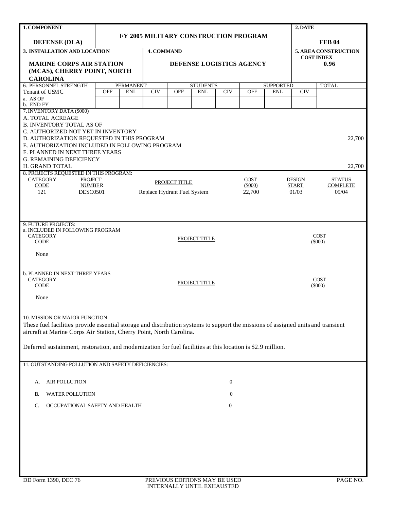| 1. COMPONENT                                                                                                                                                                                                                                                                                                                                            |            |                  |                   |                                              |                                       |                  |                                    |                  | 2. DATE                                |                                                  |
|---------------------------------------------------------------------------------------------------------------------------------------------------------------------------------------------------------------------------------------------------------------------------------------------------------------------------------------------------------|------------|------------------|-------------------|----------------------------------------------|---------------------------------------|------------------|------------------------------------|------------------|----------------------------------------|--------------------------------------------------|
|                                                                                                                                                                                                                                                                                                                                                         |            |                  |                   |                                              | FY 2005 MILITARY CONSTRUCTION PROGRAM |                  |                                    |                  |                                        |                                                  |
| <b>DEFENSE (DLA)</b>                                                                                                                                                                                                                                                                                                                                    |            |                  |                   |                                              |                                       |                  |                                    |                  |                                        | <b>FEB 04</b>                                    |
| 3. INSTALLATION AND LOCATION                                                                                                                                                                                                                                                                                                                            |            |                  | <b>4. COMMAND</b> |                                              |                                       |                  |                                    |                  |                                        | <b>5. AREA CONSTRUCTION</b><br><b>COST INDEX</b> |
| <b>MARINE CORPS AIR STATION</b><br>(MCAS), CHERRY POINT, NORTH<br><b>CAROLINA</b>                                                                                                                                                                                                                                                                       |            |                  |                   |                                              | DEFENSE LOGISTICS AGENCY              |                  |                                    |                  |                                        | 0.96                                             |
| 6. PERSONNEL STRENGTH                                                                                                                                                                                                                                                                                                                                   |            | <b>PERMANENT</b> |                   |                                              | <b>STUDENTS</b>                       |                  |                                    | <b>SUPPORTED</b> |                                        | <b>TOTAL</b>                                     |
| Tenant of USMC                                                                                                                                                                                                                                                                                                                                          | <b>OFF</b> | <b>ENL</b>       | CIV               | <b>OFF</b>                                   | <b>ENL</b>                            | CIV              | <b>OFF</b>                         | <b>ENL</b>       | CIV                                    |                                                  |
| a. AS OF<br>b. END FY                                                                                                                                                                                                                                                                                                                                   |            |                  |                   |                                              |                                       |                  |                                    |                  |                                        |                                                  |
| 7. INVENTORY DATA (\$000)                                                                                                                                                                                                                                                                                                                               |            |                  |                   |                                              |                                       |                  |                                    |                  |                                        |                                                  |
| A. TOTAL ACREAGE<br><b>B. INVENTORY TOTAL AS OF</b><br>C. AUTHORIZED NOT YET IN INVENTORY<br>D. AUTHORIZATION REQUESTED IN THIS PROGRAM<br>E. AUTHORIZATION INCLUDED IN FOLLOWING PROGRAM<br>F. PLANNED IN NEXT THREE YEARS<br><b>G. REMAINING DEFICIENCY</b>                                                                                           |            |                  |                   |                                              |                                       |                  |                                    |                  |                                        | 22,700                                           |
| H. GRAND TOTAL                                                                                                                                                                                                                                                                                                                                          |            |                  |                   |                                              |                                       |                  |                                    |                  |                                        | 22,700                                           |
| 8. PROJECTS REQUESTED IN THIS PROGRAM:<br><b>CATEGORY</b><br><b>PROJECT</b><br>CODE<br><b>NUMBER</b><br>121<br><b>DESC0501</b>                                                                                                                                                                                                                          |            |                  |                   | PROJECT TITLE<br>Replace Hydrant Fuel System |                                       |                  | <b>COST</b><br>$(\$000)$<br>22,700 |                  | <b>DESIGN</b><br><b>START</b><br>01/03 | <b>STATUS</b><br><b>COMPLETE</b><br>09/04        |
| 9. FUTURE PROJECTS:<br>a. INCLUDED IN FOLLOWING PROGRAM<br><b>CATEGORY</b><br><b>CODE</b><br>None                                                                                                                                                                                                                                                       |            |                  |                   |                                              | PROJECT TITLE                         |                  |                                    |                  |                                        | <b>COST</b><br>$(\$000)$                         |
| <b>b. PLANNED IN NEXT THREE YEARS</b><br><b>CATEGORY</b><br>CODE<br>None                                                                                                                                                                                                                                                                                |            |                  |                   |                                              | PROJECT TITLE                         |                  |                                    |                  |                                        | <b>COST</b><br>(5000)                            |
| 10. MISSION OR MAJOR FUNCTION<br>These fuel facilities provide essential storage and distribution systems to support the missions of assigned units and transient<br>aircraft at Marine Corps Air Station, Cherry Point, North Carolina.<br>Deferred sustainment, restoration, and modernization for fuel facilities at this location is \$2.9 million. |            |                  |                   |                                              |                                       |                  |                                    |                  |                                        |                                                  |
| 11. OUTSTANDING POLLUTION AND SAFETY DEFICIENCIES:                                                                                                                                                                                                                                                                                                      |            |                  |                   |                                              |                                       |                  |                                    |                  |                                        |                                                  |
| <b>AIR POLLUTION</b><br>А.                                                                                                                                                                                                                                                                                                                              |            |                  |                   |                                              |                                       | $\overline{0}$   |                                    |                  |                                        |                                                  |
| <b>WATER POLLUTION</b><br>В.                                                                                                                                                                                                                                                                                                                            |            |                  |                   |                                              |                                       | $\mathbf{0}$     |                                    |                  |                                        |                                                  |
| OCCUPATIONAL SAFETY AND HEALTH<br>C.                                                                                                                                                                                                                                                                                                                    |            |                  |                   |                                              |                                       | $\boldsymbol{0}$ |                                    |                  |                                        |                                                  |
|                                                                                                                                                                                                                                                                                                                                                         |            |                  |                   |                                              |                                       |                  |                                    |                  |                                        |                                                  |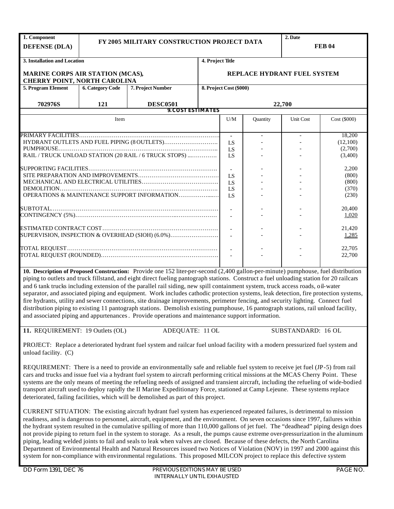| 1. Component<br><b>DEFENSE (DLA)</b>                                    |                         | FY 2005 MILITARY CONSTRUCTION PROJECT DATA                                                                                                                                                                                                                                                                                                                                                                                                                                                                                                                                                                                         |                  |                         |          | 2. Date                     | <b>FEB 04</b>    |
|-------------------------------------------------------------------------|-------------------------|------------------------------------------------------------------------------------------------------------------------------------------------------------------------------------------------------------------------------------------------------------------------------------------------------------------------------------------------------------------------------------------------------------------------------------------------------------------------------------------------------------------------------------------------------------------------------------------------------------------------------------|------------------|-------------------------|----------|-----------------------------|------------------|
| 3. Installation and Location                                            |                         |                                                                                                                                                                                                                                                                                                                                                                                                                                                                                                                                                                                                                                    | 4. Project Title |                         |          |                             |                  |
| MARINE CORPS AIR STATION (MCAS),<br><b>CHERRY POINT, NORTH CAROLINA</b> |                         |                                                                                                                                                                                                                                                                                                                                                                                                                                                                                                                                                                                                                                    |                  |                         |          | REPLACE HYDRANT FUEL SYSTEM |                  |
| 5. Program Element                                                      | <b>6. Category Code</b> | 7. Project Number                                                                                                                                                                                                                                                                                                                                                                                                                                                                                                                                                                                                                  |                  | 8. Project Cost (\$000) |          |                             |                  |
| 702976S                                                                 | 121                     | <b>DESC0501</b>                                                                                                                                                                                                                                                                                                                                                                                                                                                                                                                                                                                                                    |                  |                         |          | 22,700                      |                  |
|                                                                         |                         | <b>9. COST ESTIMATES</b>                                                                                                                                                                                                                                                                                                                                                                                                                                                                                                                                                                                                           |                  |                         |          |                             |                  |
|                                                                         | Item                    |                                                                                                                                                                                                                                                                                                                                                                                                                                                                                                                                                                                                                                    |                  | U/M                     | Quantity | Unit Cost                   | Cost (\$000)     |
|                                                                         |                         |                                                                                                                                                                                                                                                                                                                                                                                                                                                                                                                                                                                                                                    |                  | $\sim$                  |          |                             | 18,200           |
|                                                                         |                         |                                                                                                                                                                                                                                                                                                                                                                                                                                                                                                                                                                                                                                    |                  | LS                      |          |                             | (12,100)         |
|                                                                         |                         |                                                                                                                                                                                                                                                                                                                                                                                                                                                                                                                                                                                                                                    |                  | LS                      |          |                             | (2,700)          |
|                                                                         |                         | RAIL / TRUCK UNLOAD STATION (20 RAIL / 6 TRUCK STOPS)                                                                                                                                                                                                                                                                                                                                                                                                                                                                                                                                                                              |                  | LS                      |          |                             | (3,400)          |
|                                                                         |                         |                                                                                                                                                                                                                                                                                                                                                                                                                                                                                                                                                                                                                                    |                  |                         |          |                             | 2,200            |
|                                                                         |                         |                                                                                                                                                                                                                                                                                                                                                                                                                                                                                                                                                                                                                                    |                  | LS                      |          |                             | (800)            |
|                                                                         |                         |                                                                                                                                                                                                                                                                                                                                                                                                                                                                                                                                                                                                                                    |                  | LS                      |          |                             | (800)            |
|                                                                         |                         |                                                                                                                                                                                                                                                                                                                                                                                                                                                                                                                                                                                                                                    |                  | LS                      |          |                             | (370)            |
|                                                                         |                         | OPERATIONS & MAINTENANCE SUPPORT INFORMATION                                                                                                                                                                                                                                                                                                                                                                                                                                                                                                                                                                                       |                  | LS                      |          |                             | (230)            |
|                                                                         |                         |                                                                                                                                                                                                                                                                                                                                                                                                                                                                                                                                                                                                                                    |                  | $\sim$                  |          |                             | 20,400           |
|                                                                         |                         |                                                                                                                                                                                                                                                                                                                                                                                                                                                                                                                                                                                                                                    |                  |                         |          |                             | 1,020            |
|                                                                         |                         |                                                                                                                                                                                                                                                                                                                                                                                                                                                                                                                                                                                                                                    |                  |                         |          |                             |                  |
|                                                                         |                         |                                                                                                                                                                                                                                                                                                                                                                                                                                                                                                                                                                                                                                    |                  | $\sim$                  |          |                             | 21,420           |
|                                                                         |                         | SUPERVISION, INSPECTION & OVERHEAD (SIOH) (6.0%)                                                                                                                                                                                                                                                                                                                                                                                                                                                                                                                                                                                   |                  |                         |          |                             | 1,285            |
|                                                                         |                         |                                                                                                                                                                                                                                                                                                                                                                                                                                                                                                                                                                                                                                    |                  |                         |          |                             |                  |
|                                                                         |                         |                                                                                                                                                                                                                                                                                                                                                                                                                                                                                                                                                                                                                                    |                  |                         |          |                             | 22,705<br>22,700 |
|                                                                         |                         |                                                                                                                                                                                                                                                                                                                                                                                                                                                                                                                                                                                                                                    |                  |                         |          |                             |                  |
|                                                                         |                         | 10. Description of Proposed Construction: Provide one 152 liter-per-second (2,400 gallon-per-minute) pumphouse, fuel distribution<br>piping to outlets and truck fillstand, and eight direct fueling pantograph stations. Construct a fuel unloading station for 20 railcars                                                                                                                                                                                                                                                                                                                                                       |                  |                         |          |                             |                  |
|                                                                         |                         | and 6 tank trucks including extension of the parallel rail siding, new spill containment system, truck access roads, oil-water<br>separator, and associated piping and equipment. Work includes cathodic protection systems, leak detection, fire protection systems,                                                                                                                                                                                                                                                                                                                                                              |                  |                         |          |                             |                  |
|                                                                         |                         | fire hydrants, utility and sewer connections, site drainage improvements, perimeter fencing, and security lighting. Connect fuel                                                                                                                                                                                                                                                                                                                                                                                                                                                                                                   |                  |                         |          |                             |                  |
|                                                                         |                         | distribution piping to existing 11 pantograph stations. Demolish existing pumphouse, 16 pantograph stations, rail unload facility,                                                                                                                                                                                                                                                                                                                                                                                                                                                                                                 |                  |                         |          |                             |                  |
|                                                                         |                         | and associated piping and appurtenances. Provide operations and maintenance support information.                                                                                                                                                                                                                                                                                                                                                                                                                                                                                                                                   |                  |                         |          |                             |                  |
|                                                                         |                         |                                                                                                                                                                                                                                                                                                                                                                                                                                                                                                                                                                                                                                    |                  |                         |          |                             |                  |
| 11. REQUIREMENT: 19 Outlets (OL)                                        |                         | ADEQUATE: 11 OL                                                                                                                                                                                                                                                                                                                                                                                                                                                                                                                                                                                                                    |                  |                         |          | SUBSTANDARD: 16 OL          |                  |
| unload facility. (C)                                                    |                         | PROJECT: Replace a deteriorated hydrant fuel system and railcar fuel unload facility with a modern pressurized fuel system and                                                                                                                                                                                                                                                                                                                                                                                                                                                                                                     |                  |                         |          |                             |                  |
|                                                                         |                         | REQUIREMENT: There is a need to provide an environmentally safe and reliable fuel system to receive jet fuel (JP-5) from rail<br>cars and trucks and issue fuel via a hydrant fuel system to aircraft performing critical missions at the MCAS Cherry Point. These<br>systems are the only means of meeting the refueling needs of assigned and transient aircraft, including the refueling of wide-bodied<br>transport aircraft used to deploy rapidly the II Marine Expeditionary Force, stationed at Camp Lejeune. These systems replace<br>deteriorated, failing facilities, which will be demolished as part of this project. |                  |                         |          |                             |                  |
|                                                                         |                         | CURRENT SITUATION: The existing aircraft hydrant fuel system has experienced repeated failures, is detrimental to mission<br>readiness, and is dangerous to personnel, aircraft, equipment, and the environment. On seven occasions since 1997, failures within<br>the hydrant system resulted in the cumulative spilling of more than 110,000 gallons of jet fuel. The "deadhead" piping design does                                                                                                                                                                                                                              |                  |                         |          |                             |                  |

not provide piping to return fuel in the system to storage. As a result, the pumps cause extreme over-pressurization in the aluminum piping, leading welded joints to fail and seals to leak when valves are closed. Because of these defects, the North Carolina Department of Environmental Health and Natural Resources issued two Notices of Violation (NOV) in 1997 and 2000 against this system for non-compliance with environmental regulations. This proposed MILCON project to replace this defective system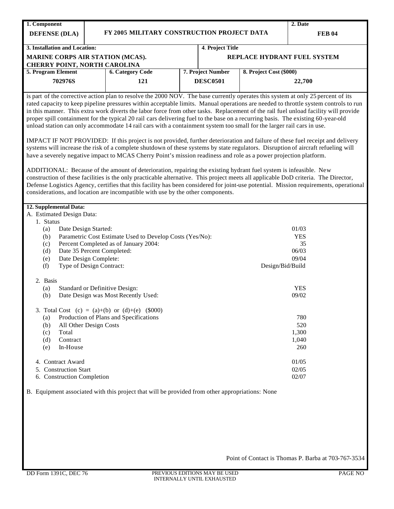| 1. Component                             |                                                                                                                                                                                                                                                                                                                                                                                                                                                                                                                                                                                                                                                                             |                   |                         | 2. Date                     |
|------------------------------------------|-----------------------------------------------------------------------------------------------------------------------------------------------------------------------------------------------------------------------------------------------------------------------------------------------------------------------------------------------------------------------------------------------------------------------------------------------------------------------------------------------------------------------------------------------------------------------------------------------------------------------------------------------------------------------------|-------------------|-------------------------|-----------------------------|
| <b>DEFENSE (DLA)</b>                     | FY 2005 MILITARY CONSTRUCTION PROJECT DATA                                                                                                                                                                                                                                                                                                                                                                                                                                                                                                                                                                                                                                  |                   |                         | <b>FEB 04</b>               |
|                                          |                                                                                                                                                                                                                                                                                                                                                                                                                                                                                                                                                                                                                                                                             |                   |                         |                             |
| 3. Installation and Location:            |                                                                                                                                                                                                                                                                                                                                                                                                                                                                                                                                                                                                                                                                             | 4. Project Title  |                         |                             |
| <b>CHERRY POINT, NORTH CAROLINA</b>      | MARINE CORPS AIR STATION (MCAS).                                                                                                                                                                                                                                                                                                                                                                                                                                                                                                                                                                                                                                            |                   |                         | REPLACE HYDRANT FUEL SYSTEM |
| 5. Program Element                       | <b>6. Category Code</b>                                                                                                                                                                                                                                                                                                                                                                                                                                                                                                                                                                                                                                                     | 7. Project Number | 8. Project Cost (\$000) |                             |
| 702976S                                  | 121                                                                                                                                                                                                                                                                                                                                                                                                                                                                                                                                                                                                                                                                         | <b>DESC0501</b>   |                         | 22,700                      |
|                                          |                                                                                                                                                                                                                                                                                                                                                                                                                                                                                                                                                                                                                                                                             |                   |                         |                             |
|                                          | is part of the corrective action plan to resolve the 2000 NOV. The base currently operates this system at only 25 percent of its<br>rated capacity to keep pipeline pressures within acceptable limits. Manual operations are needed to throttle system controls to run<br>in this manner. This extra work diverts the labor force from other tasks. Replacement of the rail fuel unload facility will provide<br>proper spill containment for the typical 20 rail cars delivering fuel to the base on a recurring basis. The existing 60-year-old<br>unload station can only accommodate 14 rail cars with a containment system too small for the larger rail cars in use. |                   |                         |                             |
|                                          | IMPACT IF NOT PROVIDED: If this project is not provided, further deterioration and failure of these fuel receipt and delivery<br>systems will increase the risk of a complete shutdown of these systems by state regulators. Disruption of aircraft refueling will<br>have a severely negative impact to MCAS Cherry Point's mission readiness and role as a power projection platform.                                                                                                                                                                                                                                                                                     |                   |                         |                             |
|                                          | ADDITIONAL: Because of the amount of deterioration, repairing the existing hydrant fuel system is infeasible. New<br>construction of these facilities is the only practicable alternative. This project meets all applicable DoD criteria. The Director,<br>Defense Logistics Agency, certifies that this facility has been considered for joint-use potential. Mission requirements, operational<br>considerations, and location are incompatible with use by the other components.                                                                                                                                                                                        |                   |                         |                             |
| 12. Supplemental Data:                   |                                                                                                                                                                                                                                                                                                                                                                                                                                                                                                                                                                                                                                                                             |                   |                         |                             |
| A. Estimated Design Data:                |                                                                                                                                                                                                                                                                                                                                                                                                                                                                                                                                                                                                                                                                             |                   |                         |                             |
| 1. Status<br>Date Design Started:<br>(a) |                                                                                                                                                                                                                                                                                                                                                                                                                                                                                                                                                                                                                                                                             |                   |                         | 01/03                       |
| (b)                                      | Parametric Cost Estimate Used to Develop Costs (Yes/No):                                                                                                                                                                                                                                                                                                                                                                                                                                                                                                                                                                                                                    |                   |                         | <b>YES</b>                  |
| (c)                                      | Percent Completed as of January 2004:                                                                                                                                                                                                                                                                                                                                                                                                                                                                                                                                                                                                                                       |                   |                         | 35                          |
| (d)                                      | Date 35 Percent Completed:                                                                                                                                                                                                                                                                                                                                                                                                                                                                                                                                                                                                                                                  |                   |                         | 06/03                       |
| (e)                                      | Date Design Complete:                                                                                                                                                                                                                                                                                                                                                                                                                                                                                                                                                                                                                                                       |                   |                         | 09/04                       |
| (f)                                      | Type of Design Contract:                                                                                                                                                                                                                                                                                                                                                                                                                                                                                                                                                                                                                                                    |                   | Design/Bid/Build        |                             |
| 2. Basis                                 |                                                                                                                                                                                                                                                                                                                                                                                                                                                                                                                                                                                                                                                                             |                   |                         |                             |
| (a)                                      | Standard or Definitive Design:                                                                                                                                                                                                                                                                                                                                                                                                                                                                                                                                                                                                                                              |                   |                         | <b>YES</b>                  |
| (b)                                      | Date Design was Most Recently Used:                                                                                                                                                                                                                                                                                                                                                                                                                                                                                                                                                                                                                                         |                   |                         | 09/02                       |
|                                          | 3. Total Cost (c) = (a)+(b) or (d)+(e) $(\$000)$                                                                                                                                                                                                                                                                                                                                                                                                                                                                                                                                                                                                                            |                   |                         |                             |
| (a)                                      | Production of Plans and Specifications                                                                                                                                                                                                                                                                                                                                                                                                                                                                                                                                                                                                                                      |                   |                         | 780                         |
| (b)                                      | All Other Design Costs                                                                                                                                                                                                                                                                                                                                                                                                                                                                                                                                                                                                                                                      |                   |                         | 520                         |
| Total<br>(c)                             |                                                                                                                                                                                                                                                                                                                                                                                                                                                                                                                                                                                                                                                                             |                   |                         | 1,300                       |
| Contract<br>(d)                          |                                                                                                                                                                                                                                                                                                                                                                                                                                                                                                                                                                                                                                                                             |                   |                         | 1,040                       |
| In-House<br>(e)                          |                                                                                                                                                                                                                                                                                                                                                                                                                                                                                                                                                                                                                                                                             |                   |                         | 260                         |
| 4. Contract Award                        |                                                                                                                                                                                                                                                                                                                                                                                                                                                                                                                                                                                                                                                                             |                   |                         | 01/05                       |
| 5. Construction Start                    |                                                                                                                                                                                                                                                                                                                                                                                                                                                                                                                                                                                                                                                                             |                   |                         | 02/05                       |
| 6. Construction Completion               |                                                                                                                                                                                                                                                                                                                                                                                                                                                                                                                                                                                                                                                                             |                   |                         | 02/07                       |
|                                          | B. Equipment associated with this project that will be provided from other appropriations: None                                                                                                                                                                                                                                                                                                                                                                                                                                                                                                                                                                             |                   |                         |                             |
|                                          |                                                                                                                                                                                                                                                                                                                                                                                                                                                                                                                                                                                                                                                                             |                   |                         |                             |
|                                          |                                                                                                                                                                                                                                                                                                                                                                                                                                                                                                                                                                                                                                                                             |                   |                         |                             |
|                                          |                                                                                                                                                                                                                                                                                                                                                                                                                                                                                                                                                                                                                                                                             |                   |                         |                             |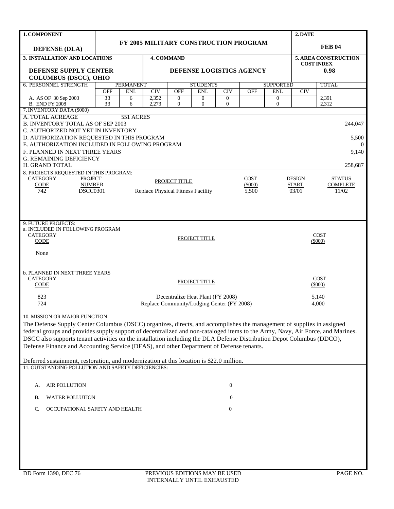| 1. COMPONENT                                                                                                                                                                                                                                             |            |                  |                                   |                              |                                            |                              |             |                          | 2. DATE                   |                |  |
|----------------------------------------------------------------------------------------------------------------------------------------------------------------------------------------------------------------------------------------------------------|------------|------------------|-----------------------------------|------------------------------|--------------------------------------------|------------------------------|-------------|--------------------------|---------------------------|----------------|--|
|                                                                                                                                                                                                                                                          |            |                  |                                   |                              | FY 2005 MILITARY CONSTRUCTION PROGRAM      |                              |             |                          |                           |                |  |
| <b>DEFENSE (DLA)</b>                                                                                                                                                                                                                                     |            |                  |                                   |                              |                                            |                              |             |                          |                           | <b>FEB 04</b>  |  |
| <b>3. INSTALLATION AND LOCATIONS</b>                                                                                                                                                                                                                     |            |                  |                                   |                              | <b>5. AREA CONSTRUCTION</b>                |                              |             |                          |                           |                |  |
| DEFENSE SUPPLY CENTER                                                                                                                                                                                                                                    |            |                  |                                   |                              | DEFENSE LOGISTICS AGENCY                   |                              |             |                          | <b>COST INDEX</b><br>0.98 |                |  |
| <b>COLUMBUS (DSCC), OHIO</b>                                                                                                                                                                                                                             |            |                  |                                   |                              |                                            |                              |             |                          |                           |                |  |
| <b>6. PERSONNEL STRENGTH</b>                                                                                                                                                                                                                             |            | <b>PERMANENT</b> |                                   |                              | <b>STUDENTS</b>                            |                              |             | <b>SUPPORTED</b>         |                           | <b>TOTAL</b>   |  |
|                                                                                                                                                                                                                                                          | <b>OFF</b> | <b>ENL</b>       | CIV                               | <b>OFF</b>                   | <b>ENL</b>                                 | CIV                          | <b>OFF</b>  | <b>ENL</b>               | <b>CIV</b>                |                |  |
| A. AS OF 30 Sep 2003<br><b>B. END FY 2008</b>                                                                                                                                                                                                            | 33<br>33   | 6<br>6           | 2,352<br>2,273                    | $\boldsymbol{0}$<br>$\theta$ | $\overline{0}$<br>$\overline{0}$           | $\mathbf{0}$<br>$\mathbf{0}$ |             | $\theta$<br>$\mathbf{0}$ |                           | 2,391<br>2,312 |  |
| 7. INVENTORY DATA (\$000)                                                                                                                                                                                                                                |            |                  |                                   |                              |                                            |                              |             |                          |                           |                |  |
| A. TOTAL ACREAGE                                                                                                                                                                                                                                         |            | 551 ACRES        |                                   |                              |                                            |                              |             |                          |                           |                |  |
| <b>B. INVENTORY TOTAL AS OF SEP 2003</b>                                                                                                                                                                                                                 |            |                  |                                   |                              |                                            |                              |             |                          |                           | 244,047        |  |
| C. AUTHORIZED NOT YET IN INVENTORY<br>D. AUTHORIZATION REQUESTED IN THIS PROGRAM                                                                                                                                                                         |            |                  |                                   |                              |                                            |                              |             |                          |                           | 5,500          |  |
| E. AUTHORIZATION INCLUDED IN FOLLOWING PROGRAM                                                                                                                                                                                                           |            |                  |                                   |                              |                                            |                              |             |                          |                           | $\Omega$       |  |
| F. PLANNED IN NEXT THREE YEARS                                                                                                                                                                                                                           |            |                  |                                   |                              |                                            |                              |             |                          |                           | 9,140          |  |
| <b>G. REMAINING DEFICIENCY</b>                                                                                                                                                                                                                           |            |                  |                                   |                              |                                            |                              |             |                          |                           |                |  |
| H. GRAND TOTAL                                                                                                                                                                                                                                           |            |                  |                                   |                              |                                            |                              |             |                          |                           | 258.687        |  |
| 8. PROJECTS REQUESTED IN THIS PROGRAM:<br><b>CATEGORY</b><br><b>PROJECT</b>                                                                                                                                                                              |            |                  |                                   |                              |                                            |                              | <b>COST</b> |                          | <b>DESIGN</b>             | <b>STATUS</b>  |  |
| CODE<br><b>NUMBER</b>                                                                                                                                                                                                                                    |            |                  | PROJECT TITLE                     | <b>START</b>                 | <b>COMPLETE</b>                            |                              |             |                          |                           |                |  |
| 742<br><b>DSCC0301</b>                                                                                                                                                                                                                                   |            |                  | Replace Physical Fitness Facility | 03/01                        | 11/02                                      |                              |             |                          |                           |                |  |
|                                                                                                                                                                                                                                                          |            |                  |                                   |                              |                                            |                              |             |                          |                           |                |  |
|                                                                                                                                                                                                                                                          |            |                  |                                   |                              |                                            |                              |             |                          |                           |                |  |
|                                                                                                                                                                                                                                                          |            |                  |                                   |                              |                                            |                              |             |                          |                           |                |  |
| 9. FUTURE PROJECTS:<br>a. INCLUDED IN FOLLOWING PROGRAM                                                                                                                                                                                                  |            |                  |                                   |                              |                                            |                              |             |                          |                           |                |  |
| <b>CATEGORY</b>                                                                                                                                                                                                                                          |            |                  |                                   |                              | PROJECT TITLE                              |                              |             |                          |                           | <b>COST</b>    |  |
| <b>CODE</b>                                                                                                                                                                                                                                              |            |                  |                                   |                              |                                            |                              |             |                          |                           | (5000)         |  |
| None                                                                                                                                                                                                                                                     |            |                  |                                   |                              |                                            |                              |             |                          |                           |                |  |
|                                                                                                                                                                                                                                                          |            |                  |                                   |                              |                                            |                              |             |                          |                           |                |  |
|                                                                                                                                                                                                                                                          |            |                  |                                   |                              |                                            |                              |             |                          |                           |                |  |
| <b>b. PLANNED IN NEXT THREE YEARS</b><br><b>CATEGORY</b>                                                                                                                                                                                                 |            |                  |                                   |                              |                                            |                              |             |                          |                           | <b>COST</b>    |  |
| <b>CODE</b>                                                                                                                                                                                                                                              |            |                  |                                   |                              | PROJECT TITLE                              |                              |             |                          |                           | $(\$000)$      |  |
| 823                                                                                                                                                                                                                                                      |            |                  |                                   |                              | Decentralize Heat Plant (FY 2008)          |                              |             |                          |                           | 5,140          |  |
| 724                                                                                                                                                                                                                                                      |            |                  |                                   |                              | Replace Community/Lodging Center (FY 2008) |                              |             |                          |                           | 4,000          |  |
|                                                                                                                                                                                                                                                          |            |                  |                                   |                              |                                            |                              |             |                          |                           |                |  |
| 10. MISSION OR MAJOR FUNCTION                                                                                                                                                                                                                            |            |                  |                                   |                              |                                            |                              |             |                          |                           |                |  |
| The Defense Supply Center Columbus (DSCC) organizes, directs, and accomplishes the management of supplies in assigned                                                                                                                                    |            |                  |                                   |                              |                                            |                              |             |                          |                           |                |  |
| federal groups and provides supply support of decentralized and non-cataloged items to the Army, Navy, Air Force, and Marines.<br>DSCC also supports tenant activities on the installation including the DLA Defense Distribution Depot Columbus (DDCO), |            |                  |                                   |                              |                                            |                              |             |                          |                           |                |  |
| Defense Finance and Accounting Service (DFAS), and other Department of Defense tenants.                                                                                                                                                                  |            |                  |                                   |                              |                                            |                              |             |                          |                           |                |  |
|                                                                                                                                                                                                                                                          |            |                  |                                   |                              |                                            |                              |             |                          |                           |                |  |
| Deferred sustainment, restoration, and modernization at this location is \$22.0 million.                                                                                                                                                                 |            |                  |                                   |                              |                                            |                              |             |                          |                           |                |  |
| 11. OUTSTANDING POLLUTION AND SAFETY DEFICIENCIES:                                                                                                                                                                                                       |            |                  |                                   |                              |                                            |                              |             |                          |                           |                |  |
|                                                                                                                                                                                                                                                          |            |                  |                                   |                              |                                            |                              |             |                          |                           |                |  |
| <b>AIR POLLUTION</b><br>А.                                                                                                                                                                                                                               |            |                  |                                   |                              |                                            | $\boldsymbol{0}$             |             |                          |                           |                |  |
| <b>WATER POLLUTION</b><br>В.                                                                                                                                                                                                                             |            |                  |                                   |                              |                                            | 0                            |             |                          |                           |                |  |
| C.<br>OCCUPATIONAL SAFETY AND HEALTH                                                                                                                                                                                                                     |            |                  |                                   |                              |                                            | $\boldsymbol{0}$             |             |                          |                           |                |  |
|                                                                                                                                                                                                                                                          |            |                  |                                   |                              |                                            |                              |             |                          |                           |                |  |
|                                                                                                                                                                                                                                                          |            |                  |                                   |                              |                                            |                              |             |                          |                           |                |  |
|                                                                                                                                                                                                                                                          |            |                  |                                   |                              |                                            |                              |             |                          |                           |                |  |
|                                                                                                                                                                                                                                                          |            |                  |                                   |                              |                                            |                              |             |                          |                           |                |  |
|                                                                                                                                                                                                                                                          |            |                  |                                   |                              |                                            |                              |             |                          |                           |                |  |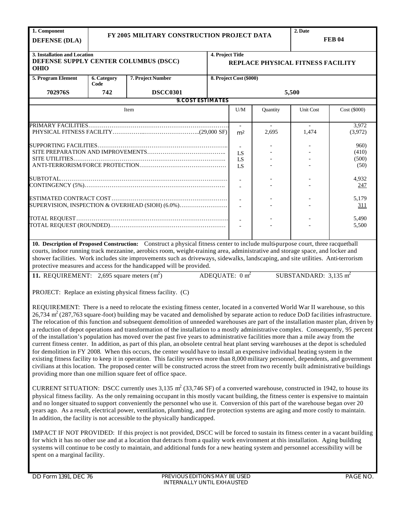| 1. Component                                                                         |                     |                                                                                                                                                                                                                                                                                                                                                                                                                                                                                                                                                                                                                                                                                                                                                                                                                                                                                                                                                                                                                                                                                                                                                                                                                                                                                                                                                                                                                                                                                                                                                                                                                                                                                                                                                                                                                                                                                           |                           |                          |                       | 2. Date                           |                  |
|--------------------------------------------------------------------------------------|---------------------|-------------------------------------------------------------------------------------------------------------------------------------------------------------------------------------------------------------------------------------------------------------------------------------------------------------------------------------------------------------------------------------------------------------------------------------------------------------------------------------------------------------------------------------------------------------------------------------------------------------------------------------------------------------------------------------------------------------------------------------------------------------------------------------------------------------------------------------------------------------------------------------------------------------------------------------------------------------------------------------------------------------------------------------------------------------------------------------------------------------------------------------------------------------------------------------------------------------------------------------------------------------------------------------------------------------------------------------------------------------------------------------------------------------------------------------------------------------------------------------------------------------------------------------------------------------------------------------------------------------------------------------------------------------------------------------------------------------------------------------------------------------------------------------------------------------------------------------------------------------------------------------------|---------------------------|--------------------------|-----------------------|-----------------------------------|------------------|
|                                                                                      |                     | FY 2005 MILITARY CONSTRUCTION PROJECT DATA                                                                                                                                                                                                                                                                                                                                                                                                                                                                                                                                                                                                                                                                                                                                                                                                                                                                                                                                                                                                                                                                                                                                                                                                                                                                                                                                                                                                                                                                                                                                                                                                                                                                                                                                                                                                                                                |                           |                          |                       |                                   | <b>FEB 04</b>    |
| <b>DEFENSE (DLA)</b>                                                                 |                     |                                                                                                                                                                                                                                                                                                                                                                                                                                                                                                                                                                                                                                                                                                                                                                                                                                                                                                                                                                                                                                                                                                                                                                                                                                                                                                                                                                                                                                                                                                                                                                                                                                                                                                                                                                                                                                                                                           |                           |                          |                       |                                   |                  |
| 3. Installation and Location<br>DEFENSE SUPPLY CENTER COLUMBUS (DSCC)<br><b>OHIO</b> |                     |                                                                                                                                                                                                                                                                                                                                                                                                                                                                                                                                                                                                                                                                                                                                                                                                                                                                                                                                                                                                                                                                                                                                                                                                                                                                                                                                                                                                                                                                                                                                                                                                                                                                                                                                                                                                                                                                                           | 4. Project Title          |                          |                       | REPLACE PHYSICAL FITNESS FACILITY |                  |
| 5. Program Element                                                                   | 6. Category<br>Code | 7. Project Number                                                                                                                                                                                                                                                                                                                                                                                                                                                                                                                                                                                                                                                                                                                                                                                                                                                                                                                                                                                                                                                                                                                                                                                                                                                                                                                                                                                                                                                                                                                                                                                                                                                                                                                                                                                                                                                                         |                           | 8. Project Cost (\$000)  |                       |                                   |                  |
| 702976S                                                                              | 742                 | <b>DSCC0301</b>                                                                                                                                                                                                                                                                                                                                                                                                                                                                                                                                                                                                                                                                                                                                                                                                                                                                                                                                                                                                                                                                                                                                                                                                                                                                                                                                                                                                                                                                                                                                                                                                                                                                                                                                                                                                                                                                           |                           |                          |                       | 5,500                             |                  |
|                                                                                      |                     | <b>9. COST ESTIMATES</b>                                                                                                                                                                                                                                                                                                                                                                                                                                                                                                                                                                                                                                                                                                                                                                                                                                                                                                                                                                                                                                                                                                                                                                                                                                                                                                                                                                                                                                                                                                                                                                                                                                                                                                                                                                                                                                                                  |                           |                          |                       |                                   |                  |
|                                                                                      |                     | Item                                                                                                                                                                                                                                                                                                                                                                                                                                                                                                                                                                                                                                                                                                                                                                                                                                                                                                                                                                                                                                                                                                                                                                                                                                                                                                                                                                                                                                                                                                                                                                                                                                                                                                                                                                                                                                                                                      |                           | U/M                      | Quantity              | Unit Cost                         | Cost (\$000)     |
|                                                                                      |                     |                                                                                                                                                                                                                                                                                                                                                                                                                                                                                                                                                                                                                                                                                                                                                                                                                                                                                                                                                                                                                                                                                                                                                                                                                                                                                                                                                                                                                                                                                                                                                                                                                                                                                                                                                                                                                                                                                           |                           |                          |                       |                                   |                  |
|                                                                                      |                     |                                                                                                                                                                                                                                                                                                                                                                                                                                                                                                                                                                                                                                                                                                                                                                                                                                                                                                                                                                                                                                                                                                                                                                                                                                                                                                                                                                                                                                                                                                                                                                                                                                                                                                                                                                                                                                                                                           |                           | $\sim$<br>m <sup>2</sup> | $\mathbf{r}$<br>2,695 | $\sim$<br>1,474                   | 3,972<br>(3,972) |
|                                                                                      |                     |                                                                                                                                                                                                                                                                                                                                                                                                                                                                                                                                                                                                                                                                                                                                                                                                                                                                                                                                                                                                                                                                                                                                                                                                                                                                                                                                                                                                                                                                                                                                                                                                                                                                                                                                                                                                                                                                                           |                           | $\blacksquare$           |                       |                                   | 960)             |
|                                                                                      |                     |                                                                                                                                                                                                                                                                                                                                                                                                                                                                                                                                                                                                                                                                                                                                                                                                                                                                                                                                                                                                                                                                                                                                                                                                                                                                                                                                                                                                                                                                                                                                                                                                                                                                                                                                                                                                                                                                                           |                           | LS                       |                       |                                   | (410)            |
|                                                                                      |                     |                                                                                                                                                                                                                                                                                                                                                                                                                                                                                                                                                                                                                                                                                                                                                                                                                                                                                                                                                                                                                                                                                                                                                                                                                                                                                                                                                                                                                                                                                                                                                                                                                                                                                                                                                                                                                                                                                           |                           | LS                       |                       |                                   | (500)            |
|                                                                                      |                     |                                                                                                                                                                                                                                                                                                                                                                                                                                                                                                                                                                                                                                                                                                                                                                                                                                                                                                                                                                                                                                                                                                                                                                                                                                                                                                                                                                                                                                                                                                                                                                                                                                                                                                                                                                                                                                                                                           |                           | LS                       |                       |                                   | (50)             |
|                                                                                      |                     |                                                                                                                                                                                                                                                                                                                                                                                                                                                                                                                                                                                                                                                                                                                                                                                                                                                                                                                                                                                                                                                                                                                                                                                                                                                                                                                                                                                                                                                                                                                                                                                                                                                                                                                                                                                                                                                                                           |                           |                          |                       |                                   | 4,932            |
|                                                                                      |                     |                                                                                                                                                                                                                                                                                                                                                                                                                                                                                                                                                                                                                                                                                                                                                                                                                                                                                                                                                                                                                                                                                                                                                                                                                                                                                                                                                                                                                                                                                                                                                                                                                                                                                                                                                                                                                                                                                           |                           |                          |                       |                                   | 247              |
|                                                                                      |                     |                                                                                                                                                                                                                                                                                                                                                                                                                                                                                                                                                                                                                                                                                                                                                                                                                                                                                                                                                                                                                                                                                                                                                                                                                                                                                                                                                                                                                                                                                                                                                                                                                                                                                                                                                                                                                                                                                           |                           |                          |                       |                                   | 5,179            |
|                                                                                      |                     | SUPERVISION, INSPECTION & OVERHEAD (SIOH) (6.0%)                                                                                                                                                                                                                                                                                                                                                                                                                                                                                                                                                                                                                                                                                                                                                                                                                                                                                                                                                                                                                                                                                                                                                                                                                                                                                                                                                                                                                                                                                                                                                                                                                                                                                                                                                                                                                                          |                           |                          |                       |                                   | 311              |
|                                                                                      |                     |                                                                                                                                                                                                                                                                                                                                                                                                                                                                                                                                                                                                                                                                                                                                                                                                                                                                                                                                                                                                                                                                                                                                                                                                                                                                                                                                                                                                                                                                                                                                                                                                                                                                                                                                                                                                                                                                                           |                           |                          |                       |                                   |                  |
|                                                                                      |                     |                                                                                                                                                                                                                                                                                                                                                                                                                                                                                                                                                                                                                                                                                                                                                                                                                                                                                                                                                                                                                                                                                                                                                                                                                                                                                                                                                                                                                                                                                                                                                                                                                                                                                                                                                                                                                                                                                           |                           |                          |                       |                                   | 5,490            |
|                                                                                      |                     |                                                                                                                                                                                                                                                                                                                                                                                                                                                                                                                                                                                                                                                                                                                                                                                                                                                                                                                                                                                                                                                                                                                                                                                                                                                                                                                                                                                                                                                                                                                                                                                                                                                                                                                                                                                                                                                                                           |                           |                          |                       |                                   | 5,500            |
| 11. REQUIREMENT: 2,695 square meters $(m^2)$                                         |                     | courts, indoor running track mezzanine, aerobics room, weight-training area, administrative and storage space, and locker and<br>shower facilities. Work includes site improvements such as driveways, sidewalks, landscaping, and site utilities. Anti-terrorism<br>protective measures and access for the handicapped will be provided.<br>PROJECT: Replace an existing physical fitness facility. (C)<br>REQUIREMENT: There is a need to relocate the existing fitness center, located in a converted World War II warehouse, so this<br>$26,734$ m <sup>2</sup> (287,763 square-foot) building may be vacated and demolished by separate action to reduce DoD facilities infrastructure.<br>The relocation of this function and subsequent demolition of unneeded warehouses are part of the installation master plan, driven by<br>a reduction of depot operations and transformation of the installation to a mostly administrative complex. Consequently, 95 percent<br>of the installation's population has moved over the past five years to administrative facilities more than a mile away from the<br>current fitness center. In addition, as part of this plan, an obsolete central heat plant serving warehouses at the depot is scheduled<br>for demolition in FY 2008. When this occurs, the center would have to install an expensive individual heating system in the<br>existing fitness facility to keep it in operation. This facility serves more than 8,000 military personnel, dependents, and government<br>civilians at this location. The proposed center will be constructed across the street from two recently built administrative buildings<br>providing more than one million square feet of office space.<br>CURRENT SITUATION: DSCC currently uses $3,135 \text{ m}^2 (33,746 \text{ SF})$ of a converted warehouse, constructed in 1942, to house its | ADEQUATE: $0 \text{ m}^2$ |                          |                       | SUBSTANDARD: $3,135 \text{ m}^2$  |                  |
| spent on a marginal facility.                                                        |                     | physical fitness facility. As the only remaining occupant in this mostly vacant building, the fitness center is expensive to maintain<br>and no longer situated to support conveniently the personnel who use it. Conversion of this part of the warehouse began over 20<br>years ago. As a result, electrical power, ventilation, plumbing, and fire protection systems are aging and more costly to maintain.<br>In addition, the facility is not accessible to the physically handicapped.<br>IMPACT IF NOT PROVIDED: If this project is not provided, DSCC will be forced to sustain its fitness center in a vacant building<br>for which it has no other use and at a location that detracts from a quality work environment at this installation. Aging building<br>systems will continue to be costly to maintain, and additional funds for a new heating system and personnel accessibility will be                                                                                                                                                                                                                                                                                                                                                                                                                                                                                                                                                                                                                                                                                                                                                                                                                                                                                                                                                                               |                           |                          |                       |                                   |                  |
|                                                                                      |                     |                                                                                                                                                                                                                                                                                                                                                                                                                                                                                                                                                                                                                                                                                                                                                                                                                                                                                                                                                                                                                                                                                                                                                                                                                                                                                                                                                                                                                                                                                                                                                                                                                                                                                                                                                                                                                                                                                           |                           |                          |                       |                                   |                  |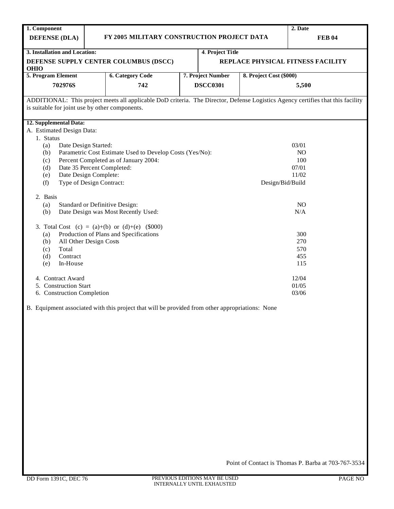| 1. Component                                   |                            |                                                          |                          |                   |                         | 2. Date                                                                                                                         |  |  |  |
|------------------------------------------------|----------------------------|----------------------------------------------------------|--------------------------|-------------------|-------------------------|---------------------------------------------------------------------------------------------------------------------------------|--|--|--|
| <b>DEFENSE (DLA)</b>                           |                            | FY 2005 MILITARY CONSTRUCTION PROJECT DATA               |                          |                   |                         | <b>FEB 04</b>                                                                                                                   |  |  |  |
| 3. Installation and Location:                  |                            |                                                          |                          | 4. Project Title  |                         |                                                                                                                                 |  |  |  |
| <b>OHIO</b>                                    |                            | DEFENSE SUPPLY CENTER COLUMBUS (DSCC)                    |                          |                   |                         | REPLACE PHYSICAL FITNESS FACILITY                                                                                               |  |  |  |
| 5. Program Element                             |                            | <b>6. Category Code</b>                                  |                          | 7. Project Number | 8. Project Cost (\$000) |                                                                                                                                 |  |  |  |
| 702976S                                        |                            | 742                                                      | <b>DSCC0301</b><br>5,500 |                   |                         |                                                                                                                                 |  |  |  |
|                                                |                            |                                                          |                          |                   |                         | ADDITIONAL: This project meets all applicable DoD criteria. The Director, Defense Logistics Agency certifies that this facility |  |  |  |
| is suitable for joint use by other components. |                            |                                                          |                          |                   |                         |                                                                                                                                 |  |  |  |
|                                                |                            |                                                          |                          |                   |                         |                                                                                                                                 |  |  |  |
| 12. Supplemental Data:                         |                            |                                                          |                          |                   |                         |                                                                                                                                 |  |  |  |
| A. Estimated Design Data:<br>1. Status         |                            |                                                          |                          |                   |                         |                                                                                                                                 |  |  |  |
| (a)                                            | Date Design Started:       |                                                          |                          |                   |                         | 03/01                                                                                                                           |  |  |  |
| (b)                                            |                            | Parametric Cost Estimate Used to Develop Costs (Yes/No): |                          |                   |                         | NO                                                                                                                              |  |  |  |
| (c)                                            |                            | Percent Completed as of January 2004:                    |                          |                   |                         | 100                                                                                                                             |  |  |  |
| (d)                                            | Date 35 Percent Completed: |                                                          |                          |                   |                         | 07/01                                                                                                                           |  |  |  |
| (e)                                            | Date Design Complete:      |                                                          |                          |                   |                         | 11/02                                                                                                                           |  |  |  |
| (f)                                            | Type of Design Contract:   |                                                          |                          |                   | Design/Bid/Build        |                                                                                                                                 |  |  |  |
| 2. Basis                                       |                            |                                                          |                          |                   |                         |                                                                                                                                 |  |  |  |
| (a)                                            |                            | Standard or Definitive Design:                           |                          |                   |                         | NO                                                                                                                              |  |  |  |
| (b)                                            |                            | Date Design was Most Recently Used:                      |                          |                   |                         | N/A                                                                                                                             |  |  |  |
|                                                |                            | 3. Total Cost (c) = (a)+(b) or (d)+(e) $(\$000)$         |                          |                   |                         |                                                                                                                                 |  |  |  |
| (a)                                            |                            | Production of Plans and Specifications                   |                          |                   |                         | 300                                                                                                                             |  |  |  |
| (b)                                            | All Other Design Costs     |                                                          |                          |                   |                         | 270                                                                                                                             |  |  |  |
| Total<br>(c)                                   |                            |                                                          |                          |                   |                         | 570                                                                                                                             |  |  |  |
| Contract<br>(d)                                |                            |                                                          |                          |                   |                         | 455                                                                                                                             |  |  |  |
| In-House<br>(e)                                |                            |                                                          |                          |                   |                         | 115                                                                                                                             |  |  |  |
| 4. Contract Award                              |                            |                                                          |                          |                   |                         | 12/04                                                                                                                           |  |  |  |
| 5. Construction Start                          |                            |                                                          |                          |                   |                         | 01/05                                                                                                                           |  |  |  |
| 6. Construction Completion                     |                            |                                                          |                          |                   |                         | 03/06                                                                                                                           |  |  |  |
|                                                |                            |                                                          |                          |                   |                         |                                                                                                                                 |  |  |  |

B. Equipment associated with this project that will be provided from other appropriations: None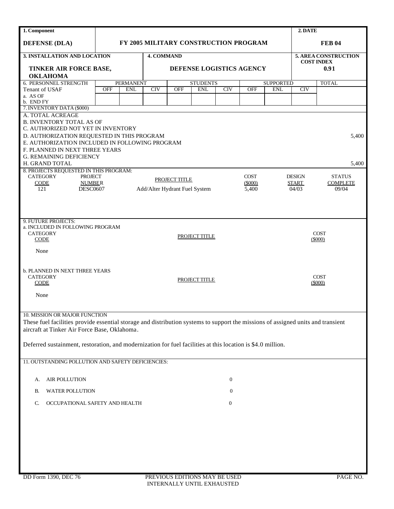| 1. Component                                                                                                                     |            |                  |                               |                      |                                       |                  |             |              | 2. DATE       |                           |  |
|----------------------------------------------------------------------------------------------------------------------------------|------------|------------------|-------------------------------|----------------------|---------------------------------------|------------------|-------------|--------------|---------------|---------------------------|--|
| <b>DEFENSE (DLA)</b>                                                                                                             |            |                  |                               |                      | FY 2005 MILITARY CONSTRUCTION PROGRAM |                  |             |              | <b>FEB 04</b> |                           |  |
| 3. INSTALLATION AND LOCATION                                                                                                     |            |                  | <b>4. COMMAND</b>             |                      |                                       |                  |             |              |               | 5. AREA CONSTRUCTION      |  |
| TINKER AIR FORCE BASE,                                                                                                           |            |                  |                               |                      | DEFENSE LOGISTICS AGENCY              |                  |             |              |               | <b>COST INDEX</b><br>0.91 |  |
| <b>OKLAHOMA</b>                                                                                                                  |            |                  |                               |                      |                                       |                  |             |              |               |                           |  |
| 6. PERSONNEL STRENGTH                                                                                                            |            | <b>PERMANENT</b> |                               |                      | <b>STUDENTS</b>                       | <b>SUPPORTED</b> |             | <b>TOTAL</b> |               |                           |  |
| Tenant of USAF                                                                                                                   | <b>OFF</b> | <b>ENL</b>       | CIV                           | <b>OFF</b>           | <b>ENL</b>                            | CIV              | OFF         | <b>ENL</b>   | <b>CIV</b>    |                           |  |
| a. AS OF<br>b. END FY                                                                                                            |            |                  |                               |                      |                                       |                  |             |              |               |                           |  |
| 7. INVENTORY DATA (\$000)                                                                                                        |            |                  |                               |                      |                                       |                  |             |              |               |                           |  |
| A. TOTAL ACREAGE                                                                                                                 |            |                  |                               |                      |                                       |                  |             |              |               |                           |  |
| <b>B. INVENTORY TOTAL AS OF</b><br>C. AUTHORIZED NOT YET IN INVENTORY                                                            |            |                  |                               |                      |                                       |                  |             |              |               |                           |  |
| D. AUTHORIZATION REQUESTED IN THIS PROGRAM                                                                                       |            |                  |                               |                      |                                       |                  |             |              |               | 5,400                     |  |
| E. AUTHORIZATION INCLUDED IN FOLLOWING PROGRAM                                                                                   |            |                  |                               |                      |                                       |                  |             |              |               |                           |  |
| F. PLANNED IN NEXT THREE YEARS                                                                                                   |            |                  |                               |                      |                                       |                  |             |              |               |                           |  |
| <b>G. REMAINING DEFICIENCY</b>                                                                                                   |            |                  |                               |                      |                                       |                  |             |              |               |                           |  |
| H. GRAND TOTAL<br>8. PROJECTS REQUESTED IN THIS PROGRAM:                                                                         |            |                  |                               |                      |                                       |                  |             |              |               | 5,400                     |  |
| <b>CATEGORY</b><br><b>PROJECT</b>                                                                                                |            |                  |                               | <b>PROJECT TITLE</b> |                                       |                  | <b>COST</b> |              | <b>DESIGN</b> | <b>STATUS</b>             |  |
| <b>CODE</b><br><b>NUMBER</b>                                                                                                     |            |                  |                               |                      |                                       |                  | $(\$000)$   |              | <b>START</b>  | <b>COMPLETE</b>           |  |
| 121<br><b>DESC0607</b>                                                                                                           |            |                  | Add/Alter Hydrant Fuel System |                      |                                       |                  | 5,400       |              | 04/03         | 09/04                     |  |
|                                                                                                                                  |            |                  |                               |                      |                                       |                  |             |              |               |                           |  |
|                                                                                                                                  |            |                  |                               |                      |                                       |                  |             |              |               |                           |  |
| 9. FUTURE PROJECTS:                                                                                                              |            |                  |                               |                      |                                       |                  |             |              |               |                           |  |
| a. INCLUDED IN FOLLOWING PROGRAM                                                                                                 |            |                  |                               |                      |                                       |                  |             |              |               |                           |  |
| <b>CATEGORY</b>                                                                                                                  |            |                  |                               |                      | PROJECT TITLE                         |                  |             |              |               | <b>COST</b>               |  |
| <b>CODE</b>                                                                                                                      |            |                  |                               |                      |                                       |                  |             |              |               | $(\$000)$                 |  |
| None                                                                                                                             |            |                  |                               |                      |                                       |                  |             |              |               |                           |  |
|                                                                                                                                  |            |                  |                               |                      |                                       |                  |             |              |               |                           |  |
| <b>b. PLANNED IN NEXT THREE YEARS</b>                                                                                            |            |                  |                               |                      |                                       |                  |             |              |               |                           |  |
| <b>CATEGORY</b>                                                                                                                  |            |                  |                               |                      | PROJECT TITLE                         |                  |             |              |               | <b>COST</b>               |  |
| <b>CODE</b>                                                                                                                      |            |                  |                               |                      |                                       |                  |             |              |               | $(\$000)$                 |  |
| None                                                                                                                             |            |                  |                               |                      |                                       |                  |             |              |               |                           |  |
|                                                                                                                                  |            |                  |                               |                      |                                       |                  |             |              |               |                           |  |
| 10. MISSION OR MAJOR FUNCTION                                                                                                    |            |                  |                               |                      |                                       |                  |             |              |               |                           |  |
| These fuel facilities provide essential storage and distribution systems to support the missions of assigned units and transient |            |                  |                               |                      |                                       |                  |             |              |               |                           |  |
| aircraft at Tinker Air Force Base, Oklahoma.                                                                                     |            |                  |                               |                      |                                       |                  |             |              |               |                           |  |
|                                                                                                                                  |            |                  |                               |                      |                                       |                  |             |              |               |                           |  |
| Deferred sustainment, restoration, and modernization for fuel facilities at this location is \$4.0 million.                      |            |                  |                               |                      |                                       |                  |             |              |               |                           |  |
|                                                                                                                                  |            |                  |                               |                      |                                       |                  |             |              |               |                           |  |
| 11. OUTSTANDING POLLUTION AND SAFETY DEFICIENCIES:                                                                               |            |                  |                               |                      |                                       |                  |             |              |               |                           |  |
|                                                                                                                                  |            |                  |                               |                      |                                       |                  |             |              |               |                           |  |
| AIR POLLUTION<br>А.                                                                                                              |            |                  |                               |                      |                                       | $\boldsymbol{0}$ |             |              |               |                           |  |
| <b>WATER POLLUTION</b><br>В.                                                                                                     |            |                  |                               |                      |                                       | $\boldsymbol{0}$ |             |              |               |                           |  |
|                                                                                                                                  |            |                  |                               |                      |                                       |                  |             |              |               |                           |  |
| OCCUPATIONAL SAFETY AND HEALTH<br>C.                                                                                             |            |                  |                               |                      |                                       | $\boldsymbol{0}$ |             |              |               |                           |  |
|                                                                                                                                  |            |                  |                               |                      |                                       |                  |             |              |               |                           |  |
|                                                                                                                                  |            |                  |                               |                      |                                       |                  |             |              |               |                           |  |
|                                                                                                                                  |            |                  |                               |                      |                                       |                  |             |              |               |                           |  |
|                                                                                                                                  |            |                  |                               |                      |                                       |                  |             |              |               |                           |  |
|                                                                                                                                  |            |                  |                               |                      |                                       |                  |             |              |               |                           |  |
|                                                                                                                                  |            |                  |                               |                      |                                       |                  |             |              |               |                           |  |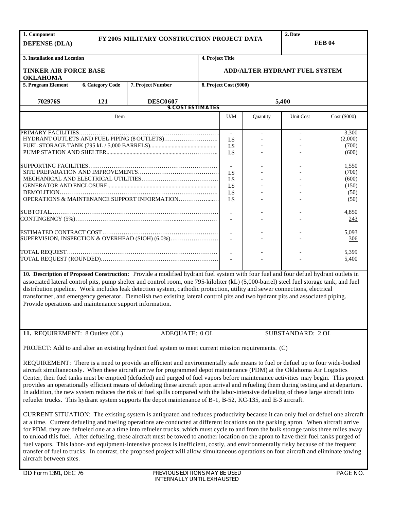| 1. Component<br><b>DEFENSE (DLA)</b>                    |                         | FY 2005 MILITARY CONSTRUCTION PROJECT DATA                                                                                                                                                                                                                                                                                                                                                                                                                                                                                                                                                                                                                                                                                                                                                                                                                                                                                                                                                                                                                                                   |                                               |                                      |          | 2. Date                                          | <b>FEB 04</b>       |  |  |  |
|---------------------------------------------------------|-------------------------|----------------------------------------------------------------------------------------------------------------------------------------------------------------------------------------------------------------------------------------------------------------------------------------------------------------------------------------------------------------------------------------------------------------------------------------------------------------------------------------------------------------------------------------------------------------------------------------------------------------------------------------------------------------------------------------------------------------------------------------------------------------------------------------------------------------------------------------------------------------------------------------------------------------------------------------------------------------------------------------------------------------------------------------------------------------------------------------------|-----------------------------------------------|--------------------------------------|----------|--------------------------------------------------|---------------------|--|--|--|
| 3. Installation and Location                            |                         |                                                                                                                                                                                                                                                                                                                                                                                                                                                                                                                                                                                                                                                                                                                                                                                                                                                                                                                                                                                                                                                                                              | 4. Project Title                              |                                      |          |                                                  |                     |  |  |  |
| <b>TINKER AIR FORCE BASE</b><br><b>OKLAHOMA</b>         |                         |                                                                                                                                                                                                                                                                                                                                                                                                                                                                                                                                                                                                                                                                                                                                                                                                                                                                                                                                                                                                                                                                                              |                                               | <b>ADD/ALTER HYDRANT FUEL SYSTEM</b> |          |                                                  |                     |  |  |  |
| 5. Program Element                                      | <b>6. Category Code</b> | 7. Project Number                                                                                                                                                                                                                                                                                                                                                                                                                                                                                                                                                                                                                                                                                                                                                                                                                                                                                                                                                                                                                                                                            |                                               | 8. Project Cost (\$000)              |          |                                                  |                     |  |  |  |
| 702976S                                                 | 121                     | <b>DESC0607</b>                                                                                                                                                                                                                                                                                                                                                                                                                                                                                                                                                                                                                                                                                                                                                                                                                                                                                                                                                                                                                                                                              |                                               | 5,400                                |          |                                                  |                     |  |  |  |
|                                                         |                         | <b>9. COST ESTIMATES</b>                                                                                                                                                                                                                                                                                                                                                                                                                                                                                                                                                                                                                                                                                                                                                                                                                                                                                                                                                                                                                                                                     |                                               |                                      |          |                                                  |                     |  |  |  |
|                                                         | Item                    |                                                                                                                                                                                                                                                                                                                                                                                                                                                                                                                                                                                                                                                                                                                                                                                                                                                                                                                                                                                                                                                                                              |                                               | U/M                                  | Quantity | Unit Cost                                        | Cost (\$000)        |  |  |  |
|                                                         |                         |                                                                                                                                                                                                                                                                                                                                                                                                                                                                                                                                                                                                                                                                                                                                                                                                                                                                                                                                                                                                                                                                                              | $\mathcal{L}^{\mathcal{A}}$<br>LS<br>LS<br>LS |                                      |          | 3,300<br>(2,000)<br>(700)<br>(600)               |                     |  |  |  |
|                                                         |                         | OPERATIONS & MAINTENANCE SUPPORT INFORMATION                                                                                                                                                                                                                                                                                                                                                                                                                                                                                                                                                                                                                                                                                                                                                                                                                                                                                                                                                                                                                                                 | LS<br>LS<br>LS<br>LS<br>LS                    |                                      |          | 1,550<br>(700)<br>(600)<br>(150)<br>(50)<br>(50) |                     |  |  |  |
|                                                         |                         |                                                                                                                                                                                                                                                                                                                                                                                                                                                                                                                                                                                                                                                                                                                                                                                                                                                                                                                                                                                                                                                                                              |                                               |                                      |          |                                                  | 4,850<br>243        |  |  |  |
|                                                         |                         | SUPERVISION, INSPECTION & OVERHEAD (SIOH) (6.0%)                                                                                                                                                                                                                                                                                                                                                                                                                                                                                                                                                                                                                                                                                                                                                                                                                                                                                                                                                                                                                                             |                                               |                                      |          |                                                  | 5,093<br><u>306</u> |  |  |  |
|                                                         |                         |                                                                                                                                                                                                                                                                                                                                                                                                                                                                                                                                                                                                                                                                                                                                                                                                                                                                                                                                                                                                                                                                                              |                                               | $\sim$                               |          |                                                  | 5,399<br>5,400      |  |  |  |
| Provide operations and maintenance support information. |                         | 10. Description of Proposed Construction: Provide a modified hydrant fuel system with four fuel and four defuel hydrant outlets in<br>associated lateral control pits, pump shelter and control room, one 795-kiloliter (kL) (5,000-barrel) steel fuel storage tank, and fuel<br>distribution pipeline. Work includes leak detection system, cathodic protection, utility and sewer connections, electrical<br>transformer, and emergency generator. Demolish two existing lateral control pits and two hydrant pits and associated piping.                                                                                                                                                                                                                                                                                                                                                                                                                                                                                                                                                  |                                               |                                      |          |                                                  |                     |  |  |  |
| 11. REQUIREMENT: 8 Outlets (OL)                         |                         | ADEQUATE: 0 OL                                                                                                                                                                                                                                                                                                                                                                                                                                                                                                                                                                                                                                                                                                                                                                                                                                                                                                                                                                                                                                                                               |                                               |                                      |          | SUBSTANDARD: 2 OL                                |                     |  |  |  |
|                                                         |                         | PROJECT: Add to and alter an existing hydrant fuel system to meet current mission requirements. (C)<br>REQUIREMENT: There is a need to provide an efficient and environmentally safe means to fuel or defuel up to four wide-bodied<br>aircraft simultaneously. When these aircraft arrive for programmed depot maintenance (PDM) at the Oklahoma Air Logistics<br>Center, their fuel tanks must be emptied (defueled) and purged of fuel vapors before maintenance activities may begin. This project<br>provides an operationally efficient means of defueling these aircraft upon arrival and refueling them during testing and at departure.                                                                                                                                                                                                                                                                                                                                                                                                                                             |                                               |                                      |          |                                                  |                     |  |  |  |
|                                                         |                         | In addition, the new system reduces the risk of fuel spills compared with the labor-intensive defueling of these large aircraft into<br>refueler trucks. This hydrant system supports the depot maintenance of B-1, B-52, KC-135, and E-3 aircraft.<br>CURRENT SITUATION: The existing system is antiquated and reduces productivity because it can only fuel or defuel one aircraft<br>at a time. Current defueling and fueling operations are conducted at different locations on the parking apron. When aircraft arrive<br>for PDM, they are defueled one at a time into refueler trucks, which must cycle to and from the bulk storage tanks three miles away<br>to unload this fuel. After defueling, these aircraft must be towed to another location on the apron to have their fuel tanks purged of<br>fuel vapors. This labor- and equipment-intensive process is inefficient, costly, and environmentally risky because of the frequent<br>transfer of fuel to trucks. In contrast, the proposed project will allow simultaneous operations on four aircraft and eliminate towing |                                               |                                      |          |                                                  |                     |  |  |  |

aircraft between sites.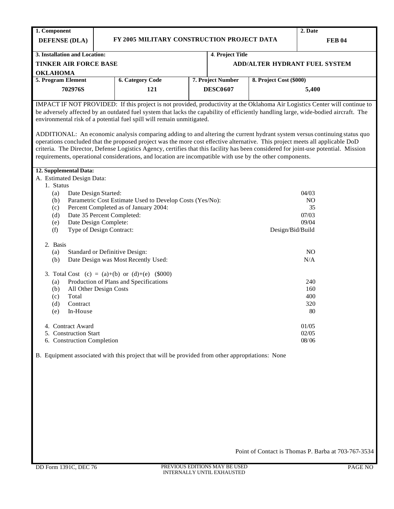**1. Component DEFENSE (DLA) FY 2005 MILITARY CONSTRUCTION PROJECT DATA 2. Date FEB 04 3. Installation and Location: TINKER AIR FORCE BASE OKLAHOMA 4**. **Project Title ADD/ALTER HYDRANT FUEL SYSTEM 5. Program Element 702976S 6. Category Code 121 7. Project Number DESC0607 8. Project Cost (\$000) 5,400** IMPACT IF NOT PROVIDED: If this project is not provided, productivity at the Oklahoma Air Logistics Center will continue to be adversely affected by an outdated fuel system that lacks the capability of efficiently handling large, wide-bodied aircraft. The environmental risk of a potential fuel spill will remain unmitigated. ADDITIONAL: An economic analysis comparing adding to and altering the current hydrant system versus continuing status quo operations concluded that the proposed project was the more cost effective alternative. This project meets all applicable DoD criteria. The Director, Defense Logistics Agency, certifies that this facility has been considered for joint-use potential. Mission requirements, operational considerations, and location are incompatible with use by the other components. **12. Supplemental Data:** A. Estimated Design Data: 1. Status (a) Date Design Started: (b) Parametric Cost Estimate Used to Develop Costs (Yes/No): (c) Percent Completed as of January 2004: (d) Date 35 Percent Completed: (e) Date Design Complete: (f) Type of Design Contract: 2. Basis (a) Standard or Definitive Design: (b) Date Design was Most Recently Used: 3. Total Cost  $(c) = (a)+(b)$  or  $(d)+(e)$  (\$000) (a) Production of Plans and Specifications (b) All Other Design Costs (c) Total (d) Contract (e) In-House 4. Contract Award 5. Construction Start 6. Construction Completion 04/03 NO 35 07/03 09/04 Design/Bid/Build NO N/A 240 160 400 320 80 01/05 02/05 08/06 B. Equipment associated with this project that will be provided from other appropriations: None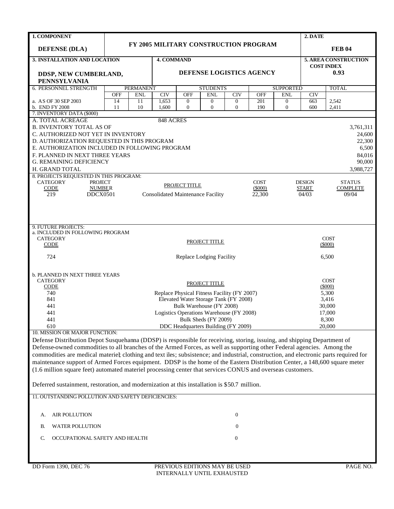| 1. COMPONENT                                                                                                                           |                                                             |                                |                   |                  |                                                                                      |                  |             |                                | 2. DATE       |                      |
|----------------------------------------------------------------------------------------------------------------------------------------|-------------------------------------------------------------|--------------------------------|-------------------|------------------|--------------------------------------------------------------------------------------|------------------|-------------|--------------------------------|---------------|----------------------|
| <b>DEFENSE (DLA)</b>                                                                                                                   |                                                             |                                |                   |                  | FY 2005 MILITARY CONSTRUCTION PROGRAM                                                |                  |             |                                |               | <b>FEB 04</b>        |
| 3. INSTALLATION AND LOCATION                                                                                                           |                                                             |                                | <b>4. COMMAND</b> |                  |                                                                                      |                  |             |                                |               | 5. AREA CONSTRUCTION |
|                                                                                                                                        |                                                             |                                |                   |                  |                                                                                      |                  |             |                                |               | <b>COST INDEX</b>    |
| DDSP, NEW CUMBERLAND,                                                                                                                  |                                                             |                                |                   |                  | DEFENSE LOGISTICS AGENCY                                                             |                  |             |                                |               | 0.93                 |
| <b>PENNSYLVANIA</b>                                                                                                                    |                                                             |                                |                   |                  |                                                                                      |                  |             |                                |               |                      |
| 6. PERSONNEL STRENGTH                                                                                                                  | <b>OFF</b>                                                  | <b>PERMANENT</b><br><b>ENL</b> | CIV               | <b>OFF</b>       | <b>STUDENTS</b><br><b>ENL</b>                                                        | CIV              | <b>OFF</b>  | <b>SUPPORTED</b><br><b>ENL</b> | CIV           | <b>TOTAL</b>         |
| a. AS OF 30 SEP 2003                                                                                                                   | 14                                                          | 11                             | 1,653             | $\mathbf{0}$     | $\mathbf{0}$                                                                         | $\overline{0}$   | 201         | $\mathbf{0}$                   | 663           | 2,542                |
| b. END FY 2008                                                                                                                         | 11                                                          | 10                             | 1,600             | $\boldsymbol{0}$ | $\mathbf{0}$                                                                         | $\overline{0}$   | 190         | $\mathbf{0}$                   | 600           | 2,411                |
| 7. INVENTORY DATA (\$000)                                                                                                              |                                                             |                                |                   |                  |                                                                                      |                  |             |                                |               |                      |
| A. TOTAL ACREAGE                                                                                                                       |                                                             |                                | 848 ACRES         |                  |                                                                                      |                  |             |                                |               |                      |
| <b>B. INVENTORY TOTAL AS OF</b>                                                                                                        |                                                             |                                |                   |                  |                                                                                      |                  |             |                                |               | 3,761,311            |
| C. AUTHORIZED NOT YET IN INVENTORY                                                                                                     |                                                             |                                |                   |                  |                                                                                      |                  |             |                                |               | 24,600               |
| D. AUTHORIZATION REQUESTED IN THIS PROGRAM<br>E. AUTHORIZATION INCLUDED IN FOLLOWING PROGRAM                                           |                                                             |                                |                   |                  |                                                                                      |                  |             |                                |               | 22,300               |
| F. PLANNED IN NEXT THREE YEARS                                                                                                         |                                                             |                                |                   |                  |                                                                                      |                  |             |                                |               | 6,500<br>84,016      |
| <b>G. REMAINING DEFICIENCY</b>                                                                                                         |                                                             |                                |                   |                  |                                                                                      |                  |             |                                |               | 90,000               |
| H. GRAND TOTAL                                                                                                                         |                                                             |                                |                   |                  |                                                                                      |                  |             |                                |               | 3,988,727            |
| 8. PROJECTS REQUESTED IN THIS PROGRAM:                                                                                                 |                                                             |                                |                   |                  |                                                                                      |                  |             |                                |               |                      |
| <b>CATEGORY</b><br><b>PROJECT</b>                                                                                                      |                                                             |                                |                   |                  |                                                                                      |                  | <b>COST</b> |                                | <b>DESIGN</b> | <b>STATUS</b>        |
| <b>CODE</b>                                                                                                                            | PROJECT TITLE<br><b>NUMBER</b><br>(5000)<br><b>START</b>    |                                |                   |                  |                                                                                      |                  |             |                                |               | <b>COMPLETE</b>      |
| DDCX0501<br>219                                                                                                                        | <b>Consolidated Maintenance Facility</b><br>22,300<br>04/03 |                                |                   |                  |                                                                                      |                  |             |                                |               | 09/04                |
|                                                                                                                                        |                                                             |                                |                   |                  |                                                                                      |                  |             |                                |               |                      |
|                                                                                                                                        |                                                             |                                |                   |                  |                                                                                      |                  |             |                                |               |                      |
|                                                                                                                                        |                                                             |                                |                   |                  |                                                                                      |                  |             |                                |               |                      |
| 9. FUTURE PROJECTS:                                                                                                                    |                                                             |                                |                   |                  |                                                                                      |                  |             |                                |               |                      |
| a. INCLUDED IN FOLLOWING PROGRAM<br><b>CATEGORY</b>                                                                                    |                                                             |                                |                   |                  |                                                                                      |                  |             |                                |               | <b>COST</b>          |
| <b>CODE</b>                                                                                                                            |                                                             |                                |                   |                  | PROJECT TITLE                                                                        |                  |             |                                |               | $(\$000)$            |
|                                                                                                                                        |                                                             |                                |                   |                  |                                                                                      |                  |             |                                |               |                      |
| 724                                                                                                                                    |                                                             |                                |                   |                  | Replace Lodging Facility                                                             |                  |             |                                |               | 6,500                |
|                                                                                                                                        |                                                             |                                |                   |                  |                                                                                      |                  |             |                                |               |                      |
| <b>b. PLANNED IN NEXT THREE YEARS</b>                                                                                                  |                                                             |                                |                   |                  |                                                                                      |                  |             |                                |               |                      |
| <b>CATEGORY</b>                                                                                                                        |                                                             |                                |                   |                  | PROJECT TITLE                                                                        |                  |             |                                |               | <b>COST</b>          |
| <b>CODE</b>                                                                                                                            |                                                             |                                |                   |                  |                                                                                      |                  |             |                                |               | (5000)               |
| 740<br>841                                                                                                                             |                                                             |                                |                   |                  | Replace Physical Fitness Facility (FY 2007)<br>Elevated Water Storage Tank (FY 2008) |                  |             |                                |               | 5,300<br>3,416       |
| 441                                                                                                                                    |                                                             |                                |                   |                  | Bulk Warehouse (FY 2008)                                                             |                  |             |                                |               | 30,000               |
| 441                                                                                                                                    |                                                             |                                |                   |                  | Logistics Operations Warehouse (FY 2008)                                             |                  |             |                                |               | 17,000               |
| 441                                                                                                                                    |                                                             |                                |                   |                  | Bulk Sheds (FY 2009)                                                                 |                  |             |                                |               | 8,300                |
| 610                                                                                                                                    |                                                             |                                |                   |                  | DDC Headquarters Building (FY 2009)                                                  |                  |             |                                |               | 20,000               |
| 10. MISSION OR MAJOR FUNCTION:                                                                                                         |                                                             |                                |                   |                  |                                                                                      |                  |             |                                |               |                      |
| Defense Distribution Depot Susquehanna (DDSP) is responsible for receiving, storing, issuing, and shipping Department of               |                                                             |                                |                   |                  |                                                                                      |                  |             |                                |               |                      |
| Defense-owned commodities to all branches of the Armed Forces, as well as supporting other Federal agencies. Among the                 |                                                             |                                |                   |                  |                                                                                      |                  |             |                                |               |                      |
| commodities are medical materiel; clothing and text iles; subsistence; and industrial, construction, and electronic parts required for |                                                             |                                |                   |                  |                                                                                      |                  |             |                                |               |                      |
| maintenance support of Armed Forces equipment. DDSP is the home of the Eastern Distribution Center, a 148,600 square meter             |                                                             |                                |                   |                  |                                                                                      |                  |             |                                |               |                      |
| (1.6 million square feet) automated materiel processing center that services CONUS and overseas customers.                             |                                                             |                                |                   |                  |                                                                                      |                  |             |                                |               |                      |
|                                                                                                                                        |                                                             |                                |                   |                  |                                                                                      |                  |             |                                |               |                      |
| Deferred sustainment, restoration, and modernization at this installation is \$50.7 million.                                           |                                                             |                                |                   |                  |                                                                                      |                  |             |                                |               |                      |
| 11. OUTSTANDING POLLUTION AND SAFETY DEFICIENCIES:                                                                                     |                                                             |                                |                   |                  |                                                                                      |                  |             |                                |               |                      |
|                                                                                                                                        |                                                             |                                |                   |                  |                                                                                      |                  |             |                                |               |                      |
|                                                                                                                                        |                                                             |                                |                   |                  |                                                                                      |                  |             |                                |               |                      |
| <b>AIR POLLUTION</b><br>А.                                                                                                             |                                                             |                                |                   |                  |                                                                                      | $\boldsymbol{0}$ |             |                                |               |                      |
| <b>WATER POLLUTION</b><br>В.                                                                                                           |                                                             |                                |                   |                  |                                                                                      | $\overline{0}$   |             |                                |               |                      |
|                                                                                                                                        |                                                             |                                |                   |                  |                                                                                      |                  |             |                                |               |                      |
| OCCUPATIONAL SAFETY AND HEALTH<br>C.                                                                                                   |                                                             |                                |                   |                  |                                                                                      | $\mathbf{0}$     |             |                                |               |                      |
|                                                                                                                                        |                                                             |                                |                   |                  |                                                                                      |                  |             |                                |               |                      |
|                                                                                                                                        |                                                             |                                |                   |                  |                                                                                      |                  |             |                                |               |                      |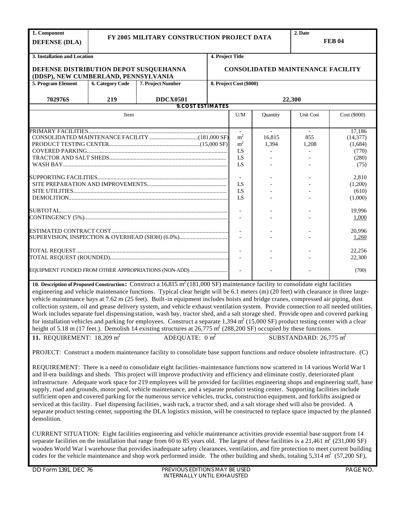| 1. Component                           |                         |                                                                                                                                        |                  |                         |          | 2. Date                                  |              |
|----------------------------------------|-------------------------|----------------------------------------------------------------------------------------------------------------------------------------|------------------|-------------------------|----------|------------------------------------------|--------------|
| <b>DEFENSE (DLA)</b>                   |                         | FY 2005 MILITARY CONSTRUCTION PROJECT DATA                                                                                             |                  |                         |          | <b>FEB 04</b>                            |              |
|                                        |                         |                                                                                                                                        |                  |                         |          |                                          |              |
| 3. Installation and Location           |                         |                                                                                                                                        | 4. Project Title |                         |          |                                          |              |
| DEFENSE DISTRIBUTION DEPOT SUSQUEHANNA |                         |                                                                                                                                        |                  |                         |          | <b>CONSOLIDATED MAINTENANCE FACILITY</b> |              |
| (DDSP), NEW CUMBERLAND, PENNSYLVANIA   |                         |                                                                                                                                        |                  |                         |          |                                          |              |
| 5. Program Element                     | <b>6. Category Code</b> | 7. Project Number                                                                                                                      |                  | 8. Project Cost (\$000) |          |                                          |              |
|                                        |                         |                                                                                                                                        |                  |                         |          |                                          |              |
| 702976S                                | 219                     | <b>DDCX0501</b>                                                                                                                        |                  |                         |          | 22,300                                   |              |
|                                        |                         | <b>9. COST ESTIMATES</b>                                                                                                               |                  |                         |          |                                          |              |
|                                        | Item                    |                                                                                                                                        |                  | U/M                     | Quantity | Unit Cost                                | Cost (\$000) |
|                                        |                         |                                                                                                                                        |                  |                         |          |                                          |              |
|                                        |                         |                                                                                                                                        |                  |                         |          |                                          | 17,186       |
|                                        |                         |                                                                                                                                        |                  | m <sup>2</sup>          | 16.815   | 855                                      | (14, 377)    |
|                                        |                         |                                                                                                                                        |                  | m <sup>2</sup>          | 1,394    | 1,208                                    | (1,684)      |
|                                        |                         |                                                                                                                                        |                  | LS                      |          |                                          | (770)        |
|                                        |                         |                                                                                                                                        |                  | LS                      |          |                                          | (280)        |
|                                        |                         |                                                                                                                                        |                  | LS                      |          |                                          | (75)         |
|                                        |                         |                                                                                                                                        |                  |                         |          |                                          | 2,810        |
|                                        |                         |                                                                                                                                        |                  | LS                      |          |                                          | (1,200)      |
|                                        |                         |                                                                                                                                        |                  | LS                      |          |                                          | (610)        |
|                                        |                         |                                                                                                                                        |                  | LS.                     |          |                                          | (1,000)      |
|                                        |                         |                                                                                                                                        |                  |                         |          |                                          |              |
|                                        |                         |                                                                                                                                        |                  | $\mathcal{L}$           |          |                                          | 19.996       |
|                                        |                         |                                                                                                                                        |                  | $\blacksquare$          |          |                                          | 1,000        |
|                                        |                         |                                                                                                                                        |                  | $\blacksquare$          |          |                                          | 20,996       |
|                                        |                         | SUPERVISION, INSPECTION & OVERHEAD (SIOH) (6.0%)                                                                                       |                  |                         |          |                                          | 1,260        |
|                                        |                         |                                                                                                                                        |                  |                         |          |                                          |              |
|                                        |                         |                                                                                                                                        |                  |                         |          |                                          | 22,256       |
|                                        |                         |                                                                                                                                        |                  |                         |          |                                          | 22,300       |
|                                        |                         | EQUIPMENT FUNDED FROM OTHER APPROPRIATIONS (NON-ADD)                                                                                   |                  |                         |          |                                          | (700)        |
|                                        |                         |                                                                                                                                        |                  |                         |          |                                          |              |
|                                        |                         | 10. Description of Proposed Construction: Construct a 16,815 $m^2$ (181,000 SF) maintenance facility to consolidate eight facilities   |                  |                         |          |                                          |              |
|                                        |                         | engineering and vehicle maintenance functions. Typical clear height will be 6.1 meters (m) (20 feet) with clearance in three large-    |                  |                         |          |                                          |              |
|                                        |                         | vehicle maintenance bays at 7.62 m (25 feet). Built-in equipment includes hoists and bridge cranes, compressed air piping, dust        |                  |                         |          |                                          |              |
|                                        |                         | collection system, oil and grease delivery system, and vehicle exhaust ventilation system. Provide connection to all needed utilities. |                  |                         |          |                                          |              |
|                                        |                         | Work includes separate fuel dispensing station, wash bay, tractor shed, and a salt storage shed. Provide open and covered parking      |                  |                         |          |                                          |              |
|                                        |                         | for installation vehicles and parking for employees. Construct a separate 1,394 $m2$ (15,000 SF) product testing center with a clear   |                  |                         |          |                                          |              |
|                                        |                         | height of 5.18 m (17 feet.). Demolish 14 existing structures at $26,775$ m <sup>2</sup> (288,200 SF) occupied by these functions.      |                  |                         |          |                                          |              |
|                                        |                         |                                                                                                                                        |                  |                         |          |                                          |              |
| 11. REQUIREMENT: $18,209 \text{ m}^2$  |                         | ADEQUATE: $0 \text{ m}^2$                                                                                                              |                  |                         |          | SUBSTANDARD: $26,775$ m <sup>2</sup>     |              |
|                                        |                         | PROJECT: Construct a modern maintenance facility to consolidate base support functions and reduce obsolete infrastructure. (C)         |                  |                         |          |                                          |              |
|                                        |                         |                                                                                                                                        |                  |                         |          |                                          |              |
|                                        |                         | REQUIREMENT: There is a need to consolidate eight facilities-maintenance functions now scattered in 14 various World War I             |                  |                         |          |                                          |              |
|                                        |                         | and II-era buildings and sheds. This project will improve productivity and efficiency and eliminate costly, deteriorated plant         |                  |                         |          |                                          |              |
|                                        |                         | infrastructure. Adequate work space for 219 employees will be provided for facilities engineering shops and engineering staff, base    |                  |                         |          |                                          |              |
|                                        |                         | supply, road and grounds, motor pool, vehicle maintenance, and a separate product testing center. Supporting facilities include        |                  |                         |          |                                          |              |

CURRENT SITUATION: Eight facilities engineering and vehicle maintenance activities provide essential base support from 14 separate facilities on the installation that range from 60 to 85 years old. The largest of these facilities is a 21,461  $m^2(231,000 \text{ SF})$ wooden World War I warehouse that provides inadequate safety clearances, ventilation, and fire protection to meet current building codes for the vehicle maintenance and shop work performed inside. The other building and sheds, totaling 5,314  $m^2$  (57,200 SF),

sufficient open and covered parking for the numerous service vehicles, trucks, construction equipment, and forklifts assigned or serviced at this facility. Fuel dispensing facilities, wash rack, a tractor shed, and a salt storage shed will also be provided. A separate product testing center, supporting the DLA logistics mission, will be constructed to replace space impacted by the planned

demolition.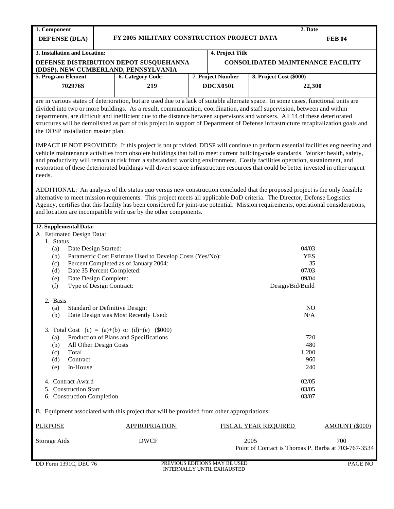| 1. Component                           |                                                                                                                                                                                                                                                                                                                                                                                                                                                                                                                                                                                                                                                                                                                                                                                                           |  |                   |                         | 2. Date       |  |  |  |
|----------------------------------------|-----------------------------------------------------------------------------------------------------------------------------------------------------------------------------------------------------------------------------------------------------------------------------------------------------------------------------------------------------------------------------------------------------------------------------------------------------------------------------------------------------------------------------------------------------------------------------------------------------------------------------------------------------------------------------------------------------------------------------------------------------------------------------------------------------------|--|-------------------|-------------------------|---------------|--|--|--|
| <b>DEFENSE</b> (DLA)                   | FY 2005 MILITARY CONSTRUCTION PROJECT DATA                                                                                                                                                                                                                                                                                                                                                                                                                                                                                                                                                                                                                                                                                                                                                                |  |                   |                         | <b>FEB 04</b> |  |  |  |
| 3. Installation and Location:          |                                                                                                                                                                                                                                                                                                                                                                                                                                                                                                                                                                                                                                                                                                                                                                                                           |  | 4. Project Title  |                         |               |  |  |  |
|                                        | DEFENSE DISTRIBUTION DEPOT SUSQUEHANNA<br><b>CONSOLIDATED MAINTENANCE FACILITY</b><br>(DDSP), NEW CUMBERLAND, PENNSYLVANIA                                                                                                                                                                                                                                                                                                                                                                                                                                                                                                                                                                                                                                                                                |  |                   |                         |               |  |  |  |
| 5. Program Element                     | <b>6. Category Code</b>                                                                                                                                                                                                                                                                                                                                                                                                                                                                                                                                                                                                                                                                                                                                                                                   |  | 7. Project Number | 8. Project Cost (\$000) |               |  |  |  |
| 702976S                                | 219                                                                                                                                                                                                                                                                                                                                                                                                                                                                                                                                                                                                                                                                                                                                                                                                       |  | <b>DDCX0501</b>   |                         | 22,300        |  |  |  |
| needs.                                 | vehicle maintenance activities from obsolete buildings that fail to meet current building-code standards. Worker health, safety,<br>and productivity will remain at risk from a substandard working environment. Costly facilities operation, sustainment, and<br>restoration of these deteriorated buildings will divert scarce infrastructure resources that could be better invested in other urgent<br>ADDITIONAL: An analysis of the status quo versus new construction concluded that the proposed project is the only feasible<br>alternative to meet mission requirements. This project meets all applicable DoD criteria. The Director, Defense Logistics<br>Agency, certifies that this facility has been considered for joint-use potential. Mission requirements, operational considerations, |  |                   |                         |               |  |  |  |
| 12. Supplemental Data:                 | and location are incompatible with use by the other components.                                                                                                                                                                                                                                                                                                                                                                                                                                                                                                                                                                                                                                                                                                                                           |  |                   |                         |               |  |  |  |
|                                        |                                                                                                                                                                                                                                                                                                                                                                                                                                                                                                                                                                                                                                                                                                                                                                                                           |  |                   |                         |               |  |  |  |
|                                        |                                                                                                                                                                                                                                                                                                                                                                                                                                                                                                                                                                                                                                                                                                                                                                                                           |  |                   |                         |               |  |  |  |
| A. Estimated Design Data:<br>1. Status |                                                                                                                                                                                                                                                                                                                                                                                                                                                                                                                                                                                                                                                                                                                                                                                                           |  |                   |                         |               |  |  |  |
| (a)                                    | Date Design Started:                                                                                                                                                                                                                                                                                                                                                                                                                                                                                                                                                                                                                                                                                                                                                                                      |  |                   |                         | 04/03         |  |  |  |
| (b)                                    | Parametric Cost Estimate Used to Develop Costs (Yes/No):                                                                                                                                                                                                                                                                                                                                                                                                                                                                                                                                                                                                                                                                                                                                                  |  |                   |                         | <b>YES</b>    |  |  |  |
| (c)                                    | Percent Completed as of January 2004:                                                                                                                                                                                                                                                                                                                                                                                                                                                                                                                                                                                                                                                                                                                                                                     |  |                   |                         | 35            |  |  |  |
| (d)                                    | Date 35 Percent Completed:                                                                                                                                                                                                                                                                                                                                                                                                                                                                                                                                                                                                                                                                                                                                                                                |  |                   |                         | 07/03         |  |  |  |
| (e)<br>(f)                             | Date Design Complete:<br>Type of Design Contract:                                                                                                                                                                                                                                                                                                                                                                                                                                                                                                                                                                                                                                                                                                                                                         |  |                   | Design/Bid/Build        | 09/04         |  |  |  |

| 2. Basis<br><b>Standard or Definitive Design:</b><br>(a)<br>Date Design was Most Recently Used:<br>(b) | NO.<br>N/A |
|--------------------------------------------------------------------------------------------------------|------------|
| 3. Total Cost (c) = (a)+(b) or (d)+(e) (\$000)                                                         |            |
| Production of Plans and Specifications<br>(a)                                                          | 720        |
| All Other Design Costs<br>(b)                                                                          | 480        |
| Total<br>(c)                                                                                           | 1,200      |
| (d)<br>Contract                                                                                        | 960        |
| In-House<br>(e)                                                                                        | 240        |
| 4. Contract Award                                                                                      | 02/05      |
| 5. Construction Start                                                                                  | 03/05      |
| 6. Construction Completion                                                                             | 03/07      |

B. Equipment associated with this project that will be provided from other appropriations:

| PURPOSE      | <b>APPROPRIATION</b> | <b>FISCAL YEAR REOUIRED</b>                                 | AMOUNT (\$000) |
|--------------|----------------------|-------------------------------------------------------------|----------------|
| Storage Aids | DWCF                 | 2005<br>Point of Contact is Thomas P. Barba at 703-767-3534 | 700            |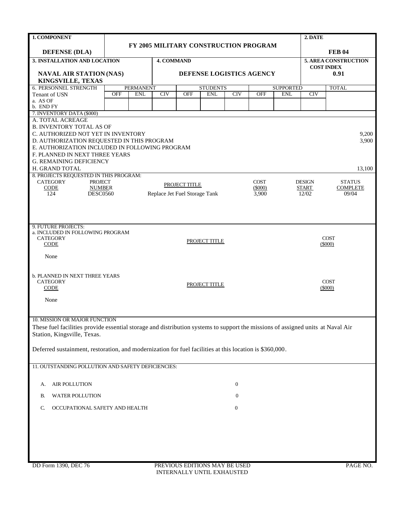| 1. COMPONENT                                                                                                                                                     |            |                                                 |                   |               |                                              |                  |            |                  | 2. DATE    |                                           |
|------------------------------------------------------------------------------------------------------------------------------------------------------------------|------------|-------------------------------------------------|-------------------|---------------|----------------------------------------------|------------------|------------|------------------|------------|-------------------------------------------|
|                                                                                                                                                                  |            |                                                 |                   |               | <b>FY 2005 MILITARY CONSTRUCTION PROGRAM</b> |                  |            |                  |            |                                           |
| <b>DEFENSE (DLA)</b>                                                                                                                                             |            |                                                 |                   |               |                                              |                  |            |                  |            | <b>FEB 04</b>                             |
| 3. INSTALLATION AND LOCATION                                                                                                                                     |            |                                                 | <b>4. COMMAND</b> |               |                                              |                  |            |                  |            | 5. AREA CONSTRUCTION<br><b>COST INDEX</b> |
| <b>NAVAL AIR STATION (NAS)</b>                                                                                                                                   |            |                                                 |                   |               | DEFENSE LOGISTICS AGENCY                     |                  |            |                  |            | 0.91                                      |
| KINGSVILLE, TEXAS                                                                                                                                                |            |                                                 |                   |               |                                              |                  |            |                  |            |                                           |
| 6. PERSONNEL STRENGTH                                                                                                                                            |            | <b>PERMANENT</b>                                |                   |               | <b>STUDENTS</b>                              |                  |            | <b>SUPPORTED</b> |            | <b>TOTAL</b>                              |
| Tenant of USN<br>a. AS OF                                                                                                                                        | <b>OFF</b> | <b>ENL</b>                                      | <b>CIV</b>        | <b>OFF</b>    | <b>ENL</b>                                   | CIV              | <b>OFF</b> | <b>ENL</b>       | <b>CIV</b> |                                           |
| b. END FY                                                                                                                                                        |            |                                                 |                   |               |                                              |                  |            |                  |            |                                           |
| 7. INVENTORY DATA (\$000)                                                                                                                                        |            |                                                 |                   |               |                                              |                  |            |                  |            |                                           |
| A. TOTAL ACREAGE                                                                                                                                                 |            |                                                 |                   |               |                                              |                  |            |                  |            |                                           |
| <b>B. INVENTORY TOTAL AS OF</b><br>C. AUTHORIZED NOT YET IN INVENTORY                                                                                            |            |                                                 |                   |               |                                              |                  |            |                  |            | 9,200                                     |
| D. AUTHORIZATION REQUESTED IN THIS PROGRAM                                                                                                                       |            |                                                 |                   |               |                                              |                  |            |                  |            | 3,900                                     |
| E. AUTHORIZATION INCLUDED IN FOLLOWING PROGRAM                                                                                                                   |            |                                                 |                   |               |                                              |                  |            |                  |            |                                           |
| F. PLANNED IN NEXT THREE YEARS                                                                                                                                   |            |                                                 |                   |               |                                              |                  |            |                  |            |                                           |
| <b>G. REMAINING DEFICIENCY</b>                                                                                                                                   |            |                                                 |                   |               |                                              |                  |            |                  |            |                                           |
| H. GRAND TOTAL<br>8. PROJECTS REQUESTED IN THIS PROGRAM:                                                                                                         |            |                                                 |                   |               |                                              |                  |            |                  |            | 13,100                                    |
| <b>CATEGORY</b><br><b>PROJECT</b>                                                                                                                                |            |                                                 |                   | <b>DESIGN</b> | <b>STATUS</b>                                |                  |            |                  |            |                                           |
| <b>CODE</b><br><b>NUMBER</b>                                                                                                                                     |            |                                                 |                   | PROJECT TITLE |                                              |                  | $(\$000)$  |                  | START      | <b>COMPLETE</b>                           |
| 124<br><b>DESC0560</b>                                                                                                                                           |            | Replace Jet Fuel Storage Tank<br>12/02<br>3,900 |                   |               |                                              |                  |            |                  |            | 09/04                                     |
|                                                                                                                                                                  |            |                                                 |                   |               |                                              |                  |            |                  |            |                                           |
|                                                                                                                                                                  |            |                                                 |                   |               |                                              |                  |            |                  |            |                                           |
| 9. FUTURE PROJECTS:                                                                                                                                              |            |                                                 |                   |               |                                              |                  |            |                  |            |                                           |
| a. INCLUDED IN FOLLOWING PROGRAM                                                                                                                                 |            |                                                 |                   |               |                                              |                  |            |                  |            |                                           |
| <b>CATEGORY</b>                                                                                                                                                  |            |                                                 |                   |               | PROJECT TITLE                                |                  |            |                  |            | <b>COST</b>                               |
| <b>CODE</b>                                                                                                                                                      |            |                                                 |                   |               |                                              |                  |            |                  |            | (5000)                                    |
| None                                                                                                                                                             |            |                                                 |                   |               |                                              |                  |            |                  |            |                                           |
|                                                                                                                                                                  |            |                                                 |                   |               |                                              |                  |            |                  |            |                                           |
| <b>b. PLANNED IN NEXT THREE YEARS</b>                                                                                                                            |            |                                                 |                   |               |                                              |                  |            |                  |            |                                           |
| <b>CATEGORY</b>                                                                                                                                                  |            |                                                 |                   |               | PROJECT TITLE                                |                  |            |                  |            | <b>COST</b>                               |
| <b>CODE</b>                                                                                                                                                      |            |                                                 |                   |               |                                              |                  |            |                  |            | (5000)                                    |
| None                                                                                                                                                             |            |                                                 |                   |               |                                              |                  |            |                  |            |                                           |
|                                                                                                                                                                  |            |                                                 |                   |               |                                              |                  |            |                  |            |                                           |
|                                                                                                                                                                  |            |                                                 |                   |               |                                              |                  |            |                  |            |                                           |
| 10. MISSION OR MAJOR FUNCTION<br>These fuel facilities provide essential storage and distribution systems to support the missions of assigned units at Naval Air |            |                                                 |                   |               |                                              |                  |            |                  |            |                                           |
| Station, Kingsville, Texas.                                                                                                                                      |            |                                                 |                   |               |                                              |                  |            |                  |            |                                           |
|                                                                                                                                                                  |            |                                                 |                   |               |                                              |                  |            |                  |            |                                           |
| Deferred sustainment, restoration, and modernization for fuel facilities at this location is \$360,000.                                                          |            |                                                 |                   |               |                                              |                  |            |                  |            |                                           |
|                                                                                                                                                                  |            |                                                 |                   |               |                                              |                  |            |                  |            |                                           |
| 11. OUTSTANDING POLLUTION AND SAFETY DEFICIENCIES:                                                                                                               |            |                                                 |                   |               |                                              |                  |            |                  |            |                                           |
|                                                                                                                                                                  |            |                                                 |                   |               |                                              |                  |            |                  |            |                                           |
| AIR POLLUTION<br>А.                                                                                                                                              |            |                                                 |                   |               |                                              | $\boldsymbol{0}$ |            |                  |            |                                           |
| WATER POLLUTION<br>В.                                                                                                                                            |            |                                                 |                   |               |                                              | $\mathbf{0}$     |            |                  |            |                                           |
| OCCUPATIONAL SAFETY AND HEALTH<br>C.                                                                                                                             |            |                                                 |                   |               |                                              | $\boldsymbol{0}$ |            |                  |            |                                           |
|                                                                                                                                                                  |            |                                                 |                   |               |                                              |                  |            |                  |            |                                           |
|                                                                                                                                                                  |            |                                                 |                   |               |                                              |                  |            |                  |            |                                           |
|                                                                                                                                                                  |            |                                                 |                   |               |                                              |                  |            |                  |            |                                           |
|                                                                                                                                                                  |            |                                                 |                   |               |                                              |                  |            |                  |            |                                           |
|                                                                                                                                                                  |            |                                                 |                   |               |                                              |                  |            |                  |            |                                           |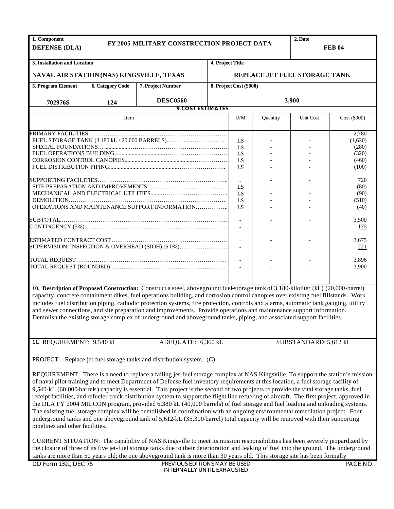| 1. Component<br><b>DEFENSE (DLA)</b>      |                         | FY 2005 MILITARY CONSTRUCTION PROJECT DATA                                                                                                                                                                                                                                                                                                                                                                                                                                                                                                                                                                                                                                                                                                                                                                                |                          |                               | <b>FEB 04</b> |                       |              |  |  |  |
|-------------------------------------------|-------------------------|---------------------------------------------------------------------------------------------------------------------------------------------------------------------------------------------------------------------------------------------------------------------------------------------------------------------------------------------------------------------------------------------------------------------------------------------------------------------------------------------------------------------------------------------------------------------------------------------------------------------------------------------------------------------------------------------------------------------------------------------------------------------------------------------------------------------------|--------------------------|-------------------------------|---------------|-----------------------|--------------|--|--|--|
| 3. Installation and Location              |                         |                                                                                                                                                                                                                                                                                                                                                                                                                                                                                                                                                                                                                                                                                                                                                                                                                           | 4. Project Title         |                               |               |                       |              |  |  |  |
| NAVAL AIR STATION (NAS) KINGSVILLE, TEXAS |                         |                                                                                                                                                                                                                                                                                                                                                                                                                                                                                                                                                                                                                                                                                                                                                                                                                           |                          | REPLACE JET FUEL STORAGE TANK |               |                       |              |  |  |  |
| 5. Program Element                        | <b>6. Category Code</b> | 7. Project Number                                                                                                                                                                                                                                                                                                                                                                                                                                                                                                                                                                                                                                                                                                                                                                                                         | 8. Project Cost (\$000)  |                               |               |                       |              |  |  |  |
| 702976S                                   | 124                     | <b>DESC0560</b>                                                                                                                                                                                                                                                                                                                                                                                                                                                                                                                                                                                                                                                                                                                                                                                                           |                          | 3,900                         |               |                       |              |  |  |  |
|                                           |                         |                                                                                                                                                                                                                                                                                                                                                                                                                                                                                                                                                                                                                                                                                                                                                                                                                           | <b>9. COST ESTIMATES</b> |                               |               |                       |              |  |  |  |
|                                           | Item                    |                                                                                                                                                                                                                                                                                                                                                                                                                                                                                                                                                                                                                                                                                                                                                                                                                           |                          | U/M                           | Quantity      | Unit Cost             | Cost (\$000) |  |  |  |
|                                           |                         |                                                                                                                                                                                                                                                                                                                                                                                                                                                                                                                                                                                                                                                                                                                                                                                                                           |                          |                               |               |                       | 2,780        |  |  |  |
|                                           |                         |                                                                                                                                                                                                                                                                                                                                                                                                                                                                                                                                                                                                                                                                                                                                                                                                                           |                          | LS                            |               |                       | (1,620)      |  |  |  |
|                                           |                         |                                                                                                                                                                                                                                                                                                                                                                                                                                                                                                                                                                                                                                                                                                                                                                                                                           |                          | LS                            |               |                       | (280)        |  |  |  |
|                                           |                         |                                                                                                                                                                                                                                                                                                                                                                                                                                                                                                                                                                                                                                                                                                                                                                                                                           |                          | LS                            |               |                       | (320)        |  |  |  |
|                                           |                         |                                                                                                                                                                                                                                                                                                                                                                                                                                                                                                                                                                                                                                                                                                                                                                                                                           |                          | LS                            |               |                       | (460)        |  |  |  |
|                                           |                         |                                                                                                                                                                                                                                                                                                                                                                                                                                                                                                                                                                                                                                                                                                                                                                                                                           |                          | LS                            |               |                       | (100)        |  |  |  |
|                                           |                         |                                                                                                                                                                                                                                                                                                                                                                                                                                                                                                                                                                                                                                                                                                                                                                                                                           |                          |                               |               |                       |              |  |  |  |
|                                           |                         |                                                                                                                                                                                                                                                                                                                                                                                                                                                                                                                                                                                                                                                                                                                                                                                                                           |                          |                               |               |                       | 720          |  |  |  |
|                                           |                         |                                                                                                                                                                                                                                                                                                                                                                                                                                                                                                                                                                                                                                                                                                                                                                                                                           |                          | LS                            |               |                       | (80)         |  |  |  |
|                                           |                         |                                                                                                                                                                                                                                                                                                                                                                                                                                                                                                                                                                                                                                                                                                                                                                                                                           |                          | LS                            |               |                       | (90)         |  |  |  |
|                                           |                         |                                                                                                                                                                                                                                                                                                                                                                                                                                                                                                                                                                                                                                                                                                                                                                                                                           |                          | LS                            |               |                       | (510)        |  |  |  |
|                                           |                         | OPERATIONS AND MAINTENANCE SUPPORT INFORMATION                                                                                                                                                                                                                                                                                                                                                                                                                                                                                                                                                                                                                                                                                                                                                                            |                          | LS                            |               |                       | (40)         |  |  |  |
|                                           |                         |                                                                                                                                                                                                                                                                                                                                                                                                                                                                                                                                                                                                                                                                                                                                                                                                                           |                          |                               |               |                       |              |  |  |  |
|                                           |                         |                                                                                                                                                                                                                                                                                                                                                                                                                                                                                                                                                                                                                                                                                                                                                                                                                           |                          |                               |               |                       | 3,500        |  |  |  |
|                                           |                         |                                                                                                                                                                                                                                                                                                                                                                                                                                                                                                                                                                                                                                                                                                                                                                                                                           |                          |                               |               |                       | <u>175</u>   |  |  |  |
|                                           |                         |                                                                                                                                                                                                                                                                                                                                                                                                                                                                                                                                                                                                                                                                                                                                                                                                                           |                          |                               |               |                       |              |  |  |  |
|                                           |                         |                                                                                                                                                                                                                                                                                                                                                                                                                                                                                                                                                                                                                                                                                                                                                                                                                           |                          |                               |               |                       | 3,675        |  |  |  |
|                                           |                         | SUPERVISION, INSPECTION & OVERHEAD (SIOH) (6.0%)                                                                                                                                                                                                                                                                                                                                                                                                                                                                                                                                                                                                                                                                                                                                                                          |                          |                               |               |                       | <u>221</u>   |  |  |  |
|                                           |                         |                                                                                                                                                                                                                                                                                                                                                                                                                                                                                                                                                                                                                                                                                                                                                                                                                           |                          |                               |               |                       |              |  |  |  |
|                                           |                         |                                                                                                                                                                                                                                                                                                                                                                                                                                                                                                                                                                                                                                                                                                                                                                                                                           |                          |                               |               |                       | 3,896        |  |  |  |
|                                           |                         |                                                                                                                                                                                                                                                                                                                                                                                                                                                                                                                                                                                                                                                                                                                                                                                                                           |                          |                               |               |                       | 3,900        |  |  |  |
|                                           |                         |                                                                                                                                                                                                                                                                                                                                                                                                                                                                                                                                                                                                                                                                                                                                                                                                                           |                          |                               |               |                       |              |  |  |  |
|                                           |                         | 10. Description of Proposed Construction: Construct a steel, aboveground fuel-storage tank of 3,180-kiloliter (kL) (20,000-barrel)<br>capacity, concrete containment dikes, fuel operations building, and corrosion control canopies over existing fuel fillstands. Work<br>includes fuel distribution piping, cathodic protection systems, fire protection, controls and alarms, automatic tank gauging, utility<br>and sewer connections, and site preparation and improvements. Provide operations and maintenance support information.<br>Demolish the existing storage complex of underground and aboveground tanks, piping, and associated support facilities.                                                                                                                                                      |                          |                               |               |                       |              |  |  |  |
| 11. REQUIREMENT: 9,540 kL                 |                         | ADEQUATE: 6,360 kL                                                                                                                                                                                                                                                                                                                                                                                                                                                                                                                                                                                                                                                                                                                                                                                                        |                          |                               |               | SUBSTANDARD: 5,612 kL |              |  |  |  |
|                                           |                         | PROJECT: Replace jet-fuel storage tanks and distribution system. (C)                                                                                                                                                                                                                                                                                                                                                                                                                                                                                                                                                                                                                                                                                                                                                      |                          |                               |               |                       |              |  |  |  |
|                                           |                         | REQUIREMENT: There is a need to replace a failing jet-fuel storage complex at NAS Kingsville. To support the station's mission<br>of naval pilot training and to meet Department of Defense fuel inventory requirements at this location, a fuel storage facility of<br>9,540-kL (60,000-barrels) capacity is essential. This project is the second of two projects to provide the vital storage tanks, fuel<br>receipt facilities, and refueler-truck distribution system to support the flight line refueling of aircraft. The first project, approved in<br>the DLA FY 2004 MILCON program, provided 6,380 kL (40,000 barrels) of fuel storage and fuel loading and unloading systems.<br>The existing fuel storage complex will be demolished in coordination with an ongoing environmental remediation project. Four |                          |                               |               |                       |              |  |  |  |

CURRENT SITUATION: The capability of NAS Kingsville to meet its mission responsibilities has been severely jeopardized by the closure of three of its five jet-fuel storage tanks due to their deterioration and leaking of fuel into the ground. The underground tanks are more than 50 years old; the one aboveground tank is more than 30 years old. This storage site has been formally

underground tanks and one aboveground tank of 5,612-kL (35,300-barrel) total capacity will be removed with their supporting

pipelines and other facilities.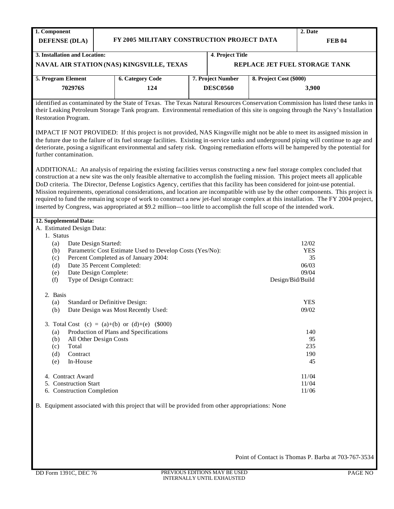| 1. Component                  |                                                  |                               | 2. Date                 |  |  |  |
|-------------------------------|--------------------------------------------------|-------------------------------|-------------------------|--|--|--|
| <b>DEFENSE</b> (DLA)          | FY 2005 MILITARY CONSTRUCTION PROJECT DATA       | <b>FEB 04</b>                 |                         |  |  |  |
| 3. Installation and Location: |                                                  |                               |                         |  |  |  |
|                               |                                                  | 4. Project Title              |                         |  |  |  |
|                               | <b>NAVAL AIR STATION (NAS) KINGSVILLE, TEXAS</b> | REPLACE JET FUEL STORAGE TANK |                         |  |  |  |
|                               |                                                  |                               |                         |  |  |  |
| 5. Program Element            | <b>6. Category Code</b>                          | 7. Project Number             | 8. Project Cost (\$000) |  |  |  |
| 702976S                       | 124                                              |                               | 3.900                   |  |  |  |
|                               |                                                  |                               |                         |  |  |  |

identified as contaminated by the State of Texas. The Texas Natural Resources Conservation Commission has listed these tanks in their Leaking Petroleum Storage Tank program. Environmental remediation of this site is ongoing through the Navy's Installation Restoration Program.

IMPACT IF NOT PROVIDED: If this project is not provided, NAS Kingsville might not be able to meet its assigned mission in the future due to the failure of its fuel storage facilities. Existing in-service tanks and underground piping will continue to age and deteriorate, posing a significant environmental and safety risk. Ongoing remediation efforts will be hampered by the potential for further contamination.

ADDITIONAL: An analysis of repairing the existing facilities versus constructing a new fuel storage complex concluded that construction at a new site was the only feasible alternative to accomplish the fueling mission. This project meets all applicable DoD criteria. The Director, Defense Logistics Agency, certifies that this facility has been considered for joint-use potential. Mission requirements, operational considerations, and location are incompatible with use by the other components. This project is required to fund the remain ing scope of work to construct a new jet-fuel storage complex at this installation. The FY 2004 project, inserted by Congress, was appropriated at \$9.2 million—too little to accomplish the full scope of the intended work.

## **12. Supplemental Data:** A. Estimated Design Data: 1. Status (a) Date Design Started: (b) Parametric Cost Estimate Used to Develop Costs (Yes/No): (c) Percent Completed as of January 2004: (d) Date 35 Percent Completed: (e) Date Design Complete: (f) Type of Design Contract: 2. Basis (a) Standard or Definitive Design: (b) Date Design was Most Recently Used: 3. Total Cost  $(c) = (a)+(b)$  or  $(d)+(e)$  (\$000) (a) Production of Plans and Specifications (b) All Other Design Costs (c) Total (d) Contract (e) In-House 4. Contract Award 5. Construction Start 6. Construction Completion 12/02 **YES** 35 06/03 09/04 Design/Bid/Build **YES** 09/02 140 95 235 190 45 11/04 11/04 11/06

B. Equipment associated with this project that will be provided from other appropriations: None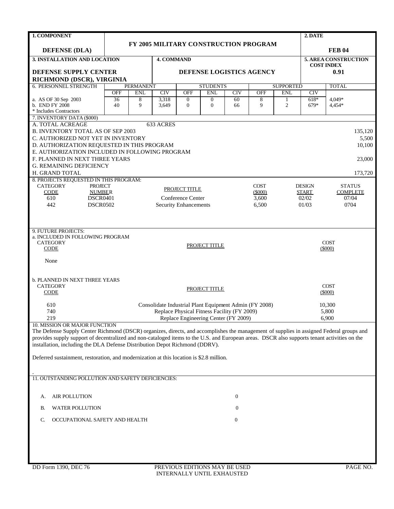| <b>1. COMPONENT</b>                                                                                                                          |                 |                  |                   |                   |                                                        |                  |                    |                  | 2. DATE               |                          |  |
|----------------------------------------------------------------------------------------------------------------------------------------------|-----------------|------------------|-------------------|-------------------|--------------------------------------------------------|------------------|--------------------|------------------|-----------------------|--------------------------|--|
|                                                                                                                                              |                 |                  |                   |                   | FY 2005 MILITARY CONSTRUCTION PROGRAM                  |                  |                    |                  |                       |                          |  |
| <b>DEFENSE (DLA)</b>                                                                                                                         |                 |                  |                   |                   |                                                        |                  |                    |                  |                       | <b>FEB 04</b>            |  |
| 3. INSTALLATION AND LOCATION                                                                                                                 |                 |                  | <b>4. COMMAND</b> |                   |                                                        |                  |                    |                  |                       | 5. AREA CONSTRUCTION     |  |
|                                                                                                                                              |                 |                  |                   |                   |                                                        |                  |                    |                  |                       | <b>COST INDEX</b>        |  |
| DEFENSE SUPPLY CENTER<br>RICHMOND (DSCR), VIRGINIA                                                                                           |                 |                  |                   |                   | DEFENSE LOGISTICS AGENCY                               |                  |                    |                  |                       | 0.91                     |  |
| <b>6. PERSONNEL STRENGTH</b>                                                                                                                 |                 | <b>PERMANENT</b> |                   |                   | <b>STUDENTS</b>                                        |                  |                    | <b>SUPPORTED</b> |                       | <b>TOTAL</b>             |  |
|                                                                                                                                              | <b>OFF</b>      | <b>ENL</b>       | CIV               | <b>OFF</b>        | <b>ENL</b>                                             | CIV              | <b>OFF</b>         | <b>ENL</b>       | CIV                   |                          |  |
| a. AS OF 30 Sep 2003                                                                                                                         | $\overline{36}$ | 8                | 3,318             | $\boldsymbol{0}$  | $\boldsymbol{0}$                                       | 60               | 8                  | $\mathbf{1}$     | $618*$                | 4.049*                   |  |
| b. END FY 2008<br>* Includes Contractors                                                                                                     | 40              | 9                | 3,649             | $\boldsymbol{0}$  | $\overline{0}$                                         | 66               | 9                  | $\overline{2}$   | 679*                  | 4,454*                   |  |
| 7. INVENTORY DATA (\$000)                                                                                                                    |                 |                  |                   |                   |                                                        |                  |                    |                  |                       |                          |  |
| A. TOTAL ACREAGE                                                                                                                             |                 |                  | 633 ACRES         |                   |                                                        |                  |                    |                  |                       |                          |  |
| <b>B. INVENTORY TOTAL AS OF SEP 2003</b>                                                                                                     |                 |                  |                   |                   |                                                        |                  |                    |                  |                       | 135,120                  |  |
| C. AUTHORIZED NOT YET IN INVENTORY                                                                                                           |                 |                  |                   |                   |                                                        |                  |                    |                  |                       | 5,500                    |  |
| D. AUTHORIZATION REQUESTED IN THIS PROGRAM                                                                                                   |                 |                  |                   |                   |                                                        |                  |                    |                  |                       | 10,100                   |  |
| E. AUTHORIZATION INCLUDED IN FOLLOWING PROGRAM<br>F. PLANNED IN NEXT THREE YEARS                                                             |                 |                  |                   |                   |                                                        |                  |                    |                  |                       | 23,000                   |  |
| <b>G. REMAINING DEFICIENCY</b>                                                                                                               |                 |                  |                   |                   |                                                        |                  |                    |                  |                       |                          |  |
| H. GRAND TOTAL                                                                                                                               |                 |                  |                   |                   |                                                        |                  |                    |                  |                       | 173,720                  |  |
| 8. PROJECTS REQUESTED IN THIS PROGRAM:                                                                                                       |                 |                  |                   |                   |                                                        |                  |                    |                  |                       |                          |  |
| <b>CATEGORY</b><br><b>PROJECT</b>                                                                                                            |                 |                  |                   | PROJECT TITLE     |                                                        |                  | <b>COST</b>        |                  | <b>DESIGN</b>         | <b>STATUS</b>            |  |
| <b>CODE</b><br><b>NUMBER</b><br>610<br><b>DSCR0401</b>                                                                                       |                 |                  |                   | Conference Center |                                                        |                  | $(\$000)$<br>3,600 |                  | <b>START</b><br>02/02 | <b>COMPLETE</b><br>07/04 |  |
| 442<br><b>DSCR0502</b>                                                                                                                       |                 |                  | 01/03             | 0704              |                                                        |                  |                    |                  |                       |                          |  |
| <b>Security Enhancements</b><br>6,500                                                                                                        |                 |                  |                   |                   |                                                        |                  |                    |                  |                       |                          |  |
|                                                                                                                                              |                 |                  |                   |                   |                                                        |                  |                    |                  |                       |                          |  |
| 9. FUTURE PROJECTS:                                                                                                                          |                 |                  |                   |                   |                                                        |                  |                    |                  |                       |                          |  |
| a. INCLUDED IN FOLLOWING PROGRAM                                                                                                             |                 |                  |                   |                   |                                                        |                  |                    |                  |                       |                          |  |
| <b>CATEGORY</b>                                                                                                                              |                 |                  |                   |                   | PROJECT TITLE                                          |                  |                    |                  |                       | <b>COST</b>              |  |
| <b>CODE</b>                                                                                                                                  |                 |                  |                   |                   |                                                        |                  |                    |                  |                       | $(\$000)$                |  |
| None                                                                                                                                         |                 |                  |                   |                   |                                                        |                  |                    |                  |                       |                          |  |
|                                                                                                                                              |                 |                  |                   |                   |                                                        |                  |                    |                  |                       |                          |  |
|                                                                                                                                              |                 |                  |                   |                   |                                                        |                  |                    |                  |                       |                          |  |
| <b>b. PLANNED IN NEXT THREE YEARS</b><br><b>CATEGORY</b>                                                                                     |                 |                  |                   |                   |                                                        |                  |                    |                  |                       | <b>COST</b>              |  |
| CODE                                                                                                                                         |                 |                  |                   |                   | PROJECT TITLE                                          |                  |                    |                  |                       | $(\$000)$                |  |
|                                                                                                                                              |                 |                  |                   |                   |                                                        |                  |                    |                  |                       |                          |  |
| 610                                                                                                                                          |                 |                  |                   |                   | Consolidate Industrial Plant Equipment Admin (FY 2008) |                  |                    |                  |                       | 10,300                   |  |
| 740<br>219                                                                                                                                   |                 |                  |                   |                   | Replace Physical Fitness Facility (FY 2009)            |                  |                    |                  |                       | 5,800                    |  |
| 10. MISSION OR MAJOR FUNCTION                                                                                                                |                 |                  |                   |                   | Replace Engineering Center (FY 2009)                   |                  |                    |                  |                       | 6,900                    |  |
| The Defense Supply Center Richmond (DSCR) organizes, directs, and accomplishes the management of supplies in assigned Federal groups and     |                 |                  |                   |                   |                                                        |                  |                    |                  |                       |                          |  |
| provides supply support of decentralized and non-cataloged items to the U.S. and European areas. DSCR also supports tenant activities on the |                 |                  |                   |                   |                                                        |                  |                    |                  |                       |                          |  |
| installation, including the DLA Defense Distribution Depot Richmond (DDRV).                                                                  |                 |                  |                   |                   |                                                        |                  |                    |                  |                       |                          |  |
| Deferred sustainment, restoration, and modernization at this location is \$2.8 million.                                                      |                 |                  |                   |                   |                                                        |                  |                    |                  |                       |                          |  |
|                                                                                                                                              |                 |                  |                   |                   |                                                        |                  |                    |                  |                       |                          |  |
|                                                                                                                                              |                 |                  |                   |                   |                                                        |                  |                    |                  |                       |                          |  |
| 11. OUTSTANDING POLLUTION AND SAFETY DEFICIENCIES:                                                                                           |                 |                  |                   |                   |                                                        |                  |                    |                  |                       |                          |  |
|                                                                                                                                              |                 |                  |                   |                   |                                                        |                  |                    |                  |                       |                          |  |
| <b>AIR POLLUTION</b><br>А.                                                                                                                   |                 |                  |                   |                   |                                                        | $\boldsymbol{0}$ |                    |                  |                       |                          |  |
| <b>WATER POLLUTION</b><br>В.                                                                                                                 |                 |                  |                   |                   |                                                        | $\mathbf{0}$     |                    |                  |                       |                          |  |
|                                                                                                                                              |                 |                  |                   |                   |                                                        |                  |                    |                  |                       |                          |  |
| OCCUPATIONAL SAFETY AND HEALTH<br>C.                                                                                                         |                 |                  |                   |                   |                                                        | $\mathbf{0}$     |                    |                  |                       |                          |  |
|                                                                                                                                              |                 |                  |                   |                   |                                                        |                  |                    |                  |                       |                          |  |
|                                                                                                                                              |                 |                  |                   |                   |                                                        |                  |                    |                  |                       |                          |  |
|                                                                                                                                              |                 |                  |                   |                   |                                                        |                  |                    |                  |                       |                          |  |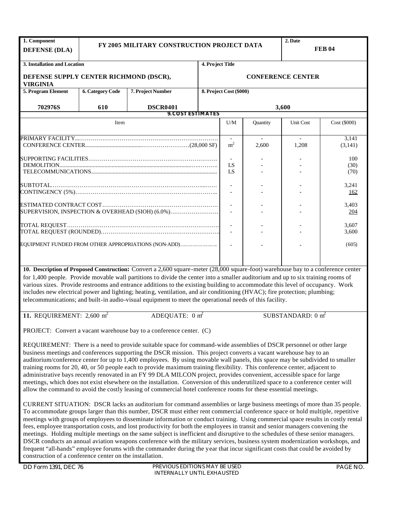| 1. Component<br><b>DEFENSE (DLA)</b>                                                                                                                                                                                                                                                                                                                                                                                                                                                                                                                                                                                                                                                                                                                                                                                                                                                     |                         | 2. Date<br>FY 2005 MILITARY CONSTRUCTION PROJECT DATA<br><b>FEB 04</b>                                                                                                                                                                                                                                                                                                                                                                                                                                                                                                                                                                                                                                                                                                                                                                                                                                                             |                  |                         |          |                              |                     |  |
|------------------------------------------------------------------------------------------------------------------------------------------------------------------------------------------------------------------------------------------------------------------------------------------------------------------------------------------------------------------------------------------------------------------------------------------------------------------------------------------------------------------------------------------------------------------------------------------------------------------------------------------------------------------------------------------------------------------------------------------------------------------------------------------------------------------------------------------------------------------------------------------|-------------------------|------------------------------------------------------------------------------------------------------------------------------------------------------------------------------------------------------------------------------------------------------------------------------------------------------------------------------------------------------------------------------------------------------------------------------------------------------------------------------------------------------------------------------------------------------------------------------------------------------------------------------------------------------------------------------------------------------------------------------------------------------------------------------------------------------------------------------------------------------------------------------------------------------------------------------------|------------------|-------------------------|----------|------------------------------|---------------------|--|
| 3. Installation and Location                                                                                                                                                                                                                                                                                                                                                                                                                                                                                                                                                                                                                                                                                                                                                                                                                                                             |                         |                                                                                                                                                                                                                                                                                                                                                                                                                                                                                                                                                                                                                                                                                                                                                                                                                                                                                                                                    | 4. Project Title |                         |          |                              |                     |  |
| DEFENSE SUPPLY CENTER RICHMOND (DSCR),<br><b>VIRGINIA</b>                                                                                                                                                                                                                                                                                                                                                                                                                                                                                                                                                                                                                                                                                                                                                                                                                                |                         |                                                                                                                                                                                                                                                                                                                                                                                                                                                                                                                                                                                                                                                                                                                                                                                                                                                                                                                                    |                  |                         |          | <b>CONFERENCE CENTER</b>     |                     |  |
| 5. Program Element                                                                                                                                                                                                                                                                                                                                                                                                                                                                                                                                                                                                                                                                                                                                                                                                                                                                       | <b>6. Category Code</b> | 7. Project Number                                                                                                                                                                                                                                                                                                                                                                                                                                                                                                                                                                                                                                                                                                                                                                                                                                                                                                                  |                  | 8. Project Cost (\$000) |          |                              |                     |  |
| 702976S                                                                                                                                                                                                                                                                                                                                                                                                                                                                                                                                                                                                                                                                                                                                                                                                                                                                                  | 610                     | <b>DSCR0401</b>                                                                                                                                                                                                                                                                                                                                                                                                                                                                                                                                                                                                                                                                                                                                                                                                                                                                                                                    |                  |                         |          | 3,600                        |                     |  |
|                                                                                                                                                                                                                                                                                                                                                                                                                                                                                                                                                                                                                                                                                                                                                                                                                                                                                          |                         | <b>9. COST ESTIMATES</b>                                                                                                                                                                                                                                                                                                                                                                                                                                                                                                                                                                                                                                                                                                                                                                                                                                                                                                           |                  |                         |          |                              |                     |  |
|                                                                                                                                                                                                                                                                                                                                                                                                                                                                                                                                                                                                                                                                                                                                                                                                                                                                                          | Item                    |                                                                                                                                                                                                                                                                                                                                                                                                                                                                                                                                                                                                                                                                                                                                                                                                                                                                                                                                    |                  | U/M                     | Quantity | Unit Cost                    | Cost (\$000)        |  |
|                                                                                                                                                                                                                                                                                                                                                                                                                                                                                                                                                                                                                                                                                                                                                                                                                                                                                          |                         |                                                                                                                                                                                                                                                                                                                                                                                                                                                                                                                                                                                                                                                                                                                                                                                                                                                                                                                                    |                  | m <sup>2</sup>          | 2.600    | 1,208                        | 3,141<br>(3,141)    |  |
|                                                                                                                                                                                                                                                                                                                                                                                                                                                                                                                                                                                                                                                                                                                                                                                                                                                                                          |                         |                                                                                                                                                                                                                                                                                                                                                                                                                                                                                                                                                                                                                                                                                                                                                                                                                                                                                                                                    |                  | LS<br>LS                |          |                              | 100<br>(30)<br>(70) |  |
|                                                                                                                                                                                                                                                                                                                                                                                                                                                                                                                                                                                                                                                                                                                                                                                                                                                                                          |                         |                                                                                                                                                                                                                                                                                                                                                                                                                                                                                                                                                                                                                                                                                                                                                                                                                                                                                                                                    |                  |                         |          |                              | 3,241<br>162        |  |
|                                                                                                                                                                                                                                                                                                                                                                                                                                                                                                                                                                                                                                                                                                                                                                                                                                                                                          |                         | SUPERVISION, INSPECTION & OVERHEAD (SIOH) (6.0%)                                                                                                                                                                                                                                                                                                                                                                                                                                                                                                                                                                                                                                                                                                                                                                                                                                                                                   |                  |                         |          |                              | 3,403<br>204        |  |
|                                                                                                                                                                                                                                                                                                                                                                                                                                                                                                                                                                                                                                                                                                                                                                                                                                                                                          |                         |                                                                                                                                                                                                                                                                                                                                                                                                                                                                                                                                                                                                                                                                                                                                                                                                                                                                                                                                    | 3,607<br>3,600   |                         |          |                              |                     |  |
|                                                                                                                                                                                                                                                                                                                                                                                                                                                                                                                                                                                                                                                                                                                                                                                                                                                                                          |                         | EQUIPMENT FUNDED FROM OTHER APPROPRIATIONS (NON-ADD)                                                                                                                                                                                                                                                                                                                                                                                                                                                                                                                                                                                                                                                                                                                                                                                                                                                                               |                  |                         |          |                              | (605)               |  |
|                                                                                                                                                                                                                                                                                                                                                                                                                                                                                                                                                                                                                                                                                                                                                                                                                                                                                          |                         | 10. Description of Proposed Construction: Convert a 2,600 square-meter (28,000 square-foot) warehouse bay to a conference center<br>for 1,400 people. Provide movable wall partitions to divide the center into a smaller auditorium and up to six training rooms of<br>various sizes. Provide restrooms and entrance additions to the existing building to accommodate this level of occupancy. Work<br>includes new electrical power and lighting; heating, ventilation, and air conditioning (HVAC); fire protection; plumbing;<br>telecommunications; and built-in audio-visual equipment to meet the operational needs of this facility.                                                                                                                                                                                                                                                                                      |                  |                         |          |                              |                     |  |
| 11. REQUIREMENT: $2,600 \text{ m}^2$                                                                                                                                                                                                                                                                                                                                                                                                                                                                                                                                                                                                                                                                                                                                                                                                                                                     |                         | ADEQUATE: $0 \text{ m}^2$                                                                                                                                                                                                                                                                                                                                                                                                                                                                                                                                                                                                                                                                                                                                                                                                                                                                                                          |                  |                         |          | SUBSTANDARD: $0 \text{ m}^2$ |                     |  |
|                                                                                                                                                                                                                                                                                                                                                                                                                                                                                                                                                                                                                                                                                                                                                                                                                                                                                          |                         | PROJECT: Convert a vacant warehouse bay to a conference center. (C)                                                                                                                                                                                                                                                                                                                                                                                                                                                                                                                                                                                                                                                                                                                                                                                                                                                                |                  |                         |          |                              |                     |  |
| REQUIREMENT: There is a need to provide suitable space for command-wide assemblies of DSCR personnel or other large<br>business meetings and conferences supporting the DSCR mission. This project converts a vacant warehouse bay to an<br>auditorium/conference center for up to 1,400 employees. By using movable wall panels, this space may be subdivided to smaller<br>training rooms for 20, 40, or 50 people each to provide maximum training flexibility. This conference center, adjacent to<br>administrative bays recently renovated in an FY 99 DLA MILCON project, provides convenient, accessible space for large<br>meetings, which does not exist elsewhere on the installation. Conversion of this underutilized space to a conference center will<br>allow the command to avoid the costly leasing of commercial hotel conference rooms for these essential meetings. |                         |                                                                                                                                                                                                                                                                                                                                                                                                                                                                                                                                                                                                                                                                                                                                                                                                                                                                                                                                    |                  |                         |          |                              |                     |  |
|                                                                                                                                                                                                                                                                                                                                                                                                                                                                                                                                                                                                                                                                                                                                                                                                                                                                                          |                         | CURRENT SITUATION: DSCR lacks an auditorium for command assemblies or large business meetings of more than 35 people.<br>To accommodate groups larger than this number, DSCR must either rent commercial conference space or hold multiple, repetitive<br>meetings with groups of employees to disseminate information or conduct training. Using commercial space results in costly rental<br>fees, employee transportation costs, and lost productivity for both the employees in transit and senior managers convening the<br>meetings. Holding multiple meetings on the same subject is inefficient and disruptive to the schedules of these senior managers.<br>DSCR conducts an annual aviation weapons conference with the military services, business system modernization workshops, and<br>frequent "all-hands" employee forums with the commander during the year that incur significant costs that could be avoided by |                  |                         |          |                              |                     |  |

construction of a conference center on the installation.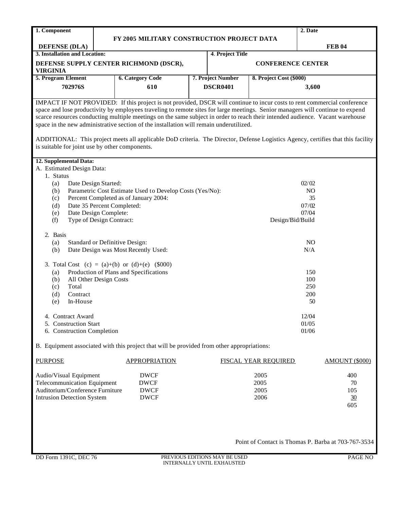| 1. Component                                   |                                                                                                                               |                                                                                                                                  |       |                   |                             | 2. Date |                |  |  |  |  |
|------------------------------------------------|-------------------------------------------------------------------------------------------------------------------------------|----------------------------------------------------------------------------------------------------------------------------------|-------|-------------------|-----------------------------|---------|----------------|--|--|--|--|
|                                                |                                                                                                                               | FY 2005 MILITARY CONSTRUCTION PROJECT DATA                                                                                       |       |                   |                             |         |                |  |  |  |  |
| <b>DEFENSE (DLA)</b>                           |                                                                                                                               |                                                                                                                                  |       |                   |                             |         | <b>FEB 04</b>  |  |  |  |  |
| 3. Installation and Location:                  |                                                                                                                               |                                                                                                                                  |       | 4. Project Title  |                             |         |                |  |  |  |  |
|                                                |                                                                                                                               | DEFENSE SUPPLY CENTER RICHMOND (DSCR),                                                                                           |       |                   | <b>CONFERENCE CENTER</b>    |         |                |  |  |  |  |
| <b>VIRGINIA</b>                                |                                                                                                                               |                                                                                                                                  |       |                   |                             |         |                |  |  |  |  |
| 5. Program Element                             |                                                                                                                               | <b>6. Category Code</b>                                                                                                          |       | 7. Project Number | 8. Project Cost (\$000)     |         |                |  |  |  |  |
| 702976S                                        |                                                                                                                               | 610                                                                                                                              |       |                   | 3,600                       |         |                |  |  |  |  |
|                                                |                                                                                                                               |                                                                                                                                  |       | <b>DSCR0401</b>   |                             |         |                |  |  |  |  |
|                                                |                                                                                                                               | IMPACT IF NOT PROVIDED: If this project is not provided, DSCR will continue to incur costs to rent commercial conference         |       |                   |                             |         |                |  |  |  |  |
|                                                |                                                                                                                               | space and lose productivity by employees traveling to remote sites for large meetings. Senior managers will continue to expend   |       |                   |                             |         |                |  |  |  |  |
|                                                | scarce resources conducting multiple meetings on the same subject in order to reach their intended audience. Vacant warehouse |                                                                                                                                  |       |                   |                             |         |                |  |  |  |  |
|                                                | space in the new administrative section of the installation will remain underutilized.                                        |                                                                                                                                  |       |                   |                             |         |                |  |  |  |  |
|                                                |                                                                                                                               |                                                                                                                                  |       |                   |                             |         |                |  |  |  |  |
|                                                |                                                                                                                               | ADDITIONAL: This project meets all applicable DoD criteria. The Director, Defense Logistics Agency, certifies that this facility |       |                   |                             |         |                |  |  |  |  |
| is suitable for joint use by other components. |                                                                                                                               |                                                                                                                                  |       |                   |                             |         |                |  |  |  |  |
|                                                |                                                                                                                               |                                                                                                                                  |       |                   |                             |         |                |  |  |  |  |
| 12. Supplemental Data:                         |                                                                                                                               |                                                                                                                                  |       |                   |                             |         |                |  |  |  |  |
| A. Estimated Design Data:                      |                                                                                                                               |                                                                                                                                  |       |                   |                             |         |                |  |  |  |  |
| 1. Status                                      |                                                                                                                               |                                                                                                                                  |       |                   |                             |         |                |  |  |  |  |
| Date Design Started:<br>(a)                    |                                                                                                                               |                                                                                                                                  |       |                   | 02/02                       |         |                |  |  |  |  |
| (b)                                            |                                                                                                                               | Parametric Cost Estimate Used to Develop Costs (Yes/No):                                                                         |       |                   | NO <sub>1</sub>             |         |                |  |  |  |  |
| (c)                                            |                                                                                                                               | Percent Completed as of January 2004:                                                                                            |       |                   | 35                          |         |                |  |  |  |  |
| Date 35 Percent Completed:<br>(d)              |                                                                                                                               |                                                                                                                                  |       |                   | 07/02                       |         |                |  |  |  |  |
| Date Design Complete:<br>(e)                   |                                                                                                                               |                                                                                                                                  | 07/04 |                   |                             |         |                |  |  |  |  |
| Type of Design Contract:<br>(f)                |                                                                                                                               |                                                                                                                                  |       |                   | Design/Bid/Build            |         |                |  |  |  |  |
| 2. Basis                                       |                                                                                                                               |                                                                                                                                  |       |                   |                             |         |                |  |  |  |  |
| (a)                                            |                                                                                                                               | Standard or Definitive Design:                                                                                                   |       |                   |                             | NO      |                |  |  |  |  |
| (b)                                            |                                                                                                                               | Date Design was Most Recently Used:                                                                                              |       |                   | N/A                         |         |                |  |  |  |  |
|                                                |                                                                                                                               |                                                                                                                                  |       |                   |                             |         |                |  |  |  |  |
|                                                |                                                                                                                               | 3. Total Cost (c) = $(a)+(b)$ or $(d)+(e)$ (\$000)                                                                               |       |                   |                             |         |                |  |  |  |  |
| (a)                                            |                                                                                                                               | Production of Plans and Specifications                                                                                           |       |                   |                             | 150     |                |  |  |  |  |
| All Other Design Costs<br>(b)                  |                                                                                                                               |                                                                                                                                  |       |                   |                             | 100     |                |  |  |  |  |
| Total<br>(c)                                   |                                                                                                                               |                                                                                                                                  |       |                   |                             | 250     |                |  |  |  |  |
| Contract<br>(d)                                |                                                                                                                               |                                                                                                                                  |       |                   |                             | 200     |                |  |  |  |  |
| In-House<br>(e)                                |                                                                                                                               |                                                                                                                                  |       |                   |                             | 50      |                |  |  |  |  |
|                                                |                                                                                                                               |                                                                                                                                  |       |                   |                             |         |                |  |  |  |  |
| 4. Contract Award                              |                                                                                                                               |                                                                                                                                  |       |                   |                             | 12/04   |                |  |  |  |  |
| 5. Construction Start                          |                                                                                                                               |                                                                                                                                  |       |                   |                             | 01/05   |                |  |  |  |  |
| 6. Construction Completion                     |                                                                                                                               |                                                                                                                                  |       |                   |                             | 01/06   |                |  |  |  |  |
|                                                |                                                                                                                               |                                                                                                                                  |       |                   |                             |         |                |  |  |  |  |
|                                                |                                                                                                                               | B. Equipment associated with this project that will be provided from other appropriations:                                       |       |                   |                             |         |                |  |  |  |  |
|                                                |                                                                                                                               |                                                                                                                                  |       |                   |                             |         |                |  |  |  |  |
| <b>PURPOSE</b>                                 |                                                                                                                               | <b>APPROPRIATION</b>                                                                                                             |       |                   | <b>FISCAL YEAR REQUIRED</b> |         | AMOUNT (\$000) |  |  |  |  |
|                                                |                                                                                                                               |                                                                                                                                  |       |                   |                             |         |                |  |  |  |  |
| Audio/Visual Equipment                         |                                                                                                                               | <b>DWCF</b>                                                                                                                      |       |                   | 2005                        |         | 400            |  |  |  |  |
| <b>Telecommunication Equipment</b>             |                                                                                                                               | <b>DWCF</b>                                                                                                                      |       |                   | 2005                        |         | 70             |  |  |  |  |
| Auditorium/Conference Furniture                |                                                                                                                               | <b>DWCF</b>                                                                                                                      |       |                   | 2005                        |         | 105            |  |  |  |  |
| <b>Intrusion Detection System</b>              |                                                                                                                               | <b>DWCF</b>                                                                                                                      |       |                   | 2006                        |         | 30             |  |  |  |  |
|                                                |                                                                                                                               |                                                                                                                                  |       |                   |                             |         | 605            |  |  |  |  |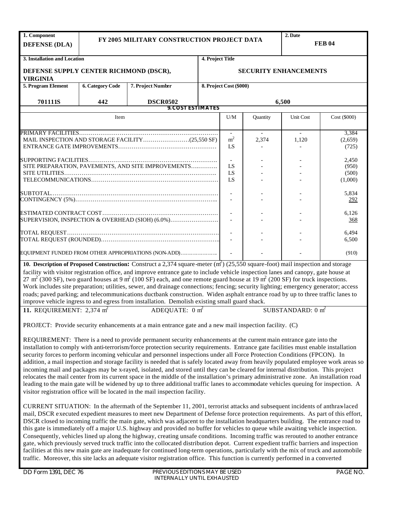| 1. Component<br><b>DEFENSE (DLA)</b>                                                                                                                                                                                                                                                                                                                                                                                                                                                                                                                                                                                                                                                                                                                                                                                                                                                                                                                                                                                                 |                         | FY 2005 MILITARY CONSTRUCTION PROJECT DATA                                                                                                                                                                                                                                                                                                                                                                                                                                                                                                                                                                                                                                                                                                                                                                           |                  | 2. Date<br><b>FEB 04</b> |          |                                    |                           |  |
|--------------------------------------------------------------------------------------------------------------------------------------------------------------------------------------------------------------------------------------------------------------------------------------------------------------------------------------------------------------------------------------------------------------------------------------------------------------------------------------------------------------------------------------------------------------------------------------------------------------------------------------------------------------------------------------------------------------------------------------------------------------------------------------------------------------------------------------------------------------------------------------------------------------------------------------------------------------------------------------------------------------------------------------|-------------------------|----------------------------------------------------------------------------------------------------------------------------------------------------------------------------------------------------------------------------------------------------------------------------------------------------------------------------------------------------------------------------------------------------------------------------------------------------------------------------------------------------------------------------------------------------------------------------------------------------------------------------------------------------------------------------------------------------------------------------------------------------------------------------------------------------------------------|------------------|--------------------------|----------|------------------------------------|---------------------------|--|
| 3. Installation and Location                                                                                                                                                                                                                                                                                                                                                                                                                                                                                                                                                                                                                                                                                                                                                                                                                                                                                                                                                                                                         |                         |                                                                                                                                                                                                                                                                                                                                                                                                                                                                                                                                                                                                                                                                                                                                                                                                                      | 4. Project Title |                          |          |                                    |                           |  |
| DEFENSE SUPPLY CENTER RICHMOND (DSCR),                                                                                                                                                                                                                                                                                                                                                                                                                                                                                                                                                                                                                                                                                                                                                                                                                                                                                                                                                                                               |                         |                                                                                                                                                                                                                                                                                                                                                                                                                                                                                                                                                                                                                                                                                                                                                                                                                      |                  |                          |          | <b>SECURITY ENHANCEMENTS</b>       |                           |  |
| <b>VIRGINIA</b><br>5. Program Element                                                                                                                                                                                                                                                                                                                                                                                                                                                                                                                                                                                                                                                                                                                                                                                                                                                                                                                                                                                                | <b>6. Category Code</b> | 7. Project Number                                                                                                                                                                                                                                                                                                                                                                                                                                                                                                                                                                                                                                                                                                                                                                                                    |                  | 8. Project Cost (\$000)  |          |                                    |                           |  |
| 701111S                                                                                                                                                                                                                                                                                                                                                                                                                                                                                                                                                                                                                                                                                                                                                                                                                                                                                                                                                                                                                              | 442                     | <b>DSCR0502</b>                                                                                                                                                                                                                                                                                                                                                                                                                                                                                                                                                                                                                                                                                                                                                                                                      |                  |                          |          | 6,500                              |                           |  |
|                                                                                                                                                                                                                                                                                                                                                                                                                                                                                                                                                                                                                                                                                                                                                                                                                                                                                                                                                                                                                                      |                         | <b>9. COST ESTIMATES</b>                                                                                                                                                                                                                                                                                                                                                                                                                                                                                                                                                                                                                                                                                                                                                                                             |                  |                          |          |                                    |                           |  |
|                                                                                                                                                                                                                                                                                                                                                                                                                                                                                                                                                                                                                                                                                                                                                                                                                                                                                                                                                                                                                                      | Item                    |                                                                                                                                                                                                                                                                                                                                                                                                                                                                                                                                                                                                                                                                                                                                                                                                                      |                  | U/M                      | Quantity | Unit Cost                          | Cost (\$000)              |  |
|                                                                                                                                                                                                                                                                                                                                                                                                                                                                                                                                                                                                                                                                                                                                                                                                                                                                                                                                                                                                                                      |                         |                                                                                                                                                                                                                                                                                                                                                                                                                                                                                                                                                                                                                                                                                                                                                                                                                      |                  | m <sup>2</sup><br>LS     | 2,374    | $\overline{\phantom{a}}$<br>1,120  | 3,384<br>(2,659)<br>(725) |  |
|                                                                                                                                                                                                                                                                                                                                                                                                                                                                                                                                                                                                                                                                                                                                                                                                                                                                                                                                                                                                                                      |                         | SITE PREPARATION, PAVEMENTS, AND SITE IMPROVEMENTS                                                                                                                                                                                                                                                                                                                                                                                                                                                                                                                                                                                                                                                                                                                                                                   | LS<br>LS<br>LS   |                          |          | 2,450<br>(950)<br>(500)<br>(1,000) |                           |  |
|                                                                                                                                                                                                                                                                                                                                                                                                                                                                                                                                                                                                                                                                                                                                                                                                                                                                                                                                                                                                                                      |                         |                                                                                                                                                                                                                                                                                                                                                                                                                                                                                                                                                                                                                                                                                                                                                                                                                      | $\overline{a}$   |                          |          | 5,834<br>292                       |                           |  |
|                                                                                                                                                                                                                                                                                                                                                                                                                                                                                                                                                                                                                                                                                                                                                                                                                                                                                                                                                                                                                                      |                         | SUPERVISION, INSPECTION & OVERHEAD (SIOH) (6.0%)                                                                                                                                                                                                                                                                                                                                                                                                                                                                                                                                                                                                                                                                                                                                                                     |                  |                          |          |                                    | 6,126<br>368              |  |
|                                                                                                                                                                                                                                                                                                                                                                                                                                                                                                                                                                                                                                                                                                                                                                                                                                                                                                                                                                                                                                      |                         |                                                                                                                                                                                                                                                                                                                                                                                                                                                                                                                                                                                                                                                                                                                                                                                                                      |                  |                          |          |                                    | 6,494<br>6,500            |  |
|                                                                                                                                                                                                                                                                                                                                                                                                                                                                                                                                                                                                                                                                                                                                                                                                                                                                                                                                                                                                                                      |                         | EQUIPMENT FUNDED FROM OTHER APPROPRIATIONS (NON-ADD)                                                                                                                                                                                                                                                                                                                                                                                                                                                                                                                                                                                                                                                                                                                                                                 |                  |                          |          |                                    | (910)                     |  |
|                                                                                                                                                                                                                                                                                                                                                                                                                                                                                                                                                                                                                                                                                                                                                                                                                                                                                                                                                                                                                                      |                         | 10. Description of Proposed Construction: Construct a 2,374 square-meter $(m2)$ (25,550 square-foot) mail inspection and storage<br>facility with visitor registration office, and improve entrance gate to include vehicle inspection lanes and canopy, gate house at<br>27 m <sup>2</sup> (300 SF), two guard houses at 9 m <sup>2</sup> (100 SF) each, and one remote guard house at 19 m <sup>2</sup> (200 SF) for truck inspections.<br>Work includes site preparation; utilities, sewer, and drainage connections; fencing; security lighting; emergency generator; access<br>roads; paved parking; and telecommunications ductbank construction. Widen asphalt entrance road by up to three traffic lanes to<br>improve vehicle ingress to and egress from installation. Demolish existing small guard shack. |                  |                          |          |                                    |                           |  |
| 11. REQUIREMENT: $2,374$ m <sup>2</sup>                                                                                                                                                                                                                                                                                                                                                                                                                                                                                                                                                                                                                                                                                                                                                                                                                                                                                                                                                                                              |                         | ADEQUATE: $0 \text{ m}^2$                                                                                                                                                                                                                                                                                                                                                                                                                                                                                                                                                                                                                                                                                                                                                                                            |                  |                          |          | SUBSTANDARD: $0 \text{ m}^2$       |                           |  |
|                                                                                                                                                                                                                                                                                                                                                                                                                                                                                                                                                                                                                                                                                                                                                                                                                                                                                                                                                                                                                                      |                         | PROJECT: Provide security enhancements at a main entrance gate and a new mail inspection facility. (C)                                                                                                                                                                                                                                                                                                                                                                                                                                                                                                                                                                                                                                                                                                               |                  |                          |          |                                    |                           |  |
| REQUIREMENT: There is a need to provide permanent security enhancements at the current main entrance gate into the<br>installation to comply with anti-terrorism/force protection security requirements. Entrance gate facilities must enable installation<br>security forces to perform incoming vehicular and personnel inspections under all Force Protection Conditions (FPCON). In<br>addition, a mail inspection and storage facility is needed that is safely located away from heavily populated employee work areas so<br>incoming mail and packages may be x-rayed, isolated, and stored until they can be cleared for internal distribution. This project<br>relocates the mail center from its current space in the middle of the installation's primary administrative zone. An installation road<br>leading to the main gate will be widened by up to three additional traffic lanes to accommodate vehicles queuing for inspection. A<br>visitor registration office will be located in the mail inspection facility. |                         |                                                                                                                                                                                                                                                                                                                                                                                                                                                                                                                                                                                                                                                                                                                                                                                                                      |                  |                          |          |                                    |                           |  |
|                                                                                                                                                                                                                                                                                                                                                                                                                                                                                                                                                                                                                                                                                                                                                                                                                                                                                                                                                                                                                                      |                         | CURRENT SITUATION: In the aftermath of the September 11, 2001, terrorist attacks and subsequent incidents of anthrax-laced<br>mail, DSCR executed expedient measures to meet new Department of Defense force protection requirements. As part of this effort,<br>DSCR closed to incoming traffic the main gate, which was adjacent to the installation headquarters building. The entrance road to<br>this gate is immediately off a major U.S. highway and provided no buffer for vehicles to queue while awaiting vehicle inspection.                                                                                                                                                                                                                                                                              |                  |                          |          |                                    |                           |  |

Consequently, vehicles lined up along the highway, creating unsafe conditions. Incoming traffic was rerouted to another entrance gate, which previously served truck traffic into the collocated distribution depot. Current expedient traffic barriers and inspection facilities at this new main gate are inadequate for continued long-term operations, particularly with the mix of truck and automobile traffic. Moreover, this site lacks an adequate visitor registration office. This function is currently performed in a converted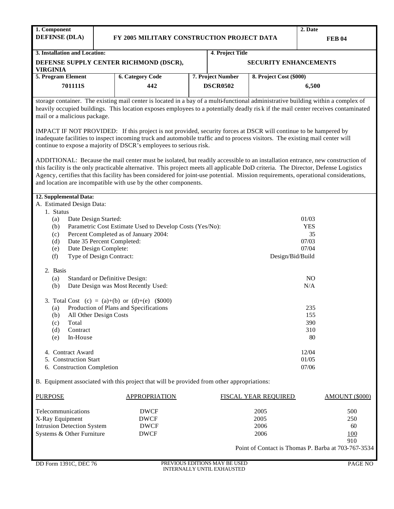| 1. Component                  |  |                                            | 2. Date       |                              |                         |  |  |
|-------------------------------|--|--------------------------------------------|---------------|------------------------------|-------------------------|--|--|
| <b>DEFENSE (DLA)</b>          |  | FY 2005 MILITARY CONSTRUCTION PROJECT DATA | <b>FEB 04</b> |                              |                         |  |  |
|                               |  |                                            |               |                              |                         |  |  |
| 3. Installation and Location: |  |                                            |               | 4. Project Title             |                         |  |  |
|                               |  | DEFENSE SUPPLY CENTER RICHMOND (DSCR),     |               | <b>SECURITY ENHANCEMENTS</b> |                         |  |  |
| I VIRGINIA                    |  |                                            |               |                              |                         |  |  |
| 5. Program Element            |  | <b>6. Category Code</b>                    |               | 7. Project Number            | 8. Project Cost (\$000) |  |  |

storage container. The existing mail center is located in a bay of a multi-functional administrative building within a complex of heavily occupied buildings. This location exposes employees to a potentially deadly ris k if the mail center receives contaminated mail or a malicious package.

**DSCR0502**

**6,500**

IMPACT IF NOT PROVIDED: If this project is not provided, security forces at DSCR will continue to be hampered by inadequate facilities to inspect incoming truck and automobile traffic and to process visitors. The existing mail center will continue to expose a majority of DSCR's employees to serious risk.

**442**

ADDITIONAL: Because the mail center must be isolated, but readily accessible to an installation entrance, new construction of this facility is the only practicable alternative. This project meets all applicable DoD criteria. The Director, Defense Logistics Agency, certifies that this facility has been considered for joint-use potential. Mission requirements, operational considerations, and location are incompatible with use by the other components.

|                                                    |                                                                 | 12. Supplemental Data:                         |                  |  |  |  |  |  |  |  |
|----------------------------------------------------|-----------------------------------------------------------------|------------------------------------------------|------------------|--|--|--|--|--|--|--|
|                                                    |                                                                 | A. Estimated Design Data:                      |                  |  |  |  |  |  |  |  |
|                                                    | 1. Status                                                       |                                                |                  |  |  |  |  |  |  |  |
| 01/03<br>Date Design Started:<br>(a)<br><b>YES</b> |                                                                 |                                                |                  |  |  |  |  |  |  |  |
|                                                    | Parametric Cost Estimate Used to Develop Costs (Yes/No):<br>(b) |                                                |                  |  |  |  |  |  |  |  |
|                                                    | (c)                                                             | Percent Completed as of January 2004:          | 35               |  |  |  |  |  |  |  |
|                                                    | (d)                                                             | Date 35 Percent Completed:                     | 07/03            |  |  |  |  |  |  |  |
|                                                    | (e)                                                             | Date Design Complete:                          | 07/04            |  |  |  |  |  |  |  |
|                                                    | (f)                                                             | Type of Design Contract:                       | Design/Bid/Build |  |  |  |  |  |  |  |
|                                                    | 2. Basis                                                        |                                                |                  |  |  |  |  |  |  |  |
|                                                    | (a)                                                             | Standard or Definitive Design:                 | NO.              |  |  |  |  |  |  |  |
|                                                    | (b)                                                             | Date Design was Most Recently Used:            | N/A              |  |  |  |  |  |  |  |
|                                                    |                                                                 | 3. Total Cost (c) = (a)+(b) or (d)+(e) (\$000) |                  |  |  |  |  |  |  |  |
|                                                    | (a)                                                             | Production of Plans and Specifications         | 235              |  |  |  |  |  |  |  |
|                                                    | (b)                                                             | All Other Design Costs                         | 155              |  |  |  |  |  |  |  |
|                                                    | (c)                                                             | Total                                          | 390              |  |  |  |  |  |  |  |
|                                                    | (d)                                                             | Contract                                       | 310              |  |  |  |  |  |  |  |
|                                                    | (e)                                                             | In-House                                       | 80               |  |  |  |  |  |  |  |
|                                                    |                                                                 | 4. Contract Award                              | 12/04            |  |  |  |  |  |  |  |
|                                                    |                                                                 | 5. Construction Start                          | 01/05            |  |  |  |  |  |  |  |
|                                                    | 07/06<br>6. Construction Completion                             |                                                |                  |  |  |  |  |  |  |  |
|                                                    |                                                                 |                                                |                  |  |  |  |  |  |  |  |

B. Equipment associated with this project that will be provided from other appropriations:

| <b>PURPOSE</b>             | <b>APPROPRIATION</b> | <b>FISCAL YEAR REQUIRED</b>                         | AMOUNT (\$000) |
|----------------------------|----------------------|-----------------------------------------------------|----------------|
|                            |                      |                                                     |                |
| Telecommunications         | <b>DWCF</b>          | 2005                                                | 500            |
| X-Ray Equipment            | <b>DWCF</b>          | 2005                                                | 250            |
| Intrusion Detection System | <b>DWCF</b>          | 2006                                                | 60             |
| Systems & Other Furniture  | <b>DWCF</b>          | 2006                                                | 100            |
|                            |                      |                                                     | 910            |
|                            |                      | Point of Contact is Thomas P. Barba at 703-767-3534 |                |
|                            |                      |                                                     |                |
|                            |                      |                                                     |                |

**701111S**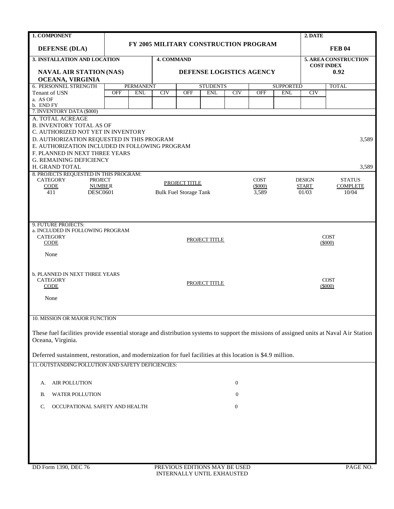| 1. COMPONENT                                                                                                                                                 |                  |                  |            |                               |                                       |            |             |                  | 2. DATE       |                           |  |
|--------------------------------------------------------------------------------------------------------------------------------------------------------------|------------------|------------------|------------|-------------------------------|---------------------------------------|------------|-------------|------------------|---------------|---------------------------|--|
| <b>DEFENSE (DLA)</b>                                                                                                                                         |                  |                  |            |                               | FY 2005 MILITARY CONSTRUCTION PROGRAM |            |             |                  |               | <b>FEB 04</b>             |  |
| 3. INSTALLATION AND LOCATION                                                                                                                                 |                  |                  |            | <b>4. COMMAND</b>             |                                       |            |             |                  |               | 5. AREA CONSTRUCTION      |  |
| <b>NAVAL AIR STATION (NAS)</b>                                                                                                                               |                  |                  |            |                               | DEFENSE LOGISTICS AGENCY              |            |             |                  |               | <b>COST INDEX</b><br>0.92 |  |
| OCEANA, VIRGINIA                                                                                                                                             |                  |                  |            |                               |                                       |            |             |                  |               |                           |  |
| 6. PERSONNEL STRENGTH                                                                                                                                        |                  | <b>PERMANENT</b> |            | <b>STUDENTS</b>               |                                       |            |             | <b>SUPPORTED</b> |               | <b>TOTAL</b>              |  |
| Tenant of USN                                                                                                                                                | <b>OFF</b>       | <b>ENL</b>       | <b>CIV</b> | <b>OFF</b>                    | <b>ENL</b>                            | <b>CIV</b> | <b>OFF</b>  | <b>ENL</b>       | <b>CIV</b>    |                           |  |
| a. AS OF<br>b. END FY                                                                                                                                        |                  |                  |            |                               |                                       |            |             |                  |               |                           |  |
| 7. INVENTORY DATA (\$000)                                                                                                                                    |                  |                  |            |                               |                                       |            |             |                  |               |                           |  |
| A. TOTAL ACREAGE                                                                                                                                             |                  |                  |            |                               |                                       |            |             |                  |               |                           |  |
| <b>B. INVENTORY TOTAL AS OF</b>                                                                                                                              |                  |                  |            |                               |                                       |            |             |                  |               |                           |  |
| C. AUTHORIZED NOT YET IN INVENTORY<br>D. AUTHORIZATION REQUESTED IN THIS PROGRAM                                                                             |                  |                  |            |                               |                                       |            |             |                  |               | 3,589                     |  |
| E. AUTHORIZATION INCLUDED IN FOLLOWING PROGRAM                                                                                                               |                  |                  |            |                               |                                       |            |             |                  |               |                           |  |
| F. PLANNED IN NEXT THREE YEARS                                                                                                                               |                  |                  |            |                               |                                       |            |             |                  |               |                           |  |
| <b>G. REMAINING DEFICIENCY</b>                                                                                                                               |                  |                  |            |                               |                                       |            |             |                  |               |                           |  |
| H. GRAND TOTAL                                                                                                                                               |                  |                  |            |                               |                                       |            |             |                  |               | 3,589                     |  |
| 8. PROJECTS REQUESTED IN THIS PROGRAM:<br><b>CATEGORY</b><br><b>PROJECT</b>                                                                                  |                  |                  |            |                               |                                       |            | <b>COST</b> |                  | <b>DESIGN</b> | <b>STATUS</b>             |  |
| CODE<br><b>NUMBER</b>                                                                                                                                        |                  |                  |            | PROJECT TITLE                 |                                       |            | (S000)      |                  | <b>START</b>  | <b>COMPLETE</b>           |  |
| 411<br><b>DESC0601</b>                                                                                                                                       |                  |                  |            | <b>Bulk Fuel Storage Tank</b> |                                       |            | 3,589       |                  | 01/03         | 10/04                     |  |
|                                                                                                                                                              |                  |                  |            |                               |                                       |            |             |                  |               |                           |  |
|                                                                                                                                                              |                  |                  |            |                               |                                       |            |             |                  |               |                           |  |
|                                                                                                                                                              |                  |                  |            |                               |                                       |            |             |                  |               |                           |  |
| 9. FUTURE PROJECTS:<br>a. INCLUDED IN FOLLOWING PROGRAM                                                                                                      |                  |                  |            |                               |                                       |            |             |                  |               |                           |  |
| <b>CATEGORY</b>                                                                                                                                              |                  |                  |            |                               |                                       |            |             |                  | <b>COST</b>   |                           |  |
| CODE                                                                                                                                                         |                  | PROJECT TITLE    |            |                               |                                       |            |             |                  | (5000)        |                           |  |
| None                                                                                                                                                         |                  |                  |            |                               |                                       |            |             |                  |               |                           |  |
|                                                                                                                                                              |                  |                  |            |                               |                                       |            |             |                  |               |                           |  |
| <b>b. PLANNED IN NEXT THREE YEARS</b>                                                                                                                        |                  |                  |            |                               |                                       |            |             |                  |               |                           |  |
| <b>CATEGORY</b>                                                                                                                                              |                  |                  |            |                               |                                       |            |             |                  |               | <b>COST</b>               |  |
| CODE                                                                                                                                                         |                  |                  |            |                               | PROJECT TITLE                         |            |             |                  |               | $(\$000)$                 |  |
| None                                                                                                                                                         |                  |                  |            |                               |                                       |            |             |                  |               |                           |  |
|                                                                                                                                                              |                  |                  |            |                               |                                       |            |             |                  |               |                           |  |
|                                                                                                                                                              |                  |                  |            |                               |                                       |            |             |                  |               |                           |  |
| 10. MISSION OR MAJOR FUNCTION                                                                                                                                |                  |                  |            |                               |                                       |            |             |                  |               |                           |  |
|                                                                                                                                                              |                  |                  |            |                               |                                       |            |             |                  |               |                           |  |
| These fuel facilities provide essential storage and distribution systems to support the missions of assigned units at Naval Air Station<br>Oceana, Virginia. |                  |                  |            |                               |                                       |            |             |                  |               |                           |  |
|                                                                                                                                                              |                  |                  |            |                               |                                       |            |             |                  |               |                           |  |
| Deferred sustainment, restoration, and modernization for fuel facilities at this location is \$4.9 million.                                                  |                  |                  |            |                               |                                       |            |             |                  |               |                           |  |
| 11. OUTSTANDING POLLUTION AND SAFETY DEFICIENCIES:                                                                                                           |                  |                  |            |                               |                                       |            |             |                  |               |                           |  |
|                                                                                                                                                              |                  |                  |            |                               |                                       |            |             |                  |               |                           |  |
| AIR POLLUTION                                                                                                                                                |                  |                  |            |                               |                                       |            |             |                  |               |                           |  |
| А.                                                                                                                                                           | 0                |                  |            |                               |                                       |            |             |                  |               |                           |  |
| WATER POLLUTION<br>В.                                                                                                                                        | 0                |                  |            |                               |                                       |            |             |                  |               |                           |  |
| OCCUPATIONAL SAFETY AND HEALTH<br>C.                                                                                                                         | $\boldsymbol{0}$ |                  |            |                               |                                       |            |             |                  |               |                           |  |
|                                                                                                                                                              |                  |                  |            |                               |                                       |            |             |                  |               |                           |  |
|                                                                                                                                                              |                  |                  |            |                               |                                       |            |             |                  |               |                           |  |
|                                                                                                                                                              |                  |                  |            |                               |                                       |            |             |                  |               |                           |  |
|                                                                                                                                                              |                  |                  |            |                               |                                       |            |             |                  |               |                           |  |
|                                                                                                                                                              |                  |                  |            |                               |                                       |            |             |                  |               |                           |  |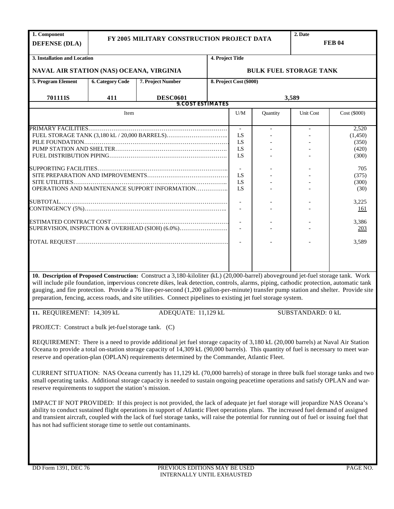| 1. Component<br><b>DEFENSE (DLA)</b>                            |                         | FY 2005 MILITARY CONSTRUCTION PROJECT DATA                                                                                                                                                                                                                                                                                                                                                                                                                                                                                              |                          |                         |          | 2. Date<br><b>FEB 04</b>      |              |  |
|-----------------------------------------------------------------|-------------------------|-----------------------------------------------------------------------------------------------------------------------------------------------------------------------------------------------------------------------------------------------------------------------------------------------------------------------------------------------------------------------------------------------------------------------------------------------------------------------------------------------------------------------------------------|--------------------------|-------------------------|----------|-------------------------------|--------------|--|
| 3. Installation and Location                                    |                         |                                                                                                                                                                                                                                                                                                                                                                                                                                                                                                                                         | 4. Project Title         |                         |          |                               |              |  |
| NAVAL AIR STATION (NAS) OCEANA, VIRGINIA                        |                         |                                                                                                                                                                                                                                                                                                                                                                                                                                                                                                                                         |                          |                         |          | <b>BULK FUEL STORAGE TANK</b> |              |  |
| 5. Program Element                                              | <b>6. Category Code</b> | 7. Project Number                                                                                                                                                                                                                                                                                                                                                                                                                                                                                                                       |                          | 8. Project Cost (\$000) |          |                               |              |  |
| 701111S                                                         | 411                     | <b>DESC0601</b>                                                                                                                                                                                                                                                                                                                                                                                                                                                                                                                         |                          |                         |          | 3,589                         |              |  |
|                                                                 |                         |                                                                                                                                                                                                                                                                                                                                                                                                                                                                                                                                         | <b>9. COST ESTIMATES</b> |                         |          |                               |              |  |
|                                                                 | Item                    |                                                                                                                                                                                                                                                                                                                                                                                                                                                                                                                                         |                          | U/M                     | Quantity | Unit Cost                     | Cost (\$000) |  |
|                                                                 |                         |                                                                                                                                                                                                                                                                                                                                                                                                                                                                                                                                         |                          | $\sim$                  |          |                               | 2,520        |  |
|                                                                 |                         |                                                                                                                                                                                                                                                                                                                                                                                                                                                                                                                                         |                          | LS                      |          |                               | (1,450)      |  |
|                                                                 |                         |                                                                                                                                                                                                                                                                                                                                                                                                                                                                                                                                         |                          | LS                      |          |                               | (350)        |  |
|                                                                 |                         |                                                                                                                                                                                                                                                                                                                                                                                                                                                                                                                                         |                          | LS                      |          |                               |              |  |
|                                                                 |                         |                                                                                                                                                                                                                                                                                                                                                                                                                                                                                                                                         |                          |                         |          |                               | (420)        |  |
|                                                                 |                         |                                                                                                                                                                                                                                                                                                                                                                                                                                                                                                                                         |                          | LS                      |          |                               | (300)        |  |
|                                                                 |                         |                                                                                                                                                                                                                                                                                                                                                                                                                                                                                                                                         |                          |                         |          |                               |              |  |
|                                                                 |                         |                                                                                                                                                                                                                                                                                                                                                                                                                                                                                                                                         |                          |                         |          |                               | 705          |  |
|                                                                 |                         |                                                                                                                                                                                                                                                                                                                                                                                                                                                                                                                                         |                          | LS                      |          |                               | (375)        |  |
|                                                                 |                         |                                                                                                                                                                                                                                                                                                                                                                                                                                                                                                                                         |                          | LS                      |          |                               | (300)        |  |
|                                                                 |                         | OPERATIONS AND MAINTENANCE SUPPORT INFORMATION                                                                                                                                                                                                                                                                                                                                                                                                                                                                                          |                          | <b>IS</b>               |          |                               | (30)         |  |
|                                                                 |                         |                                                                                                                                                                                                                                                                                                                                                                                                                                                                                                                                         |                          |                         |          |                               |              |  |
|                                                                 |                         |                                                                                                                                                                                                                                                                                                                                                                                                                                                                                                                                         |                          | $\blacksquare$          |          |                               | 3,225        |  |
|                                                                 |                         |                                                                                                                                                                                                                                                                                                                                                                                                                                                                                                                                         |                          |                         |          |                               | 161          |  |
|                                                                 |                         |                                                                                                                                                                                                                                                                                                                                                                                                                                                                                                                                         |                          |                         |          |                               |              |  |
|                                                                 |                         |                                                                                                                                                                                                                                                                                                                                                                                                                                                                                                                                         |                          |                         |          |                               | 3,386        |  |
|                                                                 |                         | SUPERVISION, INSPECTION & OVERHEAD (SIOH) (6.0%)                                                                                                                                                                                                                                                                                                                                                                                                                                                                                        |                          |                         |          |                               |              |  |
|                                                                 |                         |                                                                                                                                                                                                                                                                                                                                                                                                                                                                                                                                         |                          |                         |          |                               | 203          |  |
|                                                                 |                         |                                                                                                                                                                                                                                                                                                                                                                                                                                                                                                                                         |                          |                         |          |                               | 3,589        |  |
|                                                                 |                         |                                                                                                                                                                                                                                                                                                                                                                                                                                                                                                                                         |                          |                         |          |                               |              |  |
|                                                                 |                         | 10. Description of Proposed Construction: Construct a 3,180-kiloliter (kL) (20,000-barrel) aboveground jet-fuel storage tank. Work<br>will include pile foundation, impervious concrete dikes, leak detection, controls, alarms, piping, cathodic protection, automatic tank<br>gauging, and fire protection. Provide a 76 liter-per-second (1,200 gallon-per-minute) transfer pump station and shelter. Provide site<br>preparation, fencing, access roads, and site utilities. Connect pipelines to existing jet fuel storage system. |                          |                         |          | SUBSTANDARD: 0 kL             |              |  |
| 11. REQUIREMENT: 14,309 kL                                      |                         | ADEQUATE: 11,129 kL                                                                                                                                                                                                                                                                                                                                                                                                                                                                                                                     |                          |                         |          |                               |              |  |
| PROJECT: Construct a bulk jet-fuel storage tank. (C)            |                         |                                                                                                                                                                                                                                                                                                                                                                                                                                                                                                                                         |                          |                         |          |                               |              |  |
|                                                                 |                         | REQUIREMENT: There is a need to provide additional jet fuel storage capacity of 3,180 kL (20,000 barrels) at Naval Air Station<br>Oceana to provide a total on-station storage capacity of 14,309 kL (90,000 barrels). This quantity of fuel is necessary to meet war-<br>reserve and operation-plan (OPLAN) requirements determined by the Commander, Atlantic Fleet.                                                                                                                                                                  |                          |                         |          |                               |              |  |
| reserve requirements to support the station's mission.          |                         | CURRENT SITUATION: NAS Oceana currently has 11,129 kL (70,000 barrels) of storage in three bulk fuel storage tanks and two<br>small operating tanks. Additional storage capacity is needed to sustain ongoing peacetime operations and satisfy OPLAN and war-                                                                                                                                                                                                                                                                           |                          |                         |          |                               |              |  |
| has not had sufficient storage time to settle out contaminants. |                         | IMPACT IF NOT PROVIDED: If this project is not provided, the lack of adequate jet fuel storage will jeopardize NAS Oceana's<br>ability to conduct sustained flight operations in support of Atlantic Fleet operations plans. The increased fuel demand of assigned<br>and transient aircraft, coupled with the lack of fuel storage tanks, will raise the potential for running out of fuel or issuing fuel that                                                                                                                        |                          |                         |          |                               |              |  |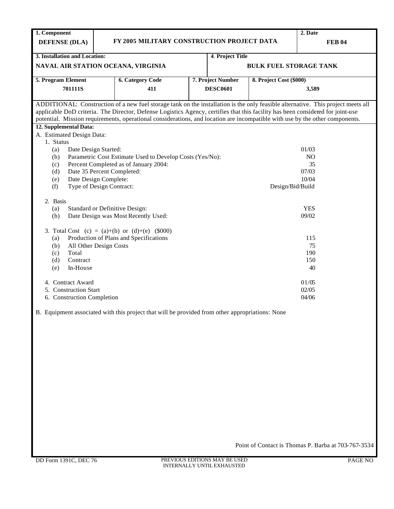| 1. Component                                                          |                         |                                                                                                                                                                                                                                                                 |    |                   |                               | 2. Date                                                                                                                          |  |  |  |
|-----------------------------------------------------------------------|-------------------------|-----------------------------------------------------------------------------------------------------------------------------------------------------------------------------------------------------------------------------------------------------------------|----|-------------------|-------------------------------|----------------------------------------------------------------------------------------------------------------------------------|--|--|--|
| <b>DEFENSE (DLA)</b>                                                  |                         | FY 2005 MILITARY CONSTRUCTION PROJECT DATA<br><b>FEB 04</b>                                                                                                                                                                                                     |    |                   |                               |                                                                                                                                  |  |  |  |
|                                                                       |                         |                                                                                                                                                                                                                                                                 |    |                   |                               |                                                                                                                                  |  |  |  |
| 3. Installation and Location:                                         |                         |                                                                                                                                                                                                                                                                 |    | 4. Project Title  |                               |                                                                                                                                  |  |  |  |
| NAVAL AIR STATION OCEANA, VIRGINIA                                    |                         |                                                                                                                                                                                                                                                                 |    |                   | <b>BULK FUEL STORAGE TANK</b> |                                                                                                                                  |  |  |  |
| 5. Program Element                                                    | <b>6. Category Code</b> |                                                                                                                                                                                                                                                                 |    | 7. Project Number | 8. Project Cost (\$000)       |                                                                                                                                  |  |  |  |
| 701111S                                                               | 411                     |                                                                                                                                                                                                                                                                 |    | <b>DESC0601</b>   | 3,589                         |                                                                                                                                  |  |  |  |
|                                                                       |                         |                                                                                                                                                                                                                                                                 |    |                   |                               |                                                                                                                                  |  |  |  |
|                                                                       |                         |                                                                                                                                                                                                                                                                 |    |                   |                               | ADDITIONAL: Construction of a new fuel storage tank on the installation is the only feasible alternative. This project meets all |  |  |  |
|                                                                       |                         | applicable DoD criteria. The Director, Defense Logistics Agency, certifies that this facility has been considered for joint-use<br>potential. Mission requirements, operational considerations, and location are incompatible with use by the other components. |    |                   |                               |                                                                                                                                  |  |  |  |
| 12. Supplemental Data:                                                |                         |                                                                                                                                                                                                                                                                 |    |                   |                               |                                                                                                                                  |  |  |  |
| A. Estimated Design Data:                                             |                         |                                                                                                                                                                                                                                                                 |    |                   |                               |                                                                                                                                  |  |  |  |
| 1. Status                                                             |                         |                                                                                                                                                                                                                                                                 |    |                   |                               |                                                                                                                                  |  |  |  |
| (a)<br>Date Design Started:                                           |                         |                                                                                                                                                                                                                                                                 |    |                   |                               | 01/03                                                                                                                            |  |  |  |
| Parametric Cost Estimate Used to Develop Costs (Yes/No):<br>NO<br>(b) |                         |                                                                                                                                                                                                                                                                 |    |                   |                               |                                                                                                                                  |  |  |  |
| Percent Completed as of January 2004:<br>(c)                          |                         |                                                                                                                                                                                                                                                                 | 35 |                   |                               |                                                                                                                                  |  |  |  |
| (d)                                                                   |                         | Date 35 Percent Completed:                                                                                                                                                                                                                                      |    | 07/03             |                               |                                                                                                                                  |  |  |  |
| Date Design Complete:<br>(e)                                          |                         |                                                                                                                                                                                                                                                                 |    |                   |                               | 10/04                                                                                                                            |  |  |  |
|                                                                       |                         |                                                                                                                                                                                                                                                                 |    |                   | Design/Bid/Build              |                                                                                                                                  |  |  |  |
|                                                                       |                         |                                                                                                                                                                                                                                                                 |    |                   |                               |                                                                                                                                  |  |  |  |
| (a)                                                                   |                         | <b>Standard or Definitive Design:</b>                                                                                                                                                                                                                           |    |                   | <b>YES</b>                    |                                                                                                                                  |  |  |  |
| (b)                                                                   |                         | Date Design was Most Recently Used:                                                                                                                                                                                                                             |    |                   |                               | 09/02                                                                                                                            |  |  |  |
|                                                                       |                         |                                                                                                                                                                                                                                                                 |    |                   |                               |                                                                                                                                  |  |  |  |
|                                                                       |                         |                                                                                                                                                                                                                                                                 |    |                   |                               | 115                                                                                                                              |  |  |  |
| All Other Design Costs<br>(b)                                         |                         |                                                                                                                                                                                                                                                                 |    |                   |                               | 75                                                                                                                               |  |  |  |
| Total<br>(c)                                                          |                         |                                                                                                                                                                                                                                                                 |    |                   |                               | 190                                                                                                                              |  |  |  |
| (d)<br>Contract                                                       |                         |                                                                                                                                                                                                                                                                 |    |                   | 150                           |                                                                                                                                  |  |  |  |
| In-House<br>(e)                                                       |                         |                                                                                                                                                                                                                                                                 |    |                   |                               |                                                                                                                                  |  |  |  |
| 4. Contract Award                                                     |                         |                                                                                                                                                                                                                                                                 |    |                   |                               | 01/05                                                                                                                            |  |  |  |
| 5. Construction Start                                                 |                         |                                                                                                                                                                                                                                                                 |    |                   |                               | 02/05                                                                                                                            |  |  |  |
| 6. Construction Completion                                            |                         |                                                                                                                                                                                                                                                                 |    |                   |                               | 04/06                                                                                                                            |  |  |  |
| Type of Design Contract:<br>(f)<br>2. Basis<br>(a)                    |                         | 3. Total Cost (c) = (a)+(b) or (d)+(e) (\$000)<br>Production of Plans and Specifications                                                                                                                                                                        |    |                   |                               | 40                                                                                                                               |  |  |  |

B. Equipment associated with this project that will be provided from other appropriations: None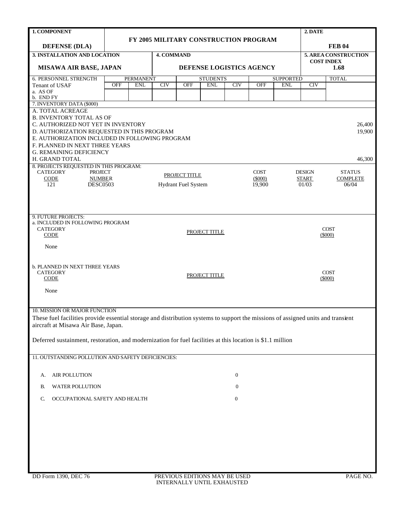| 1. COMPONENT                                                                                                                     |                                                         |                                       |            |                            |                          |                  |                          |              | 2. DATE                |                                           |  |
|----------------------------------------------------------------------------------------------------------------------------------|---------------------------------------------------------|---------------------------------------|------------|----------------------------|--------------------------|------------------|--------------------------|--------------|------------------------|-------------------------------------------|--|
|                                                                                                                                  |                                                         | FY 2005 MILITARY CONSTRUCTION PROGRAM |            |                            |                          |                  |                          |              |                        |                                           |  |
| <b>DEFENSE (DLA)</b>                                                                                                             |                                                         |                                       |            | <b>FEB 04</b>              |                          |                  |                          |              |                        |                                           |  |
| 3. INSTALLATION AND LOCATION                                                                                                     |                                                         |                                       | 4. COMMAND |                            |                          |                  |                          |              |                        | 5. AREA CONSTRUCTION<br><b>COST INDEX</b> |  |
| <b>MISAWA AIR BASE, JAPAN</b>                                                                                                    |                                                         |                                       |            |                            | DEFENSE LOGISTICS AGENCY | 1.68             |                          |              |                        |                                           |  |
| <b>6. PERSONNEL STRENGTH</b>                                                                                                     | <b>PERMANENT</b><br><b>STUDENTS</b><br><b>SUPPORTED</b> |                                       |            |                            |                          |                  |                          | <b>TOTAL</b> |                        |                                           |  |
| Tenant of USAF                                                                                                                   | <b>OFF</b>                                              | <b>ENL</b>                            | <b>CIV</b> | <b>OFF</b>                 | <b>ENL</b>               | CIV              | <b>OFF</b>               | <b>ENL</b>   | <b>CIV</b>             |                                           |  |
| a. AS OF<br>b. END FY                                                                                                            |                                                         |                                       |            |                            |                          |                  |                          |              |                        |                                           |  |
| 7. INVENTORY DATA (\$000)                                                                                                        |                                                         |                                       |            |                            |                          |                  |                          |              |                        |                                           |  |
| A. TOTAL ACREAGE                                                                                                                 |                                                         |                                       |            |                            |                          |                  |                          |              |                        |                                           |  |
| <b>B. INVENTORY TOTAL AS OF</b>                                                                                                  |                                                         |                                       |            |                            |                          |                  |                          |              |                        |                                           |  |
| C. AUTHORIZED NOT YET IN INVENTORY<br>D. AUTHORIZATION REQUESTED IN THIS PROGRAM                                                 |                                                         |                                       |            |                            |                          |                  |                          |              |                        | 26,400<br>19,900                          |  |
| E. AUTHORIZATION INCLUDED IN FOLLOWING PROGRAM                                                                                   |                                                         |                                       |            |                            |                          |                  |                          |              |                        |                                           |  |
| F. PLANNED IN NEXT THREE YEARS                                                                                                   |                                                         |                                       |            |                            |                          |                  |                          |              |                        |                                           |  |
| <b>G. REMAINING DEFICIENCY</b>                                                                                                   |                                                         |                                       |            |                            |                          |                  |                          |              |                        |                                           |  |
| H. GRAND TOTAL                                                                                                                   |                                                         |                                       |            |                            |                          |                  |                          |              |                        | 46,300                                    |  |
| 8. PROJECTS REQUESTED IN THIS PROGRAM:                                                                                           |                                                         |                                       |            |                            |                          |                  |                          |              |                        |                                           |  |
| <b>CATEGORY</b><br><b>PROJECT</b><br><b>CODE</b><br><b>NUMBER</b>                                                                |                                                         |                                       |            | PROJECT TITLE              |                          |                  | <b>COST</b><br>$(\$000)$ |              | <b>DESIGN</b><br>START | <b>STATUS</b><br><b>COMPLETE</b>          |  |
| <b>DESC0503</b><br>121                                                                                                           |                                                         |                                       |            | <b>Hydrant Fuel System</b> |                          |                  | 19,900                   |              | 01/03                  | 06/04                                     |  |
|                                                                                                                                  |                                                         |                                       |            |                            |                          |                  |                          |              |                        |                                           |  |
|                                                                                                                                  |                                                         |                                       |            |                            |                          |                  |                          |              |                        |                                           |  |
|                                                                                                                                  |                                                         |                                       |            |                            |                          |                  |                          |              |                        |                                           |  |
| 9. FUTURE PROJECTS:                                                                                                              |                                                         |                                       |            |                            |                          |                  |                          |              |                        |                                           |  |
| a. INCLUDED IN FOLLOWING PROGRAM<br><b>CATEGORY</b>                                                                              |                                                         |                                       |            |                            |                          |                  |                          |              |                        | <b>COST</b>                               |  |
| <b>CODE</b>                                                                                                                      |                                                         | PROJECT TITLE                         |            |                            |                          |                  |                          |              |                        | $(\$000)$                                 |  |
|                                                                                                                                  |                                                         |                                       |            |                            |                          |                  |                          |              |                        |                                           |  |
| None                                                                                                                             |                                                         |                                       |            |                            |                          |                  |                          |              |                        |                                           |  |
|                                                                                                                                  |                                                         |                                       |            |                            |                          |                  |                          |              |                        |                                           |  |
| <b>b. PLANNED IN NEXT THREE YEARS</b>                                                                                            |                                                         |                                       |            |                            |                          |                  |                          |              |                        |                                           |  |
| <b>CATEGORY</b><br>CODE                                                                                                          |                                                         |                                       |            |                            | PROJECT TITLE            |                  |                          |              |                        | <b>COST</b><br>$(\$000)$                  |  |
|                                                                                                                                  |                                                         |                                       |            |                            |                          |                  |                          |              |                        |                                           |  |
| None                                                                                                                             |                                                         |                                       |            |                            |                          |                  |                          |              |                        |                                           |  |
|                                                                                                                                  |                                                         |                                       |            |                            |                          |                  |                          |              |                        |                                           |  |
| 10. MISSION OR MAJOR FUNCTION                                                                                                    |                                                         |                                       |            |                            |                          |                  |                          |              |                        |                                           |  |
| These fuel facilities provide essential storage and distribution systems to support the missions of assigned units and transient |                                                         |                                       |            |                            |                          |                  |                          |              |                        |                                           |  |
| aircraft at Misawa Air Base, Japan.                                                                                              |                                                         |                                       |            |                            |                          |                  |                          |              |                        |                                           |  |
|                                                                                                                                  |                                                         |                                       |            |                            |                          |                  |                          |              |                        |                                           |  |
| Deferred sustainment, restoration, and modernization for fuel facilities at this location is \$1.1 million                       |                                                         |                                       |            |                            |                          |                  |                          |              |                        |                                           |  |
|                                                                                                                                  |                                                         |                                       |            |                            |                          |                  |                          |              |                        |                                           |  |
| 11. OUTSTANDING POLLUTION AND SAFETY DEFICIENCIES:                                                                               |                                                         |                                       |            |                            |                          |                  |                          |              |                        |                                           |  |
|                                                                                                                                  |                                                         |                                       |            |                            |                          |                  |                          |              |                        |                                           |  |
| <b>AIR POLLUTION</b><br>А.                                                                                                       |                                                         |                                       |            |                            |                          | $\boldsymbol{0}$ |                          |              |                        |                                           |  |
|                                                                                                                                  |                                                         |                                       |            |                            |                          |                  |                          |              |                        |                                           |  |
| WATER POLLUTION<br>В.                                                                                                            | $\boldsymbol{0}$                                        |                                       |            |                            |                          |                  |                          |              |                        |                                           |  |
| OCCUPATIONAL SAFETY AND HEALTH<br>C.                                                                                             | 0                                                       |                                       |            |                            |                          |                  |                          |              |                        |                                           |  |
|                                                                                                                                  |                                                         |                                       |            |                            |                          |                  |                          |              |                        |                                           |  |
|                                                                                                                                  |                                                         |                                       |            |                            |                          |                  |                          |              |                        |                                           |  |
|                                                                                                                                  |                                                         |                                       |            |                            |                          |                  |                          |              |                        |                                           |  |
|                                                                                                                                  |                                                         |                                       |            |                            |                          |                  |                          |              |                        |                                           |  |
|                                                                                                                                  |                                                         |                                       |            |                            |                          |                  |                          |              |                        |                                           |  |
|                                                                                                                                  |                                                         |                                       |            |                            |                          |                  |                          |              |                        |                                           |  |
|                                                                                                                                  |                                                         |                                       |            |                            |                          |                  |                          |              |                        |                                           |  |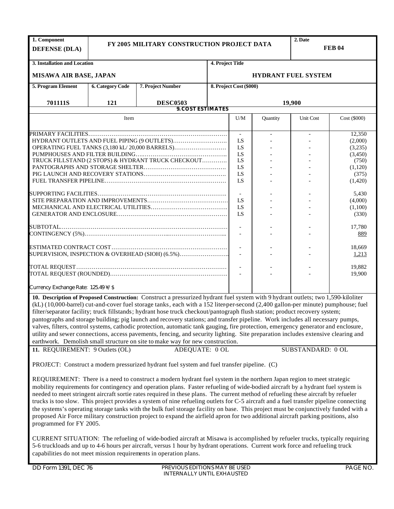| FY 2005 MILITARY CONSTRUCTION PROJECT DATA<br><b>DEFENSE (DLA)</b>                                                                    | <b>FEB 04</b> |
|---------------------------------------------------------------------------------------------------------------------------------------|---------------|
|                                                                                                                                       |               |
| 3. Installation and Location<br>4. Project Title                                                                                      |               |
| <b>MISAWA AIR BASE, JAPAN</b><br><b>HYDRANT FUEL SYSTEM</b>                                                                           |               |
| 5. Program Element<br><b>6. Category Code</b><br>7. Project Number<br>8. Project Cost (\$000)                                         |               |
| 701111S<br>121<br>19,900<br><b>DESC0503</b><br><b>9. COST ESTIMATES</b>                                                               |               |
|                                                                                                                                       |               |
| $\mathbf{U}/\mathbf{M}$<br>Item<br>Quantity<br>Unit Cost                                                                              | Cost (\$000)  |
| $\mathbb{L}$<br>$\overline{\phantom{a}}$<br>$\blacksquare$                                                                            | 12,350        |
| LS                                                                                                                                    | (2,000)       |
| OPERATING FUEL TANKS (3,180 kL/20,000 BARRELS)<br>LS                                                                                  | (3,235)       |
| LS                                                                                                                                    | (3,450)       |
| TRUCK FILLSTAND (2 STOPS) & HYDRANT TRUCK CHECKOUT<br>LS                                                                              | (750)         |
| LS                                                                                                                                    | (1,120)       |
| LS                                                                                                                                    | (375)         |
| LS                                                                                                                                    | (1,420)       |
|                                                                                                                                       | 5,430         |
| LS                                                                                                                                    | (4,000)       |
| LS                                                                                                                                    | (1,100)       |
| LS                                                                                                                                    | (330)         |
|                                                                                                                                       |               |
|                                                                                                                                       | 17,780        |
|                                                                                                                                       | 889           |
|                                                                                                                                       |               |
|                                                                                                                                       | 18,669        |
| SUPERVISION, INSPECTION & OVERHEAD (SIOH) (6.5%)                                                                                      | 1,213         |
|                                                                                                                                       |               |
|                                                                                                                                       | 19,882        |
|                                                                                                                                       | 19,900        |
| Currency Exchange Rate: 125.49 ¥/\$                                                                                                   |               |
| 10. Description of Proposed Construction: Construct a pressurized hydrant fuel system with 9 hydrant outlets; two 1,590-kiloliter     |               |
| (kL) (10,000-barrel) cut-and-cover fuel storage tanks, each with a 152 liter-per-second (2,400 gallon-per minute) pumphouse; fuel     |               |
| filter/separator facility; truck fillstands; hydrant hose truck checkout/pantograph flush station; product recovery system;           |               |
| pantographs and storage building; pig launch and recovery stations; and transfer pipeline. Work includes all necessary pumps,         |               |
|                                                                                                                                       |               |
| valves, filters, control systems, cathodic protection, automatic tank gauging, fire protection, emergency generator and enclosure,    |               |
| utility and sewer connections, access pavements, fencing, and security lighting. Site preparation includes extensive clearing and     |               |
| earthwork. Demolish small structure on site to make way for new construction.                                                         |               |
| 11. REQUIREMENT: 9 Outlets (OL)<br>ADEQUATE: 0 OL<br>SUBSTANDARD: 0 OL                                                                |               |
| PROJECT: Construct a modern pressurized hydrant fuel system and fuel transfer pipeline. (C)                                           |               |
|                                                                                                                                       |               |
| REQUIREMENT: There is a need to construct a modern hydrant fuel system in the northern Japan region to meet strategic                 |               |
| mobility requirements for contingency and operation plans. Faster refueling of wide-bodied aircraft by a hydrant fuel system is       |               |
| needed to meet stringent aircraft sortie rates required in these plans. The current method of refueling these aircraft by refueler    |               |
| trucks is too slow. This project provides a system of nine refueling outlets for C-5 aircraft and a fuel transfer pipeline connecting |               |
| the systems's operating storage tanks with the bulk fuel storage facility on base. This project must be conjunctively funded with a   |               |
| proposed Air Force military construction project to expand the airfield apron for two additional aircraft parking positions, also     |               |
| programmed for FY 2005.                                                                                                               |               |
|                                                                                                                                       |               |

CURRENT SITUATION: The refueling of wide-bodied aircraft at Misawa is accomplished by refueler trucks, typically requiring 5-6 truckloads and up to 4-6 hours per aircraft, versus 1 hour by hydrant operations. Current work force and refueling truck capabilities do not meet mission requirements in operation plans.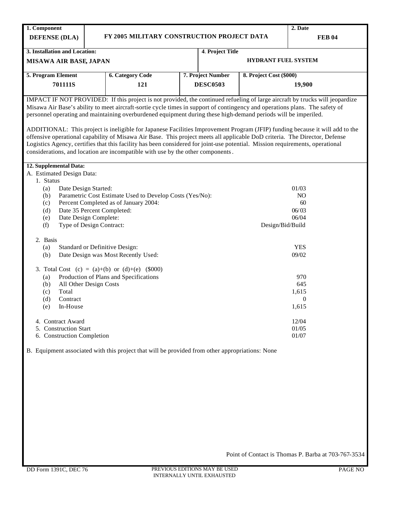| 1. Component                                                                                                                                                                                                                                                                                                                                                                                                                                                                                                                                                                                                                                |                                                                                                                                                                                                                  |  |                   |                            | 2. Date        |  |  |  |  |  |
|---------------------------------------------------------------------------------------------------------------------------------------------------------------------------------------------------------------------------------------------------------------------------------------------------------------------------------------------------------------------------------------------------------------------------------------------------------------------------------------------------------------------------------------------------------------------------------------------------------------------------------------------|------------------------------------------------------------------------------------------------------------------------------------------------------------------------------------------------------------------|--|-------------------|----------------------------|----------------|--|--|--|--|--|
| <b>DEFENSE (DLA)</b>                                                                                                                                                                                                                                                                                                                                                                                                                                                                                                                                                                                                                        | FY 2005 MILITARY CONSTRUCTION PROJECT DATA                                                                                                                                                                       |  |                   |                            | <b>FEB 04</b>  |  |  |  |  |  |
| 3. Installation and Location:                                                                                                                                                                                                                                                                                                                                                                                                                                                                                                                                                                                                               |                                                                                                                                                                                                                  |  | 4. Project Title  |                            |                |  |  |  |  |  |
| <b>MISAWA AIR BASE, JAPAN</b>                                                                                                                                                                                                                                                                                                                                                                                                                                                                                                                                                                                                               |                                                                                                                                                                                                                  |  |                   | <b>HYDRANT FUEL SYSTEM</b> |                |  |  |  |  |  |
| 5. Program Element                                                                                                                                                                                                                                                                                                                                                                                                                                                                                                                                                                                                                          | <b>6. Category Code</b>                                                                                                                                                                                          |  | 7. Project Number | 8. Project Cost (\$000)    |                |  |  |  |  |  |
| 701111S                                                                                                                                                                                                                                                                                                                                                                                                                                                                                                                                                                                                                                     | 121                                                                                                                                                                                                              |  | <b>DESC0503</b>   |                            | 19,900         |  |  |  |  |  |
| IMPACT IF NOT PROVIDED: If this project is not provided, the continued refueling of large aircraft by trucks will jeopardize<br>Misawa Air Base's ability to meet aircraft-sortie cycle times in support of contingency and operations plans. The safety of<br>personnel operating and maintaining overburdened equipment during these high-demand periods will be imperiled.<br>ADDITIONAL: This project is ineligible for Japanese Facilities Improvement Program (JFIP) funding because it will add to the<br>offensive operational capability of Misawa Air Base. This project meets all applicable DoD criteria. The Director, Defense |                                                                                                                                                                                                                  |  |                   |                            |                |  |  |  |  |  |
|                                                                                                                                                                                                                                                                                                                                                                                                                                                                                                                                                                                                                                             | Logistics Agency, certifies that this facility has been considered for joint-use potential. Mission requirements, operational<br>considerations, and location are incompatible with use by the other components. |  |                   |                            |                |  |  |  |  |  |
| 12. Supplemental Data:                                                                                                                                                                                                                                                                                                                                                                                                                                                                                                                                                                                                                      |                                                                                                                                                                                                                  |  |                   |                            |                |  |  |  |  |  |
| A. Estimated Design Data:<br>1. Status                                                                                                                                                                                                                                                                                                                                                                                                                                                                                                                                                                                                      |                                                                                                                                                                                                                  |  |                   |                            |                |  |  |  |  |  |
| Date Design Started:<br>(a)                                                                                                                                                                                                                                                                                                                                                                                                                                                                                                                                                                                                                 |                                                                                                                                                                                                                  |  |                   |                            | 01/03          |  |  |  |  |  |
| (b)                                                                                                                                                                                                                                                                                                                                                                                                                                                                                                                                                                                                                                         | Parametric Cost Estimate Used to Develop Costs (Yes/No):                                                                                                                                                         |  |                   |                            | NO.            |  |  |  |  |  |
| (c)                                                                                                                                                                                                                                                                                                                                                                                                                                                                                                                                                                                                                                         | Percent Completed as of January 2004:                                                                                                                                                                            |  | 60                |                            |                |  |  |  |  |  |
| (d)                                                                                                                                                                                                                                                                                                                                                                                                                                                                                                                                                                                                                                         | Date 35 Percent Completed:                                                                                                                                                                                       |  |                   | 06/03                      |                |  |  |  |  |  |
| (e)<br>(f)                                                                                                                                                                                                                                                                                                                                                                                                                                                                                                                                                                                                                                  | Date Design Complete:<br>Type of Design Contract:                                                                                                                                                                |  | Design/Bid/Build  | 06/04                      |                |  |  |  |  |  |
|                                                                                                                                                                                                                                                                                                                                                                                                                                                                                                                                                                                                                                             |                                                                                                                                                                                                                  |  |                   |                            |                |  |  |  |  |  |
| 2. Basis                                                                                                                                                                                                                                                                                                                                                                                                                                                                                                                                                                                                                                    |                                                                                                                                                                                                                  |  |                   |                            |                |  |  |  |  |  |
| (a)                                                                                                                                                                                                                                                                                                                                                                                                                                                                                                                                                                                                                                         | Standard or Definitive Design:                                                                                                                                                                                   |  |                   |                            | <b>YES</b>     |  |  |  |  |  |
| (b)                                                                                                                                                                                                                                                                                                                                                                                                                                                                                                                                                                                                                                         | Date Design was Most Recently Used:                                                                                                                                                                              |  |                   | 09/02                      |                |  |  |  |  |  |
|                                                                                                                                                                                                                                                                                                                                                                                                                                                                                                                                                                                                                                             | 3. Total Cost (c) = (a)+(b) or (d)+(e) $(\$000)$                                                                                                                                                                 |  |                   |                            |                |  |  |  |  |  |
| (a)                                                                                                                                                                                                                                                                                                                                                                                                                                                                                                                                                                                                                                         | Production of Plans and Specifications                                                                                                                                                                           |  |                   |                            | 970            |  |  |  |  |  |
| (b)                                                                                                                                                                                                                                                                                                                                                                                                                                                                                                                                                                                                                                         | All Other Design Costs                                                                                                                                                                                           |  |                   | 645                        |                |  |  |  |  |  |
| Total<br>(c)                                                                                                                                                                                                                                                                                                                                                                                                                                                                                                                                                                                                                                |                                                                                                                                                                                                                  |  |                   |                            | 1,615          |  |  |  |  |  |
| (d)<br>Contract                                                                                                                                                                                                                                                                                                                                                                                                                                                                                                                                                                                                                             |                                                                                                                                                                                                                  |  |                   | 0                          |                |  |  |  |  |  |
| (e)<br>In-House                                                                                                                                                                                                                                                                                                                                                                                                                                                                                                                                                                                                                             |                                                                                                                                                                                                                  |  |                   |                            | 1,615          |  |  |  |  |  |
|                                                                                                                                                                                                                                                                                                                                                                                                                                                                                                                                                                                                                                             |                                                                                                                                                                                                                  |  |                   |                            |                |  |  |  |  |  |
| 4. Contract Award<br>5. Construction Start                                                                                                                                                                                                                                                                                                                                                                                                                                                                                                                                                                                                  |                                                                                                                                                                                                                  |  |                   |                            | 12/04<br>01/05 |  |  |  |  |  |
| 6. Construction Completion                                                                                                                                                                                                                                                                                                                                                                                                                                                                                                                                                                                                                  |                                                                                                                                                                                                                  |  |                   |                            | 01/07          |  |  |  |  |  |
|                                                                                                                                                                                                                                                                                                                                                                                                                                                                                                                                                                                                                                             | B. Equipment associated with this project that will be provided from other appropriations: None                                                                                                                  |  |                   |                            |                |  |  |  |  |  |
|                                                                                                                                                                                                                                                                                                                                                                                                                                                                                                                                                                                                                                             |                                                                                                                                                                                                                  |  |                   |                            |                |  |  |  |  |  |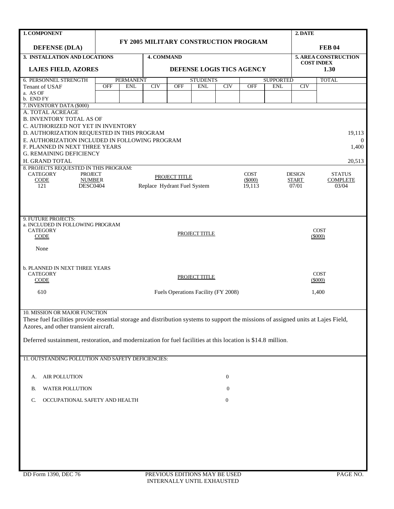| 1. COMPONENT                                                                                                                       |                                       |                  |                             |                      |                 |                  |               |                  | 2. DATE                   |                      |  |
|------------------------------------------------------------------------------------------------------------------------------------|---------------------------------------|------------------|-----------------------------|----------------------|-----------------|------------------|---------------|------------------|---------------------------|----------------------|--|
| <b>DEFENSE (DLA)</b>                                                                                                               | FY 2005 MILITARY CONSTRUCTION PROGRAM |                  |                             |                      |                 |                  | <b>FEB 04</b> |                  |                           |                      |  |
| 3. INSTALLATION AND LOCATIONS                                                                                                      |                                       |                  |                             | <b>4. COMMAND</b>    |                 |                  |               |                  |                           | 5. AREA CONSTRUCTION |  |
| <b>LAJES FIELD, AZORES</b>                                                                                                         |                                       |                  | DEFENSE LOGIS TICS AGENCY   |                      |                 |                  |               |                  | <b>COST INDEX</b><br>1.30 |                      |  |
| <b>6. PERSONNEL STRENGTH</b>                                                                                                       |                                       | <b>PERMANENT</b> |                             |                      | <b>STUDENTS</b> |                  |               | <b>SUPPORTED</b> |                           | <b>TOTAL</b>         |  |
| Tenant of USAF                                                                                                                     | <b>OFF</b>                            | <b>ENL</b>       | CIV                         | <b>OFF</b>           | <b>ENL</b>      | CIV              | <b>OFF</b>    | <b>ENL</b>       | CIV                       |                      |  |
| a. AS OF<br>b. END FY                                                                                                              |                                       |                  |                             |                      |                 |                  |               |                  |                           |                      |  |
| 7. INVENTORY DATA (\$000)                                                                                                          |                                       |                  |                             |                      |                 |                  |               |                  |                           |                      |  |
| A. TOTAL ACREAGE                                                                                                                   |                                       |                  |                             |                      |                 |                  |               |                  |                           |                      |  |
| <b>B. INVENTORY TOTAL AS OF</b><br>C. AUTHORIZED NOT YET IN INVENTORY                                                              |                                       |                  |                             |                      |                 |                  |               |                  |                           |                      |  |
| D. AUTHORIZATION REQUESTED IN THIS PROGRAM                                                                                         |                                       |                  |                             |                      |                 |                  |               |                  |                           | 19,113               |  |
| E. AUTHORIZATION INCLUDED IN FOLLOWING PROGRAM                                                                                     |                                       |                  |                             |                      |                 |                  |               |                  |                           | $\theta$             |  |
| F. PLANNED IN NEXT THREE YEARS                                                                                                     |                                       |                  |                             |                      |                 |                  |               |                  |                           | 1,400                |  |
| <b>G. REMAINING DEFICIENCY</b>                                                                                                     |                                       |                  |                             |                      |                 |                  |               |                  |                           |                      |  |
| H. GRAND TOTAL<br>8. PROJECTS REQUESTED IN THIS PROGRAM:                                                                           |                                       |                  |                             |                      |                 |                  |               |                  |                           | 20.513               |  |
| <b>CATEGORY</b><br><b>PROJECT</b>                                                                                                  |                                       |                  |                             |                      |                 |                  | <b>COST</b>   |                  | <b>DESIGN</b>             | <b>STATUS</b>        |  |
| CODE<br><b>NUMBER</b>                                                                                                              |                                       |                  |                             | <b>PROJECT TITLE</b> |                 |                  | (\$000)       |                  | START                     | <b>COMPLETE</b>      |  |
| DESC0404<br>121                                                                                                                    |                                       |                  | Replace Hydrant Fuel System |                      |                 |                  | 19.113        |                  | 07/01                     | 03/04                |  |
|                                                                                                                                    |                                       |                  |                             |                      |                 |                  |               |                  |                           |                      |  |
|                                                                                                                                    |                                       |                  |                             |                      |                 |                  |               |                  |                           |                      |  |
|                                                                                                                                    |                                       |                  |                             |                      |                 |                  |               |                  |                           |                      |  |
| 9. FUTURE PROJECTS:<br>a. INCLUDED IN FOLLOWING PROGRAM                                                                            |                                       |                  |                             |                      |                 |                  |               |                  |                           |                      |  |
| <b>CATEGORY</b>                                                                                                                    |                                       |                  |                             |                      | PROJECT TITLE   |                  |               |                  |                           | <b>COST</b>          |  |
| <b>CODE</b>                                                                                                                        |                                       |                  |                             |                      |                 |                  |               |                  |                           | $(\$000)$            |  |
| None                                                                                                                               |                                       |                  |                             |                      |                 |                  |               |                  |                           |                      |  |
|                                                                                                                                    |                                       |                  |                             |                      |                 |                  |               |                  |                           |                      |  |
| <b>b. PLANNED IN NEXT THREE YEARS</b>                                                                                              |                                       |                  |                             |                      |                 |                  |               |                  |                           |                      |  |
| <b>CATEGORY</b>                                                                                                                    |                                       |                  |                             |                      |                 |                  |               |                  |                           | <b>COST</b>          |  |
| <b>CODE</b>                                                                                                                        |                                       |                  |                             |                      | PROJECT TITLE   |                  |               |                  |                           | $(\$000)$            |  |
| 610                                                                                                                                |                                       |                  |                             |                      |                 |                  |               |                  | 1,400                     |                      |  |
|                                                                                                                                    | Fuels Operations Facility (FY 2008)   |                  |                             |                      |                 |                  |               |                  |                           |                      |  |
|                                                                                                                                    |                                       |                  |                             |                      |                 |                  |               |                  |                           |                      |  |
| 10. MISSION OR MAJOR FUNCTION                                                                                                      |                                       |                  |                             |                      |                 |                  |               |                  |                           |                      |  |
| These fuel facilities provide essential storage and distribution systems to support the missions of assigned units at Lajes Field, |                                       |                  |                             |                      |                 |                  |               |                  |                           |                      |  |
| Azores, and other transient aircraft.                                                                                              |                                       |                  |                             |                      |                 |                  |               |                  |                           |                      |  |
| Deferred sustainment, restoration, and modernization for fuel facilities at this location is \$14.8 million.                       |                                       |                  |                             |                      |                 |                  |               |                  |                           |                      |  |
|                                                                                                                                    |                                       |                  |                             |                      |                 |                  |               |                  |                           |                      |  |
| 11. OUTSTANDING POLLUTION AND SAFETY DEFICIENCIES:                                                                                 |                                       |                  |                             |                      |                 |                  |               |                  |                           |                      |  |
|                                                                                                                                    |                                       |                  |                             |                      |                 |                  |               |                  |                           |                      |  |
|                                                                                                                                    |                                       |                  |                             |                      |                 |                  |               |                  |                           |                      |  |
| <b>AIR POLLUTION</b><br>А.                                                                                                         |                                       |                  |                             |                      |                 | $\boldsymbol{0}$ |               |                  |                           |                      |  |
| WATER POLLUTION<br>В.                                                                                                              |                                       |                  |                             |                      |                 | $\bf{0}$         |               |                  |                           |                      |  |
| OCCUPATIONAL SAFETY AND HEALTH<br>C.                                                                                               |                                       |                  |                             |                      |                 | $\bf{0}$         |               |                  |                           |                      |  |
|                                                                                                                                    |                                       |                  |                             |                      |                 |                  |               |                  |                           |                      |  |
|                                                                                                                                    |                                       |                  |                             |                      |                 |                  |               |                  |                           |                      |  |
|                                                                                                                                    |                                       |                  |                             |                      |                 |                  |               |                  |                           |                      |  |
|                                                                                                                                    |                                       |                  |                             |                      |                 |                  |               |                  |                           |                      |  |
|                                                                                                                                    |                                       |                  |                             |                      |                 |                  |               |                  |                           |                      |  |
|                                                                                                                                    |                                       |                  |                             |                      |                 |                  |               |                  |                           |                      |  |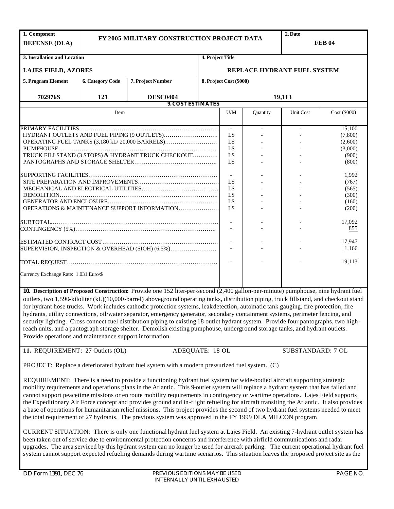| 1. Component                                                                                                                                                                                                                                                                |                                                                                                                            |                                                                                                                                   |  |                             |                          | 2. Date           |               |  |  |
|-----------------------------------------------------------------------------------------------------------------------------------------------------------------------------------------------------------------------------------------------------------------------------|----------------------------------------------------------------------------------------------------------------------------|-----------------------------------------------------------------------------------------------------------------------------------|--|-----------------------------|--------------------------|-------------------|---------------|--|--|
| <b>DEFENSE (DLA)</b>                                                                                                                                                                                                                                                        | FY 2005 MILITARY CONSTRUCTION PROJECT DATA                                                                                 |                                                                                                                                   |  |                             |                          |                   | <b>FEB 04</b> |  |  |
|                                                                                                                                                                                                                                                                             |                                                                                                                            |                                                                                                                                   |  |                             |                          |                   |               |  |  |
| 3. Installation and Location<br>4. Project Title                                                                                                                                                                                                                            |                                                                                                                            |                                                                                                                                   |  |                             |                          |                   |               |  |  |
| <b>LAJES FIELD, AZORES</b>                                                                                                                                                                                                                                                  |                                                                                                                            |                                                                                                                                   |  | REPLACE HYDRANT FUEL SYSTEM |                          |                   |               |  |  |
| 5. Program Element<br><b>6. Category Code</b><br>7. Project Number                                                                                                                                                                                                          |                                                                                                                            |                                                                                                                                   |  | 8. Project Cost (\$000)     |                          |                   |               |  |  |
|                                                                                                                                                                                                                                                                             |                                                                                                                            |                                                                                                                                   |  |                             |                          |                   |               |  |  |
| 702976S<br>121<br><b>DESC0404</b><br><b>9. COST ESTIMATES</b>                                                                                                                                                                                                               |                                                                                                                            |                                                                                                                                   |  | 19,113                      |                          |                   |               |  |  |
|                                                                                                                                                                                                                                                                             |                                                                                                                            |                                                                                                                                   |  |                             |                          |                   |               |  |  |
|                                                                                                                                                                                                                                                                             | Item                                                                                                                       |                                                                                                                                   |  | U/M                         | Quantity                 | Unit Cost         | Cost (\$000)  |  |  |
|                                                                                                                                                                                                                                                                             |                                                                                                                            |                                                                                                                                   |  |                             |                          |                   | 15,100        |  |  |
|                                                                                                                                                                                                                                                                             |                                                                                                                            |                                                                                                                                   |  |                             | $\overline{\phantom{a}}$ |                   | (7,800)       |  |  |
|                                                                                                                                                                                                                                                                             |                                                                                                                            | OPERATING FUEL TANKS (3,180 kL/20,000 BARRELS)                                                                                    |  | LS<br>LS                    |                          |                   | (2,600)       |  |  |
|                                                                                                                                                                                                                                                                             |                                                                                                                            |                                                                                                                                   |  | LS                          |                          |                   | (3,000)       |  |  |
|                                                                                                                                                                                                                                                                             |                                                                                                                            | TRUCK FILLSTAND (3 STOPS) & HYDRANT TRUCK CHECKOUT                                                                                |  | LS                          |                          |                   |               |  |  |
|                                                                                                                                                                                                                                                                             |                                                                                                                            |                                                                                                                                   |  |                             |                          |                   | (900)         |  |  |
|                                                                                                                                                                                                                                                                             |                                                                                                                            |                                                                                                                                   |  | LS                          |                          |                   | (800)         |  |  |
|                                                                                                                                                                                                                                                                             |                                                                                                                            |                                                                                                                                   |  |                             |                          |                   |               |  |  |
|                                                                                                                                                                                                                                                                             |                                                                                                                            |                                                                                                                                   |  |                             |                          |                   | 1,992         |  |  |
|                                                                                                                                                                                                                                                                             |                                                                                                                            |                                                                                                                                   |  | LS                          |                          |                   | (767)         |  |  |
|                                                                                                                                                                                                                                                                             |                                                                                                                            |                                                                                                                                   |  | LS                          |                          |                   | (565)         |  |  |
|                                                                                                                                                                                                                                                                             |                                                                                                                            |                                                                                                                                   |  | <b>IS</b>                   |                          |                   | (300)         |  |  |
|                                                                                                                                                                                                                                                                             |                                                                                                                            |                                                                                                                                   |  | LS                          |                          |                   | (160)         |  |  |
|                                                                                                                                                                                                                                                                             |                                                                                                                            | OPERATIONS & MAINTENANCE SUPPORT INFORMATION                                                                                      |  | LS                          |                          |                   | (200)         |  |  |
|                                                                                                                                                                                                                                                                             |                                                                                                                            |                                                                                                                                   |  |                             |                          |                   |               |  |  |
|                                                                                                                                                                                                                                                                             |                                                                                                                            |                                                                                                                                   |  |                             |                          |                   | 17,092        |  |  |
|                                                                                                                                                                                                                                                                             |                                                                                                                            |                                                                                                                                   |  |                             |                          |                   | 855           |  |  |
|                                                                                                                                                                                                                                                                             |                                                                                                                            |                                                                                                                                   |  |                             |                          |                   |               |  |  |
|                                                                                                                                                                                                                                                                             |                                                                                                                            |                                                                                                                                   |  |                             |                          |                   | 17,947        |  |  |
|                                                                                                                                                                                                                                                                             |                                                                                                                            |                                                                                                                                   |  |                             |                          |                   | 1,166         |  |  |
|                                                                                                                                                                                                                                                                             |                                                                                                                            | SUPERVISION, INSPECTION & OVERHEAD (SIOH) (6.5%)                                                                                  |  |                             |                          |                   |               |  |  |
|                                                                                                                                                                                                                                                                             |                                                                                                                            |                                                                                                                                   |  |                             |                          |                   |               |  |  |
|                                                                                                                                                                                                                                                                             |                                                                                                                            |                                                                                                                                   |  |                             |                          |                   | 19,113        |  |  |
|                                                                                                                                                                                                                                                                             |                                                                                                                            |                                                                                                                                   |  |                             |                          |                   |               |  |  |
| Currency Exchange Rate: 1.031 Euro/\$                                                                                                                                                                                                                                       |                                                                                                                            |                                                                                                                                   |  |                             |                          |                   |               |  |  |
|                                                                                                                                                                                                                                                                             |                                                                                                                            |                                                                                                                                   |  |                             |                          |                   |               |  |  |
|                                                                                                                                                                                                                                                                             |                                                                                                                            |                                                                                                                                   |  |                             |                          |                   |               |  |  |
| 10. Description of Proposed Construction: Provide one 152 liter-per-second (2,400 gallon-per-minute) pumphouse, nine hydrant fuel<br>outlets, two 1,590-kiloliter (kL)(10,000-barrel) aboveground operating tanks, distribution piping, truck fillstand, and checkout stand |                                                                                                                            |                                                                                                                                   |  |                             |                          |                   |               |  |  |
|                                                                                                                                                                                                                                                                             |                                                                                                                            |                                                                                                                                   |  |                             |                          |                   |               |  |  |
|                                                                                                                                                                                                                                                                             |                                                                                                                            | for hydrant hose trucks. Work includes cathodic protection systems, leak detection, automatic tank gauging, fire protection, fire |  |                             |                          |                   |               |  |  |
|                                                                                                                                                                                                                                                                             |                                                                                                                            | hydrants, utility connections, oil/water separator, emergency generator, secondary containment systems, perimeter fencing, and    |  |                             |                          |                   |               |  |  |
| security lighting. Cross connect fuel distribution piping to existing 18-outlet hydrant system. Provide four pantographs, two high-                                                                                                                                         |                                                                                                                            |                                                                                                                                   |  |                             |                          |                   |               |  |  |
| reach units, and a pantograph storage shelter. Demolish existing pumphouse, underground storage tanks, and hydrant outlets.                                                                                                                                                 |                                                                                                                            |                                                                                                                                   |  |                             |                          |                   |               |  |  |
| Provide operations and maintenance support information.                                                                                                                                                                                                                     |                                                                                                                            |                                                                                                                                   |  |                             |                          |                   |               |  |  |
|                                                                                                                                                                                                                                                                             |                                                                                                                            |                                                                                                                                   |  |                             |                          |                   |               |  |  |
|                                                                                                                                                                                                                                                                             |                                                                                                                            |                                                                                                                                   |  |                             |                          |                   |               |  |  |
| 11. REQUIREMENT: 27 Outlets (OL)                                                                                                                                                                                                                                            |                                                                                                                            | ADEQUATE: 18 OL                                                                                                                   |  |                             |                          | SUBSTANDARD: 7 OL |               |  |  |
|                                                                                                                                                                                                                                                                             |                                                                                                                            |                                                                                                                                   |  |                             |                          |                   |               |  |  |
| PROJECT: Replace a deteriorated hydrant fuel system with a modern pressurized fuel system. (C)                                                                                                                                                                              |                                                                                                                            |                                                                                                                                   |  |                             |                          |                   |               |  |  |
|                                                                                                                                                                                                                                                                             |                                                                                                                            |                                                                                                                                   |  |                             |                          |                   |               |  |  |
|                                                                                                                                                                                                                                                                             |                                                                                                                            |                                                                                                                                   |  |                             |                          |                   |               |  |  |
| REQUIREMENT: There is a need to provide a functioning hydrant fuel system for wide-bodied aircraft supporting strategic                                                                                                                                                     |                                                                                                                            |                                                                                                                                   |  |                             |                          |                   |               |  |  |
| mobility requirements and operations plans in the Atlantic. This 9-outlet system will replace a hydrant system that has failed and                                                                                                                                          |                                                                                                                            |                                                                                                                                   |  |                             |                          |                   |               |  |  |
| cannot support peacetime missions or en route mobility requirements in contingency or wartime operations. Lajes Field supports                                                                                                                                              |                                                                                                                            |                                                                                                                                   |  |                             |                          |                   |               |  |  |
| the Expeditionary Air Force concept and provides ground and in-flight refueling for aircraft transiting the Atlantic. It also provides                                                                                                                                      |                                                                                                                            |                                                                                                                                   |  |                             |                          |                   |               |  |  |
| a base of operations for humanitarian relief missions. This project provides the second of two hydrant fuel systems needed to meet                                                                                                                                          |                                                                                                                            |                                                                                                                                   |  |                             |                          |                   |               |  |  |
| the total requirement of 27 hydrants. The previous system was approved in the FY 1999 DLA MILCON program                                                                                                                                                                    |                                                                                                                            |                                                                                                                                   |  |                             |                          |                   |               |  |  |
|                                                                                                                                                                                                                                                                             |                                                                                                                            |                                                                                                                                   |  |                             |                          |                   |               |  |  |
|                                                                                                                                                                                                                                                                             |                                                                                                                            |                                                                                                                                   |  |                             |                          |                   |               |  |  |
| CURRENT SITUATION: There is only one functional hydrant fuel system at Lajes Field. An existing 7-hydrant outlet system has                                                                                                                                                 |                                                                                                                            |                                                                                                                                   |  |                             |                          |                   |               |  |  |
|                                                                                                                                                                                                                                                                             | been taken out of service due to environmental protection concerns and interference with airfield communications and rader |                                                                                                                                   |  |                             |                          |                   |               |  |  |